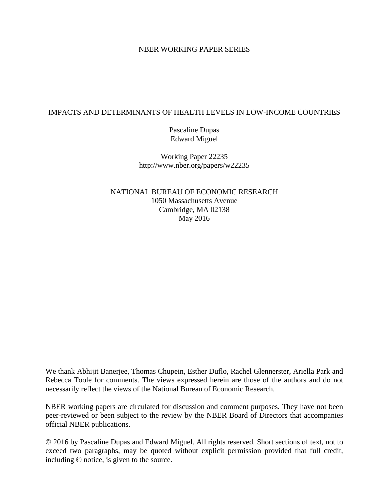### NBER WORKING PAPER SERIES

### IMPACTS AND DETERMINANTS OF HEALTH LEVELS IN LOW-INCOME COUNTRIES

Pascaline Dupas Edward Miguel

Working Paper 22235 http://www.nber.org/papers/w22235

NATIONAL BUREAU OF ECONOMIC RESEARCH 1050 Massachusetts Avenue Cambridge, MA 02138 May 2016

We thank Abhijit Banerjee, Thomas Chupein, Esther Duflo, Rachel Glennerster, Ariella Park and Rebecca Toole for comments. The views expressed herein are those of the authors and do not necessarily reflect the views of the National Bureau of Economic Research.

NBER working papers are circulated for discussion and comment purposes. They have not been peer-reviewed or been subject to the review by the NBER Board of Directors that accompanies official NBER publications.

© 2016 by Pascaline Dupas and Edward Miguel. All rights reserved. Short sections of text, not to exceed two paragraphs, may be quoted without explicit permission provided that full credit, including © notice, is given to the source.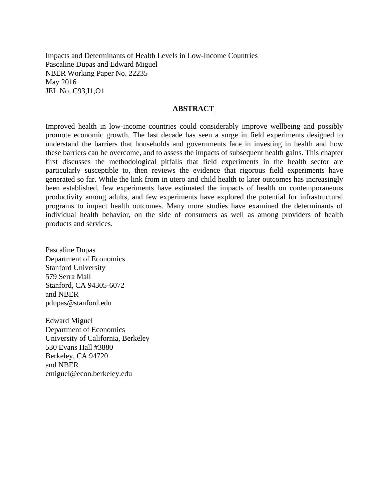Impacts and Determinants of Health Levels in Low-Income Countries Pascaline Dupas and Edward Miguel NBER Working Paper No. 22235 May 2016 JEL No. C93,I1,O1

### **ABSTRACT**

Improved health in low-income countries could considerably improve wellbeing and possibly promote economic growth. The last decade has seen a surge in field experiments designed to understand the barriers that households and governments face in investing in health and how these barriers can be overcome, and to assess the impacts of subsequent health gains. This chapter first discusses the methodological pitfalls that field experiments in the health sector are particularly susceptible to, then reviews the evidence that rigorous field experiments have generated so far. While the link from in utero and child health to later outcomes has increasingly been established, few experiments have estimated the impacts of health on contemporaneous productivity among adults, and few experiments have explored the potential for infrastructural programs to impact health outcomes. Many more studies have examined the determinants of individual health behavior, on the side of consumers as well as among providers of health products and services.

Pascaline Dupas Department of Economics Stanford University 579 Serra Mall Stanford, CA 94305-6072 and NBER pdupas@stanford.edu

Edward Miguel Department of Economics University of California, Berkeley 530 Evans Hall #3880 Berkeley, CA 94720 and NBER emiguel@econ.berkeley.edu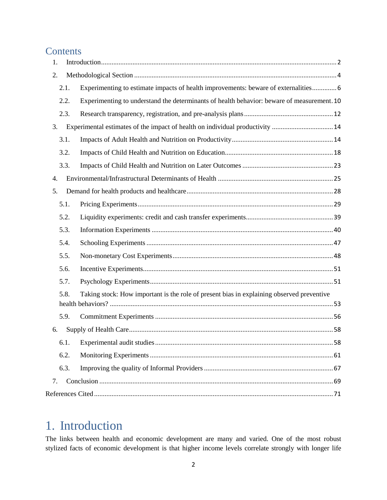# **Contents**

| 1.   |                                                                                            |
|------|--------------------------------------------------------------------------------------------|
| 2.   |                                                                                            |
| 2.1. | Experimenting to estimate impacts of health improvements: beware of externalities 6        |
| 2.2. | Experimenting to understand the determinants of health behavior: beware of measurement. 10 |
| 2.3. |                                                                                            |
| 3.   | Experimental estimates of the impact of health on individual productivity  14              |
| 3.1. |                                                                                            |
| 3.2. |                                                                                            |
| 3.3. |                                                                                            |
| 4.   |                                                                                            |
| 5.   |                                                                                            |
| 5.1. |                                                                                            |
| 5.2. |                                                                                            |
| 5.3. |                                                                                            |
| 5.4. |                                                                                            |
| 5.5. |                                                                                            |
| 5.6. |                                                                                            |
| 5.7. |                                                                                            |
| 5.8. | Taking stock: How important is the role of present bias in explaining observed preventive  |
| 5.9. |                                                                                            |
| 6.   |                                                                                            |
|      |                                                                                            |
| 6.2. |                                                                                            |
| 6.3. |                                                                                            |
| 7.   |                                                                                            |
|      |                                                                                            |

# <span id="page-2-0"></span>1. Introduction

The links between health and economic development are many and varied. One of the most robust stylized facts of economic development is that higher income levels correlate strongly with longer life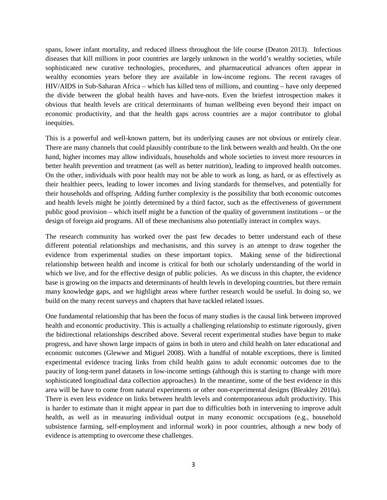spans, lower infant mortality, and reduced illness throughout the life course (Deaton 2013). Infectious diseases that kill millions in poor countries are largely unknown in the world's wealthy societies, while sophisticated new curative technologies, procedures, and pharmaceutical advances often appear in wealthy economies years before they are available in low-income regions. The recent ravages of HIV/AIDS in Sub-Saharan Africa – which has killed tens of millions, and counting – have only deepened the divide between the global health haves and have-nots. Even the briefest introspection makes it obvious that health levels are critical determinants of human wellbeing even beyond their impact on economic productivity, and that the health gaps across countries are a major contributor to global inequities.

This is a powerful and well-known pattern, but its underlying causes are not obvious or entirely clear. There are many channels that could plausibly contribute to the link between wealth and health. On the one hand, higher incomes may allow individuals, households and whole societies to invest more resources in better health prevention and treatment (as well as better nutrition), leading to improved health outcomes. On the other, individuals with poor health may not be able to work as long, as hard, or as effectively as their healthier peers, leading to lower incomes and living standards for themselves, and potentially for their households and offspring. Adding further complexity is the possibility that both economic outcomes and health levels might be jointly determined by a third factor, such as the effectiveness of government public good provision – which itself might be a function of the quality of government institutions – or the design of foreign aid programs. All of these mechanisms also potentially interact in complex ways.

The research community has worked over the past few decades to better understand each of these different potential relationships and mechanisms, and this survey is an attempt to draw together the evidence from experimental studies on these important topics. Making sense of the bidirectional relationship between health and income is critical for both our scholarly understanding of the world in which we live, and for the effective design of public policies. As we discuss in this chapter, the evidence base is growing on the impacts and determinants of health levels in developing countries, but there remain many knowledge gaps, and we highlight areas where further research would be useful. In doing so, we build on the many recent surveys and chapters that have tackled related issues.

One fundamental relationship that has been the focus of many studies is the causal link between improved health and economic productivity. This is actually a challenging relationship to estimate rigorously, given the bidirectional relationships described above. Several recent experimental studies have begun to make progress, and have shown large impacts of gains in both in utero and child health on later educational and economic outcomes (Glewwe and Miguel 2008). With a handful of notable exceptions, there is limited experimental evidence tracing links from child health gains to adult economic outcomes due to the paucity of long-term panel datasets in low-income settings (although this is starting to change with more sophisticated longitudinal data collection approaches). In the meantime, some of the best evidence in this area will be have to come from natural experiments or other non-experimental designs (Bleakley 2010a). There is even less evidence on links between health levels and contemporaneous adult productivity. This is harder to estimate than it might appear in part due to difficulties both in intervening to improve adult health, as well as in measuring individual output in many economic occupations (e.g., household subsistence farming, self-employment and informal work) in poor countries, although a new body of evidence is attempting to overcome these challenges.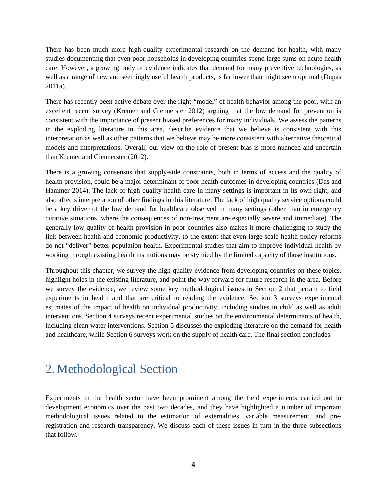There has been much more high-quality experimental research on the demand for health, with many studies documenting that even poor households in developing countries spend large sums on acute health care. However, a growing body of evidence indicates that demand for many preventive technologies, as well as a range of new and seemingly useful health products, is far lower than might seem optimal (Dupas 2011a).

There has recently been active debate over the right "model" of health behavior among the poor, with an excellent recent survey (Kremer and Glennerster 2012) arguing that the low demand for prevention is consistent with the importance of present biased preferences for many individuals. We assess the patterns in the exploding literature in this area, describe evidence that we believe is consistent with this interpretation as well as other patterns that we believe may be more consistent with alternative theoretical models and interpretations. Overall, our view on the role of present bias is more nuanced and uncertain than Kremer and Glennerster (2012).

There is a growing consensus that supply-side constraints, both in terms of access and the quality of health provision, could be a major determinant of poor health outcomes in developing countries (Das and Hammer 2014). The lack of high quality health care in many settings is important in its own right, and also affects interpretation of other findings in this literature. The lack of high quality service options could be a key driver of the low demand for healthcare observed in many settings (other than in emergency curative situations, where the consequences of non-treatment are especially severe and immediate). The generally low quality of health provision in poor countries also makes it more challenging to study the link between health and economic productivity, to the extent that even large-scale health policy reforms do not "deliver" better population health. Experimental studies that aim to improve individual health by working through existing health institutions may be stymied by the limited capacity of those institutions.

Throughout this chapter, we survey the high-quality evidence from developing countries on these topics, highlight holes in the existing literature, and point the way forward for future research in the area. Before we survey the evidence, we review some key methodological issues in Section 2 that pertain to field experiments in health and that are critical to reading the evidence. Section 3 surveys experimental estimates of the impact of health on individual productivity, including studies in child as well as adult interventions. Section 4 surveys recent experimental studies on the environmental determinants of health, including clean water interventions. Section 5 discusses the exploding literature on the demand for health and healthcare, while Section 6 surveys work on the supply of health care. The final section concludes.

# <span id="page-4-0"></span>2.Methodological Section

Experiments in the health sector have been prominent among the field experiments carried out in development economics over the past two decades, and they have highlighted a number of important methodological issues related to the estimation of externalities, variable measurement, and preregistration and research transparency. We discuss each of these issues in turn in the three subsections that follow.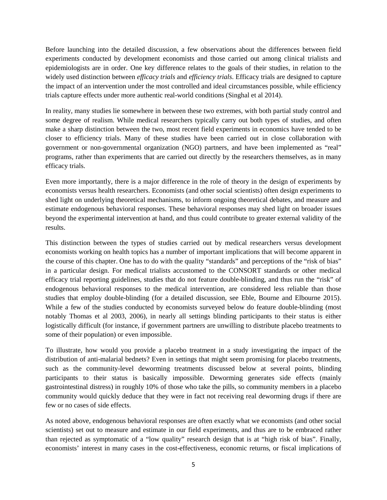Before launching into the detailed discussion, a few observations about the differences between field experiments conducted by development economists and those carried out among clinical trialists and epidemiologists are in order. One key difference relates to the goals of their studies, in relation to the widely used distinction between *efficacy trials* and *efficiency trials*. Efficacy trials are designed to capture the impact of an intervention under the most controlled and ideal circumstances possible, while efficiency trials capture effects under more authentic real-world conditions (Singhal et al 2014).

In reality, many studies lie somewhere in between these two extremes, with both partial study control and some degree of realism. While medical researchers typically carry out both types of studies, and often make a sharp distinction between the two, most recent field experiments in economics have tended to be closer to efficiency trials. Many of these studies have been carried out in close collaboration with government or non-governmental organization (NGO) partners, and have been implemented as "real" programs, rather than experiments that are carried out directly by the researchers themselves, as in many efficacy trials.

Even more importantly, there is a major difference in the role of theory in the design of experiments by economists versus health researchers. Economists (and other social scientists) often design experiments to shed light on underlying theoretical mechanisms, to inform ongoing theoretical debates, and measure and estimate endogenous behavioral responses. These behavioral responses may shed light on broader issues beyond the experimental intervention at hand, and thus could contribute to greater external validity of the results.

This distinction between the types of studies carried out by medical researchers versus development economists working on health topics has a number of important implications that will become apparent in the course of this chapter. One has to do with the quality "standards" and perceptions of the "risk of bias" in a particular design. For medical trialists accustomed to the CONSORT standards or other medical efficacy trial reporting guidelines, studies that do not feature double-blinding, and thus run the "risk" of endogenous behavioral responses to the medical intervention, are considered less reliable than those studies that employ double-blinding (for a detailed discussion, see Eble, Bourne and Elbourne 2015). While a few of the studies conducted by economists surveyed below do feature double-blinding (most notably Thomas et al 2003, 2006), in nearly all settings blinding participants to their status is either logistically difficult (for instance, if government partners are unwilling to distribute placebo treatments to some of their population) or even impossible.

To illustrate, how would you provide a placebo treatment in a study investigating the impact of the distribution of anti-malarial bednets? Even in settings that might seem promising for placebo treatments, such as the community-level deworming treatments discussed below at several points, blinding participants to their status is basically impossible. Deworming generates side effects (mainly gastrointestinal distress) in roughly 10% of those who take the pills, so community members in a placebo community would quickly deduce that they were in fact not receiving real deworming drugs if there are few or no cases of side effects.

As noted above, endogenous behavioral responses are often exactly what we economists (and other social scientists) set out to measure and estimate in our field experiments, and thus are to be embraced rather than rejected as symptomatic of a "low quality" research design that is at "high risk of bias". Finally, economists' interest in many cases in the cost-effectiveness, economic returns, or fiscal implications of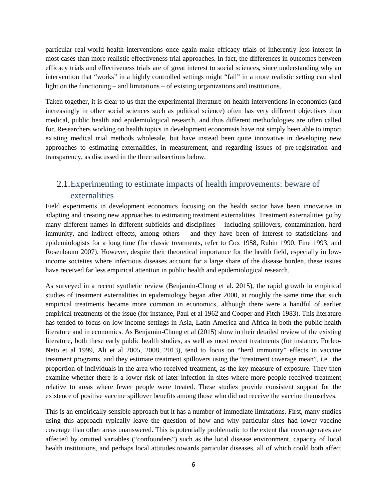particular real-world health interventions once again make efficacy trials of inherently less interest in most cases than more realistic effectiveness trial approaches. In fact, the differences in outcomes between efficacy trials and effectiveness trials are of great interest to social sciences, since understanding why an intervention that "works" in a highly controlled settings might "fail" in a more realistic setting can shed light on the functioning – and limitations – of existing organizations and institutions.

Taken together, it is clear to us that the experimental literature on health interventions in economics (and increasingly in other social sciences such as political science) often has very different objectives than medical, public health and epidemiological research, and thus different methodologies are often called for. Researchers working on health topics in development economists have not simply been able to import existing medical trial methods wholesale, but have instead been quite innovative in developing new approaches to estimating externalities, in measurement, and regarding issues of pre-registration and transparency, as discussed in the three subsections below.

## <span id="page-6-0"></span>2.1.Experimenting to estimate impacts of health improvements: beware of externalities

Field experiments in development economics focusing on the health sector have been innovative in adapting and creating new approaches to estimating treatment externalities. Treatment externalities go by many different names in different subfields and disciplines – including spillovers, contamination, herd immunity, and indirect effects, among others – and they have been of interest to statisticians and epidemiologists for a long time (for classic treatments, refer to Cox 1958, Rubin 1990, Fine 1993, and Rosenbaum 2007). However, despite their theoretical importance for the health field, especially in lowincome societies where infectious diseases account for a large share of the disease burden, these issues have received far less empirical attention in public health and epidemiological research.

As surveyed in a recent synthetic review (Benjamin-Chung et al. 2015), the rapid growth in empirical studies of treatment externalities in epidemiology began after 2000, at roughly the same time that such empirical treatments became more common in economics, although there were a handful of earlier empirical treatments of the issue (for instance, Paul et al 1962 and Cooper and Fitch 1983). This literature has tended to focus on low income settings in Asia, Latin America and Africa in both the public health literature and in economics. As Benjamin-Chung et al (2015) show in their detailed review of the existing literature, both these early public health studies, as well as most recent treatments (for instance, Forleo-Neto et al 1999, Ali et al 2005, 2008, 2013), tend to focus on "herd immunity" effects in vaccine treatment programs, and they estimate treatment spillovers using the "treatment coverage mean", i.e., the proportion of individuals in the area who received treatment, as the key measure of exposure. They then examine whether there is a lower risk of later infection in sites where more people received treatment relative to areas where fewer people were treated. These studies provide consistent support for the existence of positive vaccine spillover benefits among those who did not receive the vaccine themselves.

This is an empirically sensible approach but it has a number of immediate limitations. First, many studies using this approach typically leave the question of how and why particular sites had lower vaccine coverage than other areas unanswered. This is potentially problematic to the extent that coverage rates are affected by omitted variables ("confounders") such as the local disease environment, capacity of local health institutions, and perhaps local attitudes towards particular diseases, all of which could both affect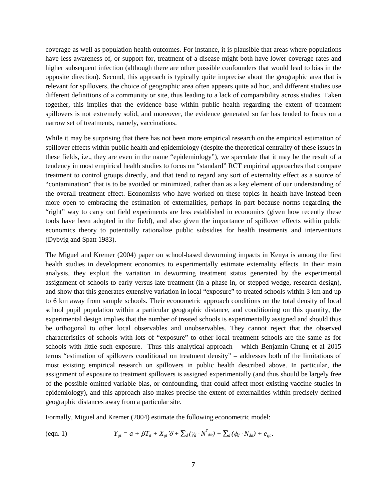coverage as well as population health outcomes. For instance, it is plausible that areas where populations have less awareness of, or support for, treatment of a disease might both have lower coverage rates and higher subsequent infection (although there are other possible confounders that would lead to bias in the opposite direction). Second, this approach is typically quite imprecise about the geographic area that is relevant for spillovers, the choice of geographic area often appears quite ad hoc, and different studies use different definitions of a community or site, thus leading to a lack of comparability across studies. Taken together, this implies that the evidence base within public health regarding the extent of treatment spillovers is not extremely solid, and moreover, the evidence generated so far has tended to focus on a narrow set of treatments, namely, vaccinations.

While it may be surprising that there has not been more empirical research on the empirical estimation of spillover effects within public health and epidemiology (despite the theoretical centrality of these issues in these fields, i.e., they are even in the name "epidemiology"), we speculate that it may be the result of a tendency in most empirical health studies to focus on "standard" RCT empirical approaches that compare treatment to control groups directly, and that tend to regard any sort of externality effect as a source of "contamination" that is to be avoided or minimized, rather than as a key element of our understanding of the overall treatment effect. Economists who have worked on these topics in health have instead been more open to embracing the estimation of externalities, perhaps in part because norms regarding the "right" way to carry out field experiments are less established in economics (given how recently these tools have been adopted in the field), and also given the importance of spillover effects within public economics theory to potentially rationalize public subsidies for health treatments and interventions (Dybvig and Spatt 1983).

The Miguel and Kremer (2004) paper on school-based deworming impacts in Kenya is among the first health studies in development economics to experimentally estimate externality effects. In their main analysis, they exploit the variation in deworming treatment status generated by the experimental assignment of schools to early versus late treatment (in a phase-in, or stepped wedge, research design), and show that this generates extensive variation in local "exposure" to treated schools within 3 km and up to 6 km away from sample schools. Their econometric approach conditions on the total density of local school pupil population within a particular geographic distance, and conditioning on this quantity, the experimental design implies that the number of treated schools is experimentally assigned and should thus be orthogonal to other local observables and unobservables. They cannot reject that the observed characteristics of schools with lots of "exposure" to other local treatment schools are the same as for schools with little such exposure. Thus this analytical approach – which Benjamin-Chung et al 2015 terms "estimation of spillovers conditional on treatment density" – addresses both of the limitations of most existing empirical research on spillovers in public health described above. In particular, the assignment of exposure to treatment spillovers is assigned experimentally (and thus should be largely free of the possible omitted variable bias, or confounding, that could affect most existing vaccine studies in epidemiology), and this approach also makes precise the extent of externalities within precisely defined geographic distances away from a particular site.

Formally, Miguel and Kremer (2004) estimate the following econometric model:

$$
\text{(eqn. 1)} \quad Y_{ijt} = a + \beta T_{it} + X_{ijt} \delta + \sum_{d} (\gamma_d \cdot N_{dit}^T) + \sum_{d} (\phi_d \cdot N_{dit}) + e_{ijt}.
$$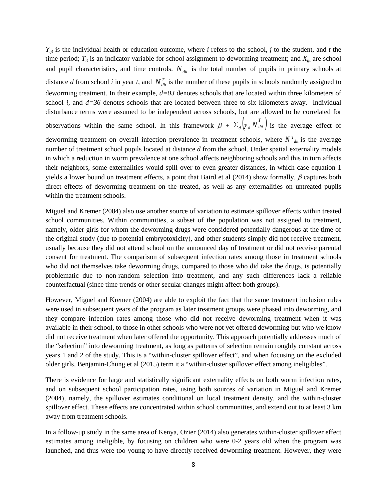$Y_{ijt}$  is the individual health or education outcome, where *i* refers to the school, *j* to the student, and *t* the time period;  $T_{it}$  is an indicator variable for school assignment to deworming treatment; and  $X_{ijt}$  are school and pupil characteristics, and time controls.  $N_{\text{dif}}$  is the total number of pupils in primary schools at distance *d* from school *i* in year *t*, and  $N_{di}^T$  is the number of these pupils in schools randomly assigned to deworming treatment. In their example, *d=03* denotes schools that are located within three kilometers of school *i*, and  $d=36$  denotes schools that are located between three to six kilometers away. Individual disturbance terms were assumed to be independent across schools, but are allowed to be correlated for observations within the same school. In this framework  $\beta + \sum_{d} \left[ \gamma_d \overline{N}_{dil}^T \right]$  is the average effect of

deworming treatment on overall infection prevalence in treatment schools, where  $N^T_{\text{dit}}$  is the average number of treatment school pupils located at distance *d* from the school. Under spatial externality models in which a reduction in worm prevalence at one school affects neighboring schools and this in turn affects their neighbors, some externalities would spill over to even greater distances, in which case equation 1 yields a lower bound on treatment effects, a point that Baird et al (2014) show formally.  $\beta$  captures both direct effects of deworming treatment on the treated, as well as any externalities on untreated pupils within the treatment schools.

Miguel and Kremer (2004) also use another source of variation to estimate spillover effects within treated school communities. Within communities, a subset of the population was not assigned to treatment, namely, older girls for whom the deworming drugs were considered potentially dangerous at the time of the original study (due to potential embryotoxicity), and other students simply did not receive treatment, usually because they did not attend school on the announced day of treatment or did not receive parental consent for treatment. The comparison of subsequent infection rates among those in treatment schools who did not themselves take deworming drugs, compared to those who did take the drugs, is potentially problematic due to non-random selection into treatment, and any such differences lack a reliable counterfactual (since time trends or other secular changes might affect both groups).

However, Miguel and Kremer (2004) are able to exploit the fact that the same treatment inclusion rules were used in subsequent years of the program as later treatment groups were phased into deworming, and they compare infection rates among those who did not receive deworming treatment when it was available in their school, to those in other schools who were not yet offered deworming but who we know did not receive treatment when later offered the opportunity. This approach potentially addresses much of the "selection" into deworming treatment, as long as patterns of selection remain roughly constant across years 1 and 2 of the study. This is a "within-cluster spillover effect", and when focusing on the excluded older girls, Benjamin-Chung et al (2015) term it a "within-cluster spillover effect among ineligibles".

There is evidence for large and statistically significant externality effects on both worm infection rates, and on subsequent school participation rates, using both sources of variation in Miguel and Kremer (2004), namely, the spillover estimates conditional on local treatment density, and the within-cluster spillover effect. These effects are concentrated within school communities, and extend out to at least 3 km away from treatment schools.

In a follow-up study in the same area of Kenya, Ozier (2014) also generates within-cluster spillover effect estimates among ineligible, by focusing on children who were 0-2 years old when the program was launched, and thus were too young to have directly received deworming treatment. However, they were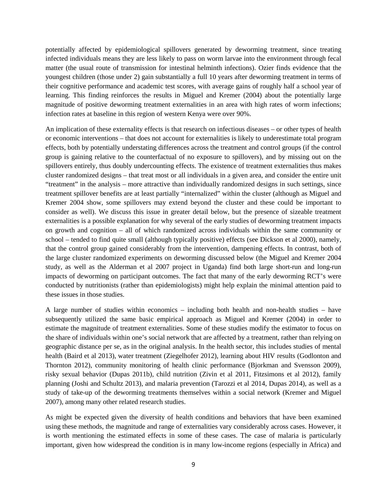potentially affected by epidemiological spillovers generated by deworming treatment, since treating infected individuals means they are less likely to pass on worm larvae into the environment through fecal matter (the usual route of transmission for intestinal helminth infections). Ozier finds evidence that the youngest children (those under 2) gain substantially a full 10 years after deworming treatment in terms of their cognitive performance and academic test scores, with average gains of roughly half a school year of learning. This finding reinforces the results in Miguel and Kremer (2004) about the potentially large magnitude of positive deworming treatment externalities in an area with high rates of worm infections; infection rates at baseline in this region of western Kenya were over 90%.

An implication of these externality effects is that research on infectious diseases – or other types of health or economic interventions – that does not account for externalities is likely to underestimate total program effects, both by potentially understating differences across the treatment and control groups (if the control group is gaining relative to the counterfactual of no exposure to spillovers), and by missing out on the spillovers entirely, thus doubly undercounting effects. The existence of treatment externalities thus makes cluster randomized designs – that treat most or all individuals in a given area, and consider the entire unit "treatment" in the analysis – more attractive than individually randomized designs in such settings, since treatment spillover benefits are at least partially "internalized" within the cluster (although as Miguel and Kremer 2004 show, some spillovers may extend beyond the cluster and these could be important to consider as well). We discuss this issue in greater detail below, but the presence of sizeable treatment externalities is a possible explanation for why several of the early studies of deworming treatment impacts on growth and cognition – all of which randomized across individuals within the same community or school – tended to find quite small (although typically positive) effects (see Dickson et al 2000), namely, that the control group gained considerably from the intervention, dampening effects. In contrast, both of the large cluster randomized experiments on deworming discussed below (the Miguel and Kremer 2004 study, as well as the Alderman et al 2007 project in Uganda) find both large short-run and long-run impacts of deworming on participant outcomes. The fact that many of the early deworming RCT's were conducted by nutritionists (rather than epidemiologists) might help explain the minimal attention paid to these issues in those studies.

A large number of studies within economics – including both health and non-health studies – have subsequently utilized the same basic empirical approach as Miguel and Kremer (2004) in order to estimate the magnitude of treatment externalities. Some of these studies modify the estimator to focus on the share of individuals within one's social network that are affected by a treatment, rather than relying on geographic distance per se, as in the original analysis. In the health sector, this includes studies of mental health (Baird et al 2013), water treatment (Ziegelhofer 2012), learning about HIV results (Godlonton and Thornton 2012), community monitoring of health clinic performance (Bjorkman and Svensson 2009), risky sexual behavior (Dupas 2011b), child nutrition (Zivin et al 2011, Fitzsimons et al 2012), family planning (Joshi and Schultz 2013), and malaria prevention (Tarozzi et al 2014, Dupas 2014), as well as a study of take-up of the deworming treatments themselves within a social network (Kremer and Miguel 2007), among many other related research studies.

As might be expected given the diversity of health conditions and behaviors that have been examined using these methods, the magnitude and range of externalities vary considerably across cases. However, it is worth mentioning the estimated effects in some of these cases. The case of malaria is particularly important, given how widespread the condition is in many low-income regions (especially in Africa) and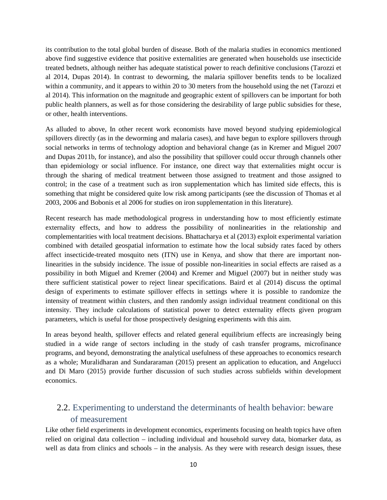its contribution to the total global burden of disease. Both of the malaria studies in economics mentioned above find suggestive evidence that positive externalities are generated when households use insecticide treated bednets, although neither has adequate statistical power to reach definitive conclusions (Tarozzi et al 2014, Dupas 2014). In contrast to deworming, the malaria spillover benefits tends to be localized within a community, and it appears to within 20 to 30 meters from the household using the net (Tarozzi et al 2014). This information on the magnitude and geographic extent of spillovers can be important for both public health planners, as well as for those considering the desirability of large public subsidies for these, or other, health interventions.

As alluded to above, In other recent work economists have moved beyond studying epidemiological spillovers directly (as in the deworming and malaria cases), and have begun to explore spillovers through social networks in terms of technology adoption and behavioral change (as in Kremer and Miguel 2007 and Dupas 2011b, for instance), and also the possibility that spillover could occur through channels other than epidemiology or social influence. For instance, one direct way that externalities might occur is through the sharing of medical treatment between those assigned to treatment and those assigned to control; in the case of a treatment such as iron supplementation which has limited side effects, this is something that might be considered quite low risk among participants (see the discussion of Thomas et al 2003, 2006 and Bobonis et al 2006 for studies on iron supplementation in this literature).

Recent research has made methodological progress in understanding how to most efficiently estimate externality effects, and how to address the possibility of nonlinearities in the relationship and complementarities with local treatment decisions. Bhattacharya et al (2013) exploit experimental variation combined with detailed geospatial information to estimate how the local subsidy rates faced by others affect insecticide-treated mosquito nets (ITN) use in Kenya, and show that there are important nonlinearities in the subsidy incidence. The issue of possible non-linearities in social effects are raised as a possibility in both Miguel and Kremer (2004) and Kremer and Miguel (2007) but in neither study was there sufficient statistical power to reject linear specifications. Baird et al (2014) discuss the optimal design of experiments to estimate spillover effects in settings where it is possible to randomize the intensity of treatment within clusters, and then randomly assign individual treatment conditional on this intensity. They include calculations of statistical power to detect externality effects given program parameters, which is useful for those prospectively designing experiments with this aim.

In areas beyond health, spillover effects and related general equilibrium effects are increasingly being studied in a wide range of sectors including in the study of cash transfer programs, microfinance programs, and beyond, demonstrating the analytical usefulness of these approaches to economics research as a whole; Muralidharan and Sundararaman (2015) present an application to education, and Angelucci and Di Maro (2015) provide further discussion of such studies across subfields within development economics.

## <span id="page-10-0"></span>2.2. Experimenting to understand the determinants of health behavior: beware of measurement

Like other field experiments in development economics, experiments focusing on health topics have often relied on original data collection – including individual and household survey data, biomarker data, as well as data from clinics and schools – in the analysis. As they were with research design issues, these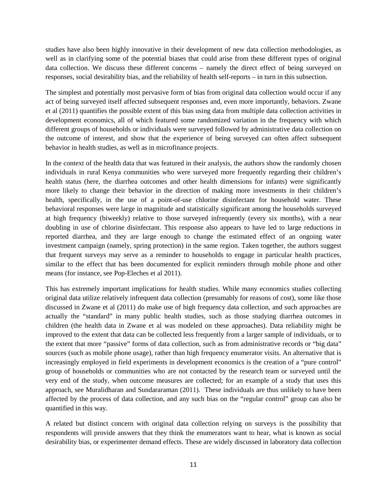studies have also been highly innovative in their development of new data collection methodologies, as well as in clarifying some of the potential biases that could arise from these different types of original data collection. We discuss these different concerns – namely the direct effect of being surveyed on responses, social desirability bias, and the reliability of health self-reports – in turn in this subsection.

The simplest and potentially most pervasive form of bias from original data collection would occur if any act of being surveyed itself affected subsequent responses and, even more importantly, behaviors. Zwane et al (2011) quantifies the possible extent of this bias using data from multiple data collection activities in development economics, all of which featured some randomized variation in the frequency with which different groups of households or individuals were surveyed followed by administrative data collection on the outcome of interest, and show that the experience of being surveyed can often affect subsequent behavior in health studies, as well as in microfinance projects.

In the context of the health data that was featured in their analysis, the authors show the randomly chosen individuals in rural Kenya communities who were surveyed more frequently regarding their children's health status (here, the diarrhea outcomes and other health dimensions for infants) were significantly more likely to change their behavior in the direction of making more investments in their children's health, specifically, in the use of a point-of-use chlorine disinfectant for household water. These behavioral responses were large in magnitude and statistically significant among the households surveyed at high frequency (biweekly) relative to those surveyed infrequently (every six months), with a near doubling in use of chlorine disinfectant. This response also appears to have led to large reductions in reported diarrhea, and they are large enough to change the estimated effect of an ongoing water investment campaign (namely, spring protection) in the same region. Taken together, the authors suggest that frequent surveys may serve as a reminder to households to engage in particular health practices, similar to the effect that has been documented for explicit reminders through mobile phone and other means (for instance, see Pop-Eleches et al 2011).

This has extremely important implications for health studies. While many economics studies collecting original data utilize relatively infrequent data collection (presumably for reasons of cost), some like those discussed in Zwane et al (2011) do make use of high frequency data collection, and such approaches are actually the "standard" in many public health studies, such as those studying diarrhea outcomes in children (the health data in Zwane et al was modeled on these approaches). Data reliability might be improved to the extent that data can be collected less frequently from a larger sample of individuals, or to the extent that more "passive" forms of data collection, such as from administrative records or "big data" sources (such as mobile phone usage), rather than high frequency enumerator visits. An alternative that is increasingly employed in field experiments in development economics is the creation of a "pure control" group of households or communities who are not contacted by the research team or surveyed until the very end of the study, when outcome measures are collected; for an example of a study that uses this approach, see Muralidharan and Sundararaman (2011). These individuals are thus unlikely to have been affected by the process of data collection, and any such bias on the "regular control" group can also be quantified in this way.

A related but distinct concern with original data collection relying on surveys is the possibility that respondents will provide answers that they think the enumerators want to hear, what is known as social desirability bias, or experimenter demand effects. These are widely discussed in laboratory data collection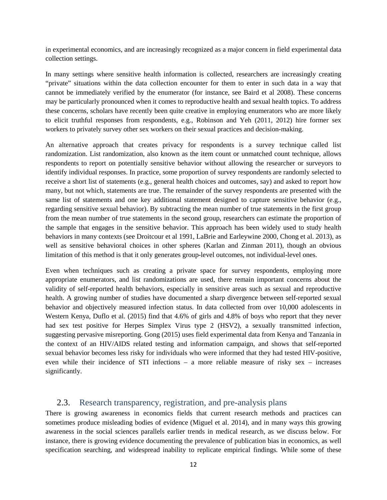in experimental economics, and are increasingly recognized as a major concern in field experimental data collection settings.

In many settings where sensitive health information is collected, researchers are increasingly creating "private" situations within the data collection encounter for them to enter in such data in a way that cannot be immediately verified by the enumerator (for instance, see Baird et al 2008). These concerns may be particularly pronounced when it comes to reproductive health and sexual health topics. To address these concerns, scholars have recently been quite creative in employing enumerators who are more likely to elicit truthful responses from respondents, e.g., Robinson and Yeh (2011, 2012) hire former sex workers to privately survey other sex workers on their sexual practices and decision-making.

An alternative approach that creates privacy for respondents is a survey technique called list randomization. List randomization, also known as the item count or unmatched count technique, allows respondents to report on potentially sensitive behavior without allowing the researcher or surveyors to identify individual responses. In practice, some proportion of survey respondents are randomly selected to receive a short list of statements (e.g., general health choices and outcomes, say) and asked to report how many, but not which, statements are true. The remainder of the survey respondents are presented with the same list of statements and one key additional statement designed to capture sensitive behavior (e.g., regarding sensitive sexual behavior). By subtracting the mean number of true statements in the first group from the mean number of true statements in the second group, researchers can estimate the proportion of the sample that engages in the sensitive behavior. This approach has been widely used to study health behaviors in many contexts (see Droitcour et al 1991, LaBrie and Earleywine 2000, Chong et al. 2013), as well as sensitive behavioral choices in other spheres (Karlan and Zinman 2011), though an obvious limitation of this method is that it only generates group-level outcomes, not individual-level ones.

Even when techniques such as creating a private space for survey respondents, employing more appropriate enumerators, and list randomizations are used, there remain important concerns about the validity of self-reported health behaviors, especially in sensitive areas such as sexual and reproductive health. A growing number of studies have documented a sharp divergence between self-reported sexual behavior and objectively measured infection status. In data collected from over 10,000 adolescents in Western Kenya, Duflo et al. (2015) find that 4.6% of girls and 4.8% of boys who report that they never had sex test positive for Herpes Simplex Virus type 2 (HSV2), a sexually transmitted infection, suggesting pervasive misreporting. Gong (2015) uses field experimental data from Kenya and Tanzania in the context of an HIV/AIDS related testing and information campaign, and shows that self-reported sexual behavior becomes less risky for individuals who were informed that they had tested HIV-positive, even while their incidence of STI infections – a more reliable measure of risky sex – increases significantly.

### <span id="page-12-0"></span>2.3. Research transparency, registration, and pre-analysis plans

There is growing awareness in economics fields that current research methods and practices can sometimes produce misleading bodies of evidence (Miguel et al. 2014), and in many ways this growing awareness in the social sciences parallels earlier trends in medical research, as we discuss below. For instance, there is growing evidence documenting the prevalence of publication bias in economics, as well specification searching, and widespread inability to replicate empirical findings. While some of these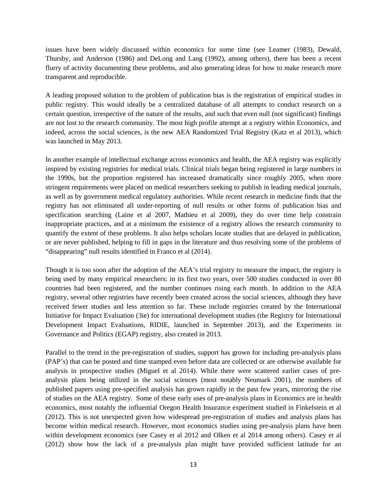issues have been widely discussed within economics for some time (see Leamer (1983), Dewald, Thursby, and Anderson (1986) and DeLong and Lang (1992), among others), there has been a recent flurry of activity documenting these problems, and also generating ideas for how to make research more transparent and reproducible.

A leading proposed solution to the problem of publication bias is the registration of empirical studies in public registry. This would ideally be a centralized database of all attempts to conduct research on a certain question, irrespective of the nature of the results, and such that even null (not significant) findings are not lost to the research community. The most high profile attempt at a registry within Economics, and indeed, across the social sciences, is the new AEA Randomized Trial Registry (Katz et al 2013), which was launched in May 2013.

In another example of intellectual exchange across economics and health, the AEA registry was explicitly inspired by existing registries for medical trials. Clinical trials began being registered in large numbers in the 1990s, but the proportion registered has increased dramatically since roughly 2005, when more stringent requirements were placed on medical researchers seeking to publish in leading medical journals, as well as by government medical regulatory authorities. While recent research in medicine finds that the registry has not eliminated all under-reporting of null results or other forms of publication bias and specification searching (Laine et al 2007, Mathieu et al 2009), they do over time help constrain inappropriate practices, and at a minimum the existence of a registry allows the research community to quantify the extent of these problems. It also helps scholars locate studies that are delayed in publication, or are never published, helping to fill in gaps in the literature and thus resolving some of the problems of "disappearing" null results identified in Franco et al (2014).

Though it is too soon after the adoption of the AEA's trial registry to measure the impact, the registry is being used by many empirical researchers: in its first two years, over 500 studies conducted in over 80 countries had been registered, and the number continues rising each month. In addition to the AEA registry, several other registries have recently been created across the social sciences, although they have received fewer studies and less attention so far. These include registries created by the International Initiative for Impact Evaluation (3ie) for international development studies (the Registry for International Development Impact Evaluations, RIDIE, launched in September 2013), and the Experiments in Governance and Politics (EGAP) registry, also created in 2013.

Parallel to the trend in the pre-registration of studies, support has grown for including pre-analysis plans (PAP's) that can be posted and time stamped even before data are collected or are otherwise available for analysis in prospective studies (Miguel et al 2014). While there were scattered earlier cases of preanalysis plans being utilized in the social sciences (most notably Neumark 2001), the numbers of published papers using pre-specified analysis has grown rapidly in the past few years, mirroring the rise of studies on the AEA registry. Some of these early uses of pre-analysis plans in Economics are in health economics, most notably the influential Oregon Health Insurance experiment studied in Finkelstein et al (2012). This is not unexpected given how widespread pre-registration of studies and analysis plans has become within medical research. However, most economics studies using pre-analysis plans have been within development economics (see Casey et al 2012 and Olken et al 2014 among others). Casey et al (2012) show how the lack of a pre-analysis plan might have provided sufficient latitude for an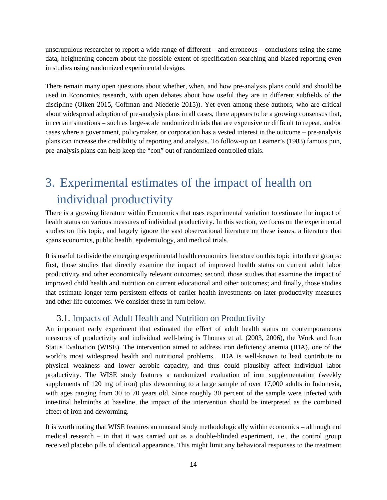unscrupulous researcher to report a wide range of different – and erroneous – conclusions using the same data, heightening concern about the possible extent of specification searching and biased reporting even in studies using randomized experimental designs.

There remain many open questions about whether, when, and how pre-analysis plans could and should be used in Economics research, with open debates about how useful they are in different subfields of the discipline (Olken 2015, Coffman and Niederle 2015)). Yet even among these authors, who are critical about widespread adoption of pre-analysis plans in all cases, there appears to be a growing consensus that, in certain situations – such as large-scale randomized trials that are expensive or difficult to repeat, and/or cases where a government, policymaker, or corporation has a vested interest in the outcome – pre-analysis plans can increase the credibility of reporting and analysis. To follow-up on Leamer's (1983) famous pun, pre-analysis plans can help keep the "con" out of randomized controlled trials.

# <span id="page-14-0"></span>3. Experimental estimates of the impact of health on individual productivity

There is a growing literature within Economics that uses experimental variation to estimate the impact of health status on various measures of individual productivity. In this section, we focus on the experimental studies on this topic, and largely ignore the vast observational literature on these issues, a literature that spans economics, public health, epidemiology, and medical trials.

It is useful to divide the emerging experimental health economics literature on this topic into three groups: first, those studies that directly examine the impact of improved health status on current adult labor productivity and other economically relevant outcomes; second, those studies that examine the impact of improved child health and nutrition on current educational and other outcomes; and finally, those studies that estimate longer-term persistent effects of earlier health investments on later productivity measures and other life outcomes. We consider these in turn below.

## <span id="page-14-1"></span>3.1. Impacts of Adult Health and Nutrition on Productivity

An important early experiment that estimated the effect of adult health status on contemporaneous measures of productivity and individual well-being is Thomas et al. (2003, 2006), the Work and Iron Status Evaluation (WISE). The intervention aimed to address iron deficiency anemia (IDA), one of the world's most widespread health and nutritional problems. IDA is well-known to lead contribute to physical weakness and lower aerobic capacity, and thus could plausibly affect individual labor productivity. The WISE study features a randomized evaluation of iron supplementation (weekly supplements of 120 mg of iron) plus deworming to a large sample of over 17,000 adults in Indonesia, with ages ranging from 30 to 70 years old. Since roughly 30 percent of the sample were infected with intestinal helminths at baseline, the impact of the intervention should be interpreted as the combined effect of iron and deworming.

It is worth noting that WISE features an unusual study methodologically within economics – although not medical research – in that it was carried out as a double-blinded experiment, i.e., the control group received placebo pills of identical appearance. This might limit any behavioral responses to the treatment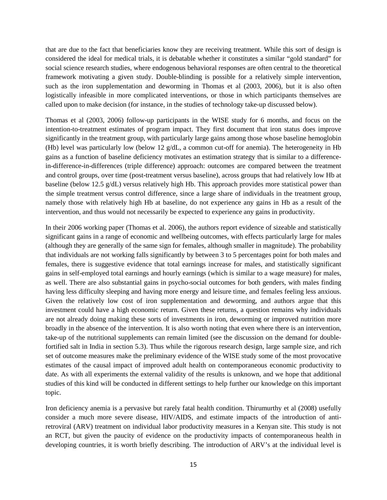that are due to the fact that beneficiaries know they are receiving treatment. While this sort of design is considered the ideal for medical trials, it is debatable whether it constitutes a similar "gold standard" for social science research studies, where endogenous behavioral responses are often central to the theoretical framework motivating a given study. Double-blinding is possible for a relatively simple intervention, such as the iron supplementation and deworming in Thomas et al (2003, 2006), but it is also often logistically infeasible in more complicated interventions, or those in which participants themselves are called upon to make decision (for instance, in the studies of technology take-up discussed below).

Thomas et al (2003, 2006) follow-up participants in the WISE study for 6 months, and focus on the intention-to-treatment estimates of program impact. They first document that iron status does improve significantly in the treatment group, with particularly large gains among those whose baseline hemoglobin (Hb) level was particularly low (below 12 g/dL, a common cut-off for anemia). The heterogeneity in Hb gains as a function of baseline deficiency motivates an estimation strategy that is similar to a differencein-difference-in-differences (triple difference) approach: outcomes are compared between the treatment and control groups, over time (post-treatment versus baseline), across groups that had relatively low Hb at baseline (below 12.5 g/dL) versus relatively high Hb. This approach provides more statistical power than the simple treatment versus control difference, since a large share of individuals in the treatment group, namely those with relatively high Hb at baseline, do not experience any gains in Hb as a result of the intervention, and thus would not necessarily be expected to experience any gains in productivity.

In their 2006 working paper (Thomas et al. 2006), the authors report evidence of sizeable and statistically significant gains in a range of economic and wellbeing outcomes, with effects particularly large for males (although they are generally of the same sign for females, although smaller in magnitude). The probability that individuals are not working falls significantly by between 3 to 5 percentages point for both males and females, there is suggestive evidence that total earnings increase for males, and statistically significant gains in self-employed total earnings and hourly earnings (which is similar to a wage measure) for males, as well. There are also substantial gains in psycho-social outcomes for both genders, with males finding having less difficulty sleeping and having more energy and leisure time, and females feeling less anxious. Given the relatively low cost of iron supplementation and deworming, and authors argue that this investment could have a high economic return. Given these returns, a question remains why individuals are not already doing making these sorts of investments in iron, deworming or improved nutrition more broadly in the absence of the intervention. It is also worth noting that even where there is an intervention, take-up of the nutritional supplements can remain limited (see the discussion on the demand for doublefortified salt in India in section 5.3). Thus while the rigorous research design, large sample size, and rich set of outcome measures make the preliminary evidence of the WISE study some of the most provocative estimates of the causal impact of improved adult health on contemporaneous economic productivity to date. As with all experiments the external validity of the results is unknown, and we hope that additional studies of this kind will be conducted in different settings to help further our knowledge on this important topic.

Iron deficiency anemia is a pervasive but rarely fatal health condition. Thirumurthy et al (2008) usefully consider a much more severe disease, HIV/AIDS, and estimate impacts of the introduction of antiretroviral (ARV) treatment on individual labor productivity measures in a Kenyan site. This study is not an RCT, but given the paucity of evidence on the productivity impacts of contemporaneous health in developing countries, it is worth briefly describing. The introduction of ARV's at the individual level is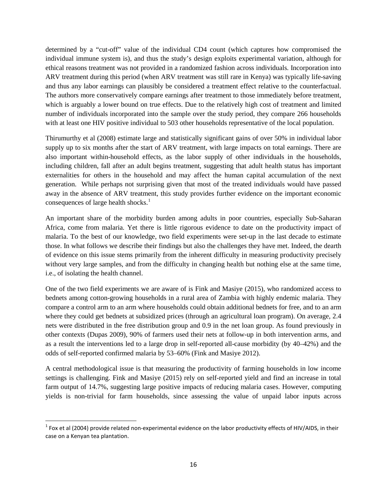determined by a "cut-off" value of the individual CD4 count (which captures how compromised the individual immune system is), and thus the study's design exploits experimental variation, although for ethical reasons treatment was not provided in a randomized fashion across individuals. Incorporation into ARV treatment during this period (when ARV treatment was still rare in Kenya) was typically life-saving and thus any labor earnings can plausibly be considered a treatment effect relative to the counterfactual. The authors more conservatively compare earnings after treatment to those immediately before treatment, which is arguably a lower bound on true effects. Due to the relatively high cost of treatment and limited number of individuals incorporated into the sample over the study period, they compare 266 households with at least one HIV positive individual to 503 other households representative of the local population.

Thirumurthy et al (2008) estimate large and statistically significant gains of over 50% in individual labor supply up to six months after the start of ARV treatment, with large impacts on total earnings. There are also important within-household effects, as the labor supply of other individuals in the households, including children, fall after an adult begins treatment, suggesting that adult health status has important externalities for others in the household and may affect the human capital accumulation of the next generation. While perhaps not surprising given that most of the treated individuals would have passed away in the absence of ARV treatment, this study provides further evidence on the important economic consequences of large health shocks.<sup>1</sup>

An important share of the morbidity burden among adults in poor countries, especially Sub-Saharan Africa, come from malaria. Yet there is little rigorous evidence to date on the productivity impact of malaria. To the best of our knowledge, two field experiments were set-up in the last decade to estimate those. In what follows we describe their findings but also the challenges they have met. Indeed, the dearth of evidence on this issue stems primarily from the inherent difficulty in measuring productivity precisely without very large samples, and from the difficulty in changing health but nothing else at the same time, i.e., of isolating the health channel.

One of the two field experiments we are aware of is Fink and Masiye (2015), who randomized access to bednets among cotton-growing households in a rural area of Zambia with highly endemic malaria. They compare a control arm to an arm where households could obtain additional bednets for free, and to an arm where they could get bednets at subsidized prices (through an agricultural loan program). On average, 2.4 nets were distributed in the free distribution group and 0.9 in the net loan group. As found previously in other contexts (Dupas 2009), 90% of farmers used their nets at follow-up in both intervention arms, and as a result the interventions led to a large drop in self-reported all-cause morbidity (by 40–42%) and the odds of self-reported confirmed malaria by 53–60% (Fink and Masiye 2012).

A central methodological issue is that measuring the productivity of farming households in low income settings is challenging. Fink and Masiye (2015) rely on self-reported yield and find an increase in total farm output of 14.7%, suggesting large positive impacts of reducing malaria cases. However, computing yields is non-trivial for farm households, since assessing the value of unpaid labor inputs across

 $\overline{a}$ 

 $1$  Fox et al (2004) provide related non-experimental evidence on the labor productivity effects of HIV/AIDS, in their case on a Kenyan tea plantation.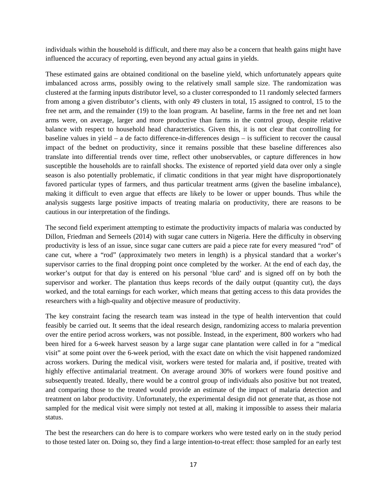individuals within the household is difficult, and there may also be a concern that health gains might have influenced the accuracy of reporting, even beyond any actual gains in yields.

These estimated gains are obtained conditional on the baseline yield, which unfortunately appears quite imbalanced across arms, possibly owing to the relatively small sample size. The randomization was clustered at the farming inputs distributor level, so a cluster corresponded to 11 randomly selected farmers from among a given distributor's clients, with only 49 clusters in total, 15 assigned to control, 15 to the free net arm, and the remainder (19) to the loan program. At baseline, farms in the free net and net loan arms were, on average, larger and more productive than farms in the control group, despite relative balance with respect to household head characteristics. Given this, it is not clear that controlling for baseline values in yield – a de facto difference-in-differences design – is sufficient to recover the causal impact of the bednet on productivity, since it remains possible that these baseline differences also translate into differential trends over time, reflect other unobservables, or capture differences in how susceptible the households are to rainfall shocks. The existence of reported yield data over only a single season is also potentially problematic, if climatic conditions in that year might have disproportionately favored particular types of farmers, and thus particular treatment arms (given the baseline imbalance), making it difficult to even argue that effects are likely to be lower or upper bounds. Thus while the analysis suggests large positive impacts of treating malaria on productivity, there are reasons to be cautious in our interpretation of the findings.

The second field experiment attempting to estimate the productivity impacts of malaria was conducted by Dillon, Friedman and Serneels (2014) with sugar cane cutters in Nigeria. Here the difficulty in observing productivity is less of an issue, since sugar cane cutters are paid a piece rate for every measured "rod" of cane cut, where a "rod" (approximately two meters in length) is a physical standard that a worker's supervisor carries to the final dropping point once completed by the worker. At the end of each day, the worker's output for that day is entered on his personal 'blue card' and is signed off on by both the supervisor and worker. The plantation thus keeps records of the daily output (quantity cut), the days worked, and the total earnings for each worker, which means that getting access to this data provides the researchers with a high-quality and objective measure of productivity.

The key constraint facing the research team was instead in the type of health intervention that could feasibly be carried out. It seems that the ideal research design, randomizing access to malaria prevention over the entire period across workers, was not possible. Instead, in the experiment, 800 workers who had been hired for a 6-week harvest season by a large sugar cane plantation were called in for a "medical visit" at some point over the 6-week period, with the exact date on which the visit happened randomized across workers. During the medical visit, workers were tested for malaria and, if positive, treated with highly effective antimalarial treatment. On average around 30% of workers were found positive and subsequently treated. Ideally, there would be a control group of individuals also positive but not treated, and comparing those to the treated would provide an estimate of the impact of malaria detection and treatment on labor productivity. Unfortunately, the experimental design did not generate that, as those not sampled for the medical visit were simply not tested at all, making it impossible to assess their malaria status.

The best the researchers can do here is to compare workers who were tested early on in the study period to those tested later on. Doing so, they find a large intention-to-treat effect: those sampled for an early test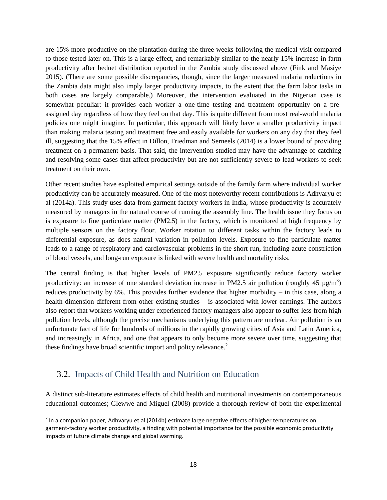are 15% more productive on the plantation during the three weeks following the medical visit compared to those tested later on. This is a large effect, and remarkably similar to the nearly 15% increase in farm productivity after bednet distribution reported in the Zambia study discussed above (Fink and Masiye 2015). (There are some possible discrepancies, though, since the larger measured malaria reductions in the Zambia data might also imply larger productivity impacts, to the extent that the farm labor tasks in both cases are largely comparable.) Moreover, the intervention evaluated in the Nigerian case is somewhat peculiar: it provides each worker a one-time testing and treatment opportunity on a preassigned day regardless of how they feel on that day. This is quite different from most real-world malaria policies one might imagine. In particular, this approach will likely have a smaller productivity impact than making malaria testing and treatment free and easily available for workers on any day that they feel ill, suggesting that the 15% effect in Dillon, Friedman and Serneels (2014) is a lower bound of providing treatment on a permanent basis. That said, the intervention studied may have the advantage of catching and resolving some cases that affect productivity but are not sufficiently severe to lead workers to seek treatment on their own.

Other recent studies have exploited empirical settings outside of the family farm where individual worker productivity can be accurately measured. One of the most noteworthy recent contributions is Adhvaryu et al (2014a). This study uses data from garment-factory workers in India, whose productivity is accurately measured by managers in the natural course of running the assembly line. The health issue they focus on is exposure to fine particulate matter (PM2.5) in the factory, which is monitored at high frequency by multiple sensors on the factory floor. Worker rotation to different tasks within the factory leads to differential exposure, as does natural variation in pollution levels. Exposure to fine particulate matter leads to a range of respiratory and cardiovascular problems in the short-run, including acute constriction of blood vessels, and long-run exposure is linked with severe health and mortality risks.

The central finding is that higher levels of PM2.5 exposure significantly reduce factory worker productivity: an increase of one standard deviation increase in PM2.5 air pollution (roughly 45  $\mu$ g/m<sup>3</sup>) reduces productivity by 6%. This provides further evidence that higher morbidity – in this case, along a health dimension different from other existing studies – is associated with lower earnings. The authors also report that workers working under experienced factory managers also appear to suffer less from high pollution levels, although the precise mechanisms underlying this pattern are unclear. Air pollution is an unfortunate fact of life for hundreds of millions in the rapidly growing cities of Asia and Latin America, and increasingly in Africa, and one that appears to only become more severe over time, suggesting that these findings have broad scientific import and policy relevance.<sup>[2](#page-18-1)</sup>

## <span id="page-18-0"></span>3.2. Impacts of Child Health and Nutrition on Education

 $\overline{\phantom{a}}$ 

A distinct sub-literature estimates effects of child health and nutritional investments on contemporaneous educational outcomes; Glewwe and Miguel (2008) provide a thorough review of both the experimental

<span id="page-18-1"></span> $2$  In a companion paper, Adhvaryu et al (2014b) estimate large negative effects of higher temperatures on garment-factory worker productivity, a finding with potential importance for the possible economic productivity impacts of future climate change and global warming.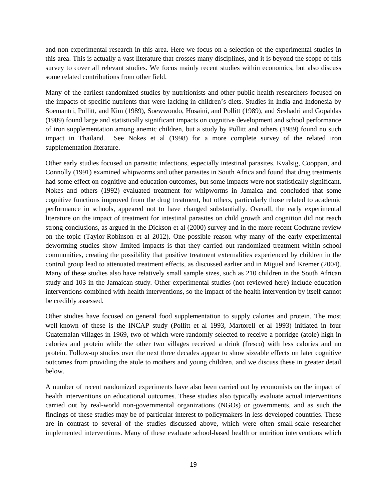and non-experimental research in this area. Here we focus on a selection of the experimental studies in this area. This is actually a vast literature that crosses many disciplines, and it is beyond the scope of this survey to cover all relevant studies. We focus mainly recent studies within economics, but also discuss some related contributions from other field.

Many of the earliest randomized studies by nutritionists and other public health researchers focused on the impacts of specific nutrients that were lacking in children's diets. Studies in India and Indonesia by Soemantri, Pollitt, and Kim (1989), Soewwondo, Husaini, and Pollitt (1989), and Seshadri and Gopaldas (1989) found large and statistically significant impacts on cognitive development and school performance of iron supplementation among anemic children, but a study by Pollitt and others (1989) found no such impact in Thailand. See Nokes et al (1998) for a more complete survey of the related iron supplementation literature.

Other early studies focused on parasitic infections, especially intestinal parasites. Kvalsig, Cooppan, and Connolly (1991) examined whipworms and other parasites in South Africa and found that drug treatments had some effect on cognitive and education outcomes, but some impacts were not statistically significant. Nokes and others (1992) evaluated treatment for whipworms in Jamaica and concluded that some cognitive functions improved from the drug treatment, but others, particularly those related to academic performance in schools, appeared not to have changed substantially. Overall, the early experimental literature on the impact of treatment for intestinal parasites on child growth and cognition did not reach strong conclusions, as argued in the Dickson et al (2000) survey and in the more recent Cochrane review on the topic (Taylor-Robinson et al 2012). One possible reason why many of the early experimental deworming studies show limited impacts is that they carried out randomized treatment within school communities, creating the possibility that positive treatment externalities experienced by children in the control group lead to attenuated treatment effects, as discussed earlier and in Miguel and Kremer (2004). Many of these studies also have relatively small sample sizes, such as 210 children in the South African study and 103 in the Jamaican study. Other experimental studies (not reviewed here) include education interventions combined with health interventions, so the impact of the health intervention by itself cannot be credibly assessed.

Other studies have focused on general food supplementation to supply calories and protein. The most well-known of these is the INCAP study (Pollitt et al 1993, Martorell et al 1993) initiated in four Guatemalan villages in 1969, two of which were randomly selected to receive a porridge (atole) high in calories and protein while the other two villages received a drink (fresco) with less calories and no protein. Follow-up studies over the next three decades appear to show sizeable effects on later cognitive outcomes from providing the atole to mothers and young children, and we discuss these in greater detail below.

A number of recent randomized experiments have also been carried out by economists on the impact of health interventions on educational outcomes. These studies also typically evaluate actual interventions carried out by real-world non-governmental organizations (NGOs) or governments, and as such the findings of these studies may be of particular interest to policymakers in less developed countries. These are in contrast to several of the studies discussed above, which were often small-scale researcher implemented interventions. Many of these evaluate school-based health or nutrition interventions which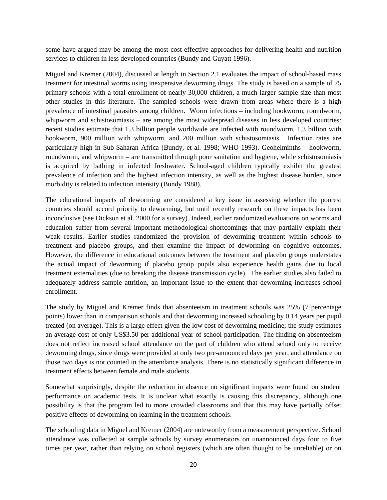some have argued may be among the most cost-effective approaches for delivering health and nutrition services to children in less developed countries (Bundy and Guyatt 1996).

Miguel and Kremer (2004), discussed at length in Section 2.1 evaluates the impact of school-based mass treatment for intestinal worms using inexpensive deworming drugs. The study is based on a sample of 75 primary schools with a total enrollment of nearly 30,000 children, a much larger sample size than most other studies in this literature. The sampled schools were drawn from areas where there is a high prevalence of intestinal parasites among children. Worm infections – including hookworm, roundworm, whipworm and schistosomiasis – are among the most widespread diseases in less developed countries: recent studies estimate that 1.3 billion people worldwide are infected with roundworm, 1.3 billion with hookworm, 900 million with whipworm, and 200 million with schistosomiasis. Infection rates are particularly high in Sub-Saharan Africa (Bundy, et al. 1998; WHO 1993). Geohelminths – hookworm, roundworm, and whipworm – are transmitted through poor sanitation and hygiene, while schistosomiasis is acquired by bathing in infected freshwater. School-aged children typically exhibit the greatest prevalence of infection and the highest infection intensity, as well as the highest disease burden, since morbidity is related to infection intensity (Bundy 1988).

The educational impacts of deworming are considered a key issue in assessing whether the poorest countries should accord priority to deworming, but until recently research on these impacts has been inconclusive (see Dickson et al. 2000 for a survey). Indeed, earlier randomized evaluations on worms and education suffer from several important methodological shortcomings that may partially explain their weak results. Earlier studies randomized the provision of deworming treatment within schools to treatment and placebo groups, and then examine the impact of deworming on cognitive outcomes. However, the difference in educational outcomes between the treatment and placebo groups understates the actual impact of deworming if placebo group pupils also experience health gains due to local treatment externalities (due to breaking the disease transmission cycle). The earlier studies also failed to adequately address sample attrition, an important issue to the extent that deworming increases school enrollment.

The study by Miguel and Kremer finds that absenteeism in treatment schools was 25% (7 percentage points) lower than in comparison schools and that deworming increased schooling by 0.14 years per pupil treated (on average). This is a large effect given the low cost of deworming medicine; the study estimates an average cost of only US\$3.50 per additional year of school participation. The finding on absenteeism does not reflect increased school attendance on the part of children who attend school only to receive deworming drugs, since drugs were provided at only two pre-announced days per year, and attendance on those two days is not counted in the attendance analysis. There is no statistically significant difference in treatment effects between female and male students.

Somewhat surprisingly, despite the reduction in absence no significant impacts were found on student performance on academic tests. It is unclear what exactly is causing this discrepancy, although one possibility is that the program led to more crowded classrooms and that this may have partially offset positive effects of deworming on learning in the treatment schools.

The schooling data in Miguel and Kremer (2004) are noteworthy from a measurement perspective. School attendance was collected at sample schools by survey enumerators on unannounced days four to five times per year, rather than relying on school registers (which are often thought to be unreliable) or on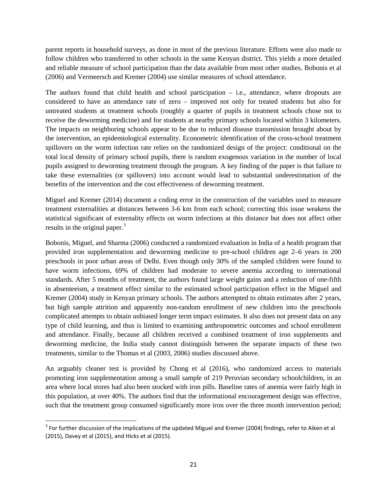parent reports in household surveys, as done in most of the previous literature. Efforts were also made to follow children who transferred to other schools in the same Kenyan district. This yields a more detailed and reliable measure of school participation than the data available from most other studies. Bobonis et al (2006) and Vermeersch and Kremer (2004) use similar measures of school attendance.

The authors found that child health and school participation – i.e., attendance, where dropouts are considered to have an attendance rate of zero – improved not only for treated students but also for untreated students at treatment schools (roughly a quarter of pupils in treatment schools chose not to receive the deworming medicine) and for students at nearby primary schools located within 3 kilometers. The impacts on neighboring schools appear to be due to reduced disease transmission brought about by the intervention, an epidemiological externality. Econometric identification of the cross-school treatment spillovers on the worm infection rate relies on the randomized design of the project: conditional on the total local density of primary school pupils, there is random exogenous variation in the number of local pupils assigned to deworming treatment through the program. A key finding of the paper is that failure to take these externalities (or spillovers) into account would lead to substantial underestimation of the benefits of the intervention and the cost effectiveness of deworming treatment.

Miguel and Kremer (2014) document a coding error in the construction of the variables used to measure treatment externalities at distances between 3-6 km from each school; correcting this issue weakens the statistical significant of externality effects on worm infections at this distance but does not affect other results in the original paper.<sup>[3](#page-21-0)</sup>

Bobonis, Miguel, and Sharma (2006) conducted a randomized evaluation in India of a health program that provided iron supplementation and deworming medicine to pre-school children age 2–6 years in 200 preschools in poor urban areas of Delhi. Even though only 30% of the sampled children were found to have worm infections, 69% of children had moderate to severe anemia according to international standards. After 5 months of treatment, the authors found large weight gains and a reduction of one-fifth in absenteeism, a treatment effect similar to the estimated school participation effect in the Miguel and Kremer (2004) study in Kenyan primary schools. The authors attempted to obtain estimates after 2 years, but high sample attrition and apparently non-random enrollment of new children into the preschools complicated attempts to obtain unbiased longer term impact estimates. It also does not present data on any type of child learning, and thus is limited to examining anthropometric outcomes and school enrollment and attendance. Finally, because all children received a combined treatment of iron supplements and deworming medicine, the India study cannot distinguish between the separate impacts of these two treatments, similar to the Thomas et al (2003, 2006) studies discussed above.

An arguably cleaner test is provided by Chong et al (2016), who randomized access to materials promoting iron supplementation among a small sample of 219 Peruvian secondary schoolchildren, in an area where local stores had also been stocked with iron pills. Baseline rates of anemia were fairly high in this population, at over 40%. The authors find that the informational encouragement design was effective, such that the treatment group consumed significantly more iron over the three month intervention period;

 $\overline{a}$ 

<span id="page-21-0"></span><sup>&</sup>lt;sup>3</sup> For further discussion of the implications of the updated Miguel and Kremer (2004) findings, refer to Aiken et al (2015), Davey et al (2015), and Hicks et al (2015).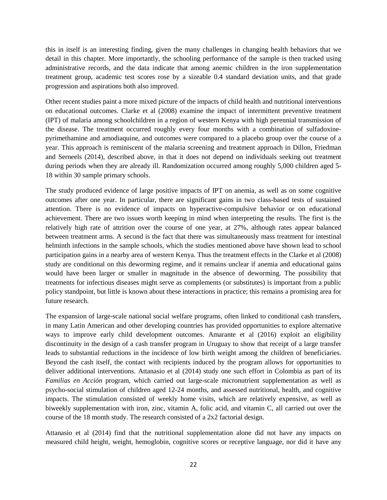this in itself is an interesting finding, given the many challenges in changing health behaviors that we detail in this chapter. More importantly, the schooling performance of the sample is then tracked using administrative records, and the data indicate that among anemic children in the iron supplementation treatment group, academic test scores rose by a sizeable 0.4 standard deviation units, and that grade progression and aspirations both also improved.

Other recent studies paint a more mixed picture of the impacts of child health and nutritional interventions on educational outcomes. Clarke et al (2008) examine the impact of intermittent preventive treatment (IPT) of malaria among schoolchildren in a region of western Kenya with high perennial transmission of the disease. The treatment occurred roughly every four months with a combination of sulfadoxinepyrimethamine and amodiaquine, and outcomes were compared to a placebo group over the course of a year. This approach is reminiscent of the malaria screening and treatment approach in Dillon, Friedman and Serneels (2014), described above, in that it does not depend on individuals seeking out treatment during periods when they are already ill. Randomization occurred among roughly 5,000 children aged 5- 18 within 30 sample primary schools.

The study produced evidence of large positive impacts of IPT on anemia, as well as on some cognitive outcomes after one year. In particular, there are significant gains in two class-based tests of sustained attention. There is no evidence of impacts on hyperactive-compulsive behavior or on educational achievement. There are two issues worth keeping in mind when interpreting the results. The first is the relatively high rate of attrition over the course of one year, at 27%, although rates appear balanced between treatment arms. A second is the fact that there was simultaneously mass treatment for intestinal helminth infections in the sample schools, which the studies mentioned above have shown lead to school participation gains in a nearby area of western Kenya. Thus the treatment effects in the Clarke et al (2008) study are conditional on this deworming regime, and it remains unclear if anemia and educational gains would have been larger or smaller in magnitude in the absence of deworming. The possibility that treatments for infectious diseases might serve as complements (or substitutes) is important from a public policy standpoint, but little is known about these interactions in practice; this remains a promising area for future research.

The expansion of large-scale national social welfare programs, often linked to conditional cash transfers, in many Latin American and other developing countries has provided opportunities to explore alternative ways to improve early child development outcomes. Amarante et al (2016) exploit an eligibility discontinuity in the design of a cash transfer program in Uruguay to show that receipt of a large transfer leads to substantial reductions in the incidence of low birth weight among the children of beneficiaries. Beyond the cash itself, the contact with recipients induced by the program allows for opportunities to deliver additional interventions. Attanasio et al (2014) study one such effort in Colombia as part of its *Familias en Acción* program, which carried out large-scale micronutrient supplementation as well as psycho-social stimulation of children aged 12-24 months, and assessed nutritional, health, and cognitive impacts. The stimulation consisted of weekly home visits, which are relatively expensive, as well as biweekly supplementation with iron, zinc, vitamin A, folic acid, and vitamin C, all carried out over the course of the 18 month study. The research consisted of a 2x2 factorial design.

Attanasio et al (2014) find that the nutritional supplementation alone did not have any impacts on measured child height, weight, hemoglobin, cognitive scores or receptive language, nor did it have any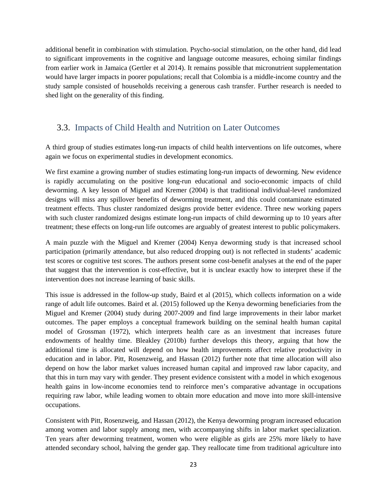additional benefit in combination with stimulation. Psycho-social stimulation, on the other hand, did lead to significant improvements in the cognitive and language outcome measures, echoing similar findings from earlier work in Jamaica (Gertler et al 2014). It remains possible that micronutrient supplementation would have larger impacts in poorer populations; recall that Colombia is a middle-income country and the study sample consisted of households receiving a generous cash transfer. Further research is needed to shed light on the generality of this finding.

## <span id="page-23-0"></span>3.3. Impacts of Child Health and Nutrition on Later Outcomes

A third group of studies estimates long-run impacts of child health interventions on life outcomes, where again we focus on experimental studies in development economics.

We first examine a growing number of studies estimating long-run impacts of deworming. New evidence is rapidly accumulating on the positive long-run educational and socio-economic impacts of child deworming. A key lesson of Miguel and Kremer (2004) is that traditional individual-level randomized designs will miss any spillover benefits of deworming treatment, and this could contaminate estimated treatment effects. Thus cluster randomized designs provide better evidence. Three new working papers with such cluster randomized designs estimate long-run impacts of child deworming up to 10 years after treatment; these effects on long-run life outcomes are arguably of greatest interest to public policymakers.

A main puzzle with the Miguel and Kremer (2004) Kenya deworming study is that increased school participation (primarily attendance, but also reduced dropping out) is not reflected in students' academic test scores or cognitive test scores. The authors present some cost-benefit analyses at the end of the paper that suggest that the intervention is cost-effective, but it is unclear exactly how to interpret these if the intervention does not increase learning of basic skills.

This issue is addressed in the follow-up study, Baird et al (2015), which collects information on a wide range of adult life outcomes. Baird et al. (2015) followed up the Kenya deworming beneficiaries from the Miguel and Kremer (2004) study during 2007-2009 and find large improvements in their labor market outcomes. The paper employs a conceptual framework building on the seminal health human capital model of Grossman (1972), which interprets health care as an investment that increases future endowments of healthy time. Bleakley (2010b) further develops this theory, arguing that how the additional time is allocated will depend on how health improvements affect relative productivity in education and in labor. Pitt, Rosenzweig, and Hassan (2012) further note that time allocation will also depend on how the labor market values increased human capital and improved raw labor capacity, and that this in turn may vary with gender. They present evidence consistent with a model in which exogenous health gains in low-income economies tend to reinforce men's comparative advantage in occupations requiring raw labor, while leading women to obtain more education and move into more skill-intensive occupations.

Consistent with Pitt, Rosenzweig, and Hassan (2012), the Kenya deworming program increased education among women and labor supply among men, with accompanying shifts in labor market specialization. Ten years after deworming treatment, women who were eligible as girls are 25% more likely to have attended secondary school, halving the gender gap. They reallocate time from traditional agriculture into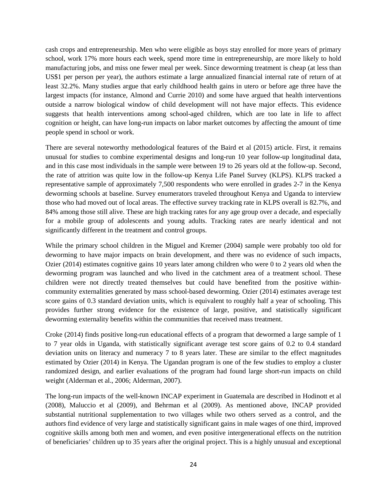cash crops and entrepreneurship. Men who were eligible as boys stay enrolled for more years of primary school, work 17% more hours each week, spend more time in entrepreneurship, are more likely to hold manufacturing jobs, and miss one fewer meal per week. Since deworming treatment is cheap (at less than US\$1 per person per year), the authors estimate a large annualized financial internal rate of return of at least 32.2%. Many studies argue that early childhood health gains in utero or before age three have the largest impacts (for instance, Almond and Currie 2010) and some have argued that health interventions outside a narrow biological window of child development will not have major effects. This evidence suggests that health interventions among school-aged children, which are too late in life to affect cognition or height, can have long-run impacts on labor market outcomes by affecting the amount of time people spend in school or work.

There are several noteworthy methodological features of the Baird et al (2015) article. First, it remains unusual for studies to combine experimental designs and long-run 10 year follow-up longitudinal data, and in this case most individuals in the sample were between 19 to 26 years old at the follow-up. Second, the rate of attrition was quite low in the follow-up Kenya Life Panel Survey (KLPS). KLPS tracked a representative sample of approximately 7,500 respondents who were enrolled in grades 2-7 in the Kenya deworming schools at baseline. Survey enumerators traveled throughout Kenya and Uganda to interview those who had moved out of local areas. The effective survey tracking rate in KLPS overall is 82.7%, and 84% among those still alive. These are high tracking rates for any age group over a decade, and especially for a mobile group of adolescents and young adults. Tracking rates are nearly identical and not significantly different in the treatment and control groups.

While the primary school children in the Miguel and Kremer (2004) sample were probably too old for deworming to have major impacts on brain development, and there was no evidence of such impacts, Ozier (2014) estimates cognitive gains 10 years later among children who were 0 to 2 years old when the deworming program was launched and who lived in the catchment area of a treatment school. These children were not directly treated themselves but could have benefited from the positive withincommunity externalities generated by mass school-based deworming. Ozier (2014) estimates average test score gains of 0.3 standard deviation units, which is equivalent to roughly half a year of schooling. This provides further strong evidence for the existence of large, positive, and statistically significant deworming externality benefits within the communities that received mass treatment.

Croke (2014) finds positive long-run educational effects of a program that dewormed a large sample of 1 to 7 year olds in Uganda, with statistically significant average test score gains of 0.2 to 0.4 standard deviation units on literacy and numeracy 7 to 8 years later. These are similar to the effect magnitudes estimated by Ozier (2014) in Kenya. The Ugandan program is one of the few studies to employ a cluster randomized design, and earlier evaluations of the program had found large short-run impacts on child weight (Alderman et al., 2006; Alderman, 2007).

The long-run impacts of the well-known INCAP experiment in Guatemala are described in Hodinott et al (2008), Maluccio et al (2009), and Behrman et al (2009). As mentioned above, INCAP provided substantial nutritional supplementation to two villages while two others served as a control, and the authors find evidence of very large and statistically significant gains in male wages of one third, improved cognitive skills among both men and women, and even positive intergenerational effects on the nutrition of beneficiaries' children up to 35 years after the original project. This is a highly unusual and exceptional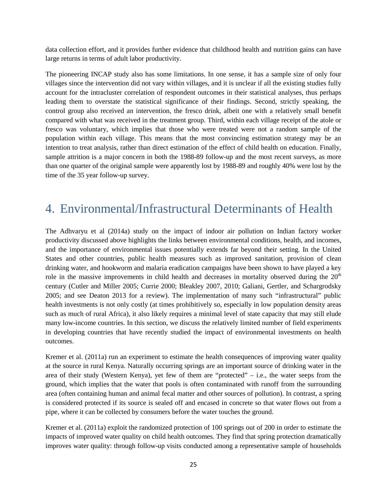data collection effort, and it provides further evidence that childhood health and nutrition gains can have large returns in terms of adult labor productivity.

The pioneering INCAP study also has some limitations. In one sense, it has a sample size of only four villages since the intervention did not vary within villages, and it is unclear if all the existing studies fully account for the intracluster correlation of respondent outcomes in their statistical analyses, thus perhaps leading them to overstate the statistical significance of their findings. Second, strictly speaking, the control group also received an intervention, the fresco drink, albeit one with a relatively small benefit compared with what was received in the treatment group. Third, within each village receipt of the atole or fresco was voluntary, which implies that those who were treated were not a random sample of the population within each village. This means that the most convincing estimation strategy may be an intention to treat analysis, rather than direct estimation of the effect of child health on education. Finally, sample attrition is a major concern in both the 1988-89 follow-up and the most recent surveys, as more than one quarter of the original sample were apparently lost by 1988-89 and roughly 40% were lost by the time of the 35 year follow-up survey.

# <span id="page-25-0"></span>4. Environmental/Infrastructural Determinants of Health

The Adhvaryu et al (2014a) study on the impact of indoor air pollution on Indian factory worker productivity discussed above highlights the links between environmental conditions, health, and incomes, and the importance of environmental issues potentially extends far beyond their setting. In the United States and other countries, public health measures such as improved sanitation, provision of clean drinking water, and hookworm and malaria eradication campaigns have been shown to have played a key role in the massive improvements in child health and decreases in mortality observed during the  $20<sup>th</sup>$ century (Cutler and Miller 2005; Currie 2000; Bleakley 2007, 2010; Galiani, Gertler, and Schargrodsky 2005; and see Deaton 2013 for a review). The implementation of many such "infrastructural" public health investments is not only costly (at times prohibitively so, especially in low population density areas such as much of rural Africa), it also likely requires a minimal level of state capacity that may still elude many low-income countries. In this section, we discuss the relatively limited number of field experiments in developing countries that have recently studied the impact of environmental investments on health outcomes.

Kremer et al. (2011a) run an experiment to estimate the health consequences of improving water quality at the source in rural Kenya. Naturally occurring springs are an important source of drinking water in the area of their study (Western Kenya), yet few of them are "protected" – i.e., the water seeps from the ground, which implies that the water that pools is often contaminated with runoff from the surrounding area (often containing human and animal fecal matter and other sources of pollution). In contrast, a spring is considered protected if its source is sealed off and encased in concrete so that water flows out from a pipe, where it can be collected by consumers before the water touches the ground.

Kremer et al. (2011a) exploit the randomized protection of 100 springs out of 200 in order to estimate the impacts of improved water quality on child health outcomes. They find that spring protection dramatically improves water quality: through follow-up visits conducted among a representative sample of households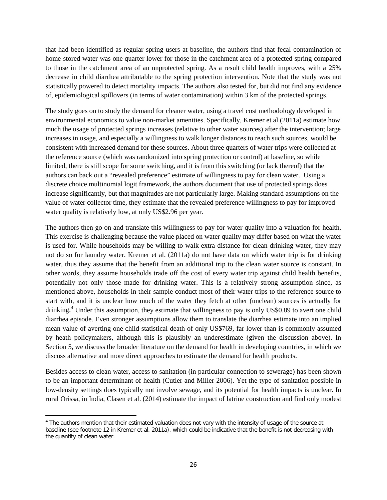that had been identified as regular spring users at baseline, the authors find that fecal contamination of home-stored water was one quarter lower for those in the catchment area of a protected spring compared to those in the catchment area of an unprotected spring. As a result child health improves, with a 25% decrease in child diarrhea attributable to the spring protection intervention. Note that the study was not statistically powered to detect mortality impacts. The authors also tested for, but did not find any evidence of, epidemiological spillovers (in terms of water contamination) within 3 km of the protected springs.

The study goes on to study the demand for cleaner water, using a travel cost methodology developed in environmental economics to value non-market amenities. Specifically, Kremer et al (2011a) estimate how much the usage of protected springs increases (relative to other water sources) after the intervention; large increases in usage, and especially a willingness to walk longer distances to reach such sources, would be consistent with increased demand for these sources. About three quarters of water trips were collected at the reference source (which was randomized into spring protection or control) at baseline, so while limited, there is still scope for some switching, and it is from this switching (or lack thereof) that the authors can back out a "revealed preference" estimate of willingness to pay for clean water. Using a discrete choice multinomial logit framework, the authors document that use of protected springs does increase significantly, but that magnitudes are not particularly large. Making standard assumptions on the value of water collector time, they estimate that the revealed preference willingness to pay for improved water quality is relatively low, at only US\$2.96 per year.

The authors then go on and translate this willingness to pay for water quality into a valuation for health. This exercise is challenging because the value placed on water quality may differ based on what the water is used for. While households may be willing to walk extra distance for clean drinking water, they may not do so for laundry water. Kremer et al. (2011a) do not have data on which water trip is for drinking water, thus they assume that the benefit from an additional trip to the clean water source is constant. In other words, they assume households trade off the cost of every water trip against child health benefits, potentially not only those made for drinking water. This is a relatively strong assumption since, as mentioned above, households in their sample conduct most of their water trips to the reference source to start with, and it is unclear how much of the water they fetch at other (unclean) sources is actually for drinking.<sup>[4](#page-26-0)</sup> Under this assumption, they estimate that willingness to pay is only US\$0.89 to avert one child diarrhea episode. Even stronger assumptions allow them to translate the diarrhea estimate into an implied mean value of averting one child statistical death of only US\$769, far lower than is commonly assumed by heath policymakers, although this is plausibly an underestimate (given the discussion above). In Section 5, we discuss the broader literature on the demand for health in developing countries, in which we discuss alternative and more direct approaches to estimate the demand for health products.

Besides access to clean water, access to sanitation (in particular connection to sewerage) has been shown to be an important determinant of health (Cutler and Miller 2006). Yet the type of sanitation possible in low-density settings does typically not involve sewage, and its potential for health impacts is unclear. In rural Orissa, in India, Clasen et al. (2014) estimate the impact of latrine construction and find only modest

l

<span id="page-26-0"></span><sup>&</sup>lt;sup>4</sup> The authors mention that their estimated valuation does not vary with the intensity of usage of the source at baseline (see footnote 12 in Kremer et al. 2011a), which could be indicative that the benefit is not decreasing with the quantity of clean water.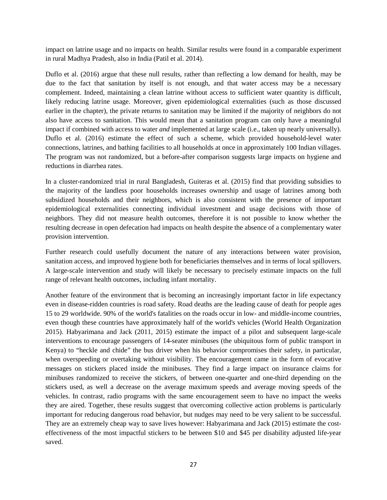impact on latrine usage and no impacts on health. Similar results were found in a comparable experiment in rural Madhya Pradesh, also in India (Patil et al. 2014).

Duflo et al. (2016) argue that these null results, rather than reflecting a low demand for health, may be due to the fact that sanitation by itself is not enough, and that water access may be a necessary complement. Indeed, maintaining a clean latrine without access to sufficient water quantity is difficult, likely reducing latrine usage. Moreover, given epidemiological externalities (such as those discussed earlier in the chapter), the private returns to sanitation may be limited if the majority of neighbors do not also have access to sanitation. This would mean that a sanitation program can only have a meaningful impact if combined with access to water *and* implemented at large scale (i.e., taken up nearly universally). Duflo et al. (2016) estimate the effect of such a scheme, which provided household-level water connections, latrines, and bathing facilities to all households at once in approximately 100 Indian villages. The program was not randomized, but a before-after comparison suggests large impacts on hygiene and reductions in diarrhea rates.

In a cluster-randomized trial in rural Bangladesh, Guiteras et al. (2015) find that providing subsidies to the majority of the landless poor households increases ownership and usage of latrines among both subsidized households and their neighbors, which is also consistent with the presence of important epidemiological externalities connecting individual investment and usage decisions with those of neighbors. They did not measure health outcomes, therefore it is not possible to know whether the resulting decrease in open defecation had impacts on health despite the absence of a complementary water provision intervention.

Further research could usefully document the nature of any interactions between water provision, sanitation access, and improved hygiene both for beneficiaries themselves and in terms of local spillovers. A large-scale intervention and study will likely be necessary to precisely estimate impacts on the full range of relevant health outcomes, including infant mortality.

Another feature of the environment that is becoming an increasingly important factor in life expectancy even in disease-ridden countries is road safety. Road deaths are the leading cause of death for people ages 15 to 29 worldwide. 90% of the world's fatalities on the roads occur in low- and middle-income countries, even though these countries have approximately half of the world's vehicles (World Health Organization 2015). Habyarimana and Jack (2011, 2015) estimate the impact of a pilot and subsequent large-scale interventions to encourage passengers of 14-seater minibuses (the ubiquitous form of public transport in Kenya) to "heckle and chide" the bus driver when his behavior compromises their safety, in particular, when overspeeding or overtaking without visibility. The encouragement came in the form of evocative messages on stickers placed inside the minibuses. They find a large impact on insurance claims for minibuses randomized to receive the stickers, of between one-quarter and one-third depending on the stickers used, as well a decrease on the average maximum speeds and average moving speeds of the vehicles. In contrast, radio programs with the same encouragement seem to have no impact the weeks they are aired. Together, these results suggest that overcoming collective action problems is particularly important for reducing dangerous road behavior, but nudges may need to be very salient to be successful. They are an extremely cheap way to save lives however: Habyarimana and Jack (2015) estimate the costeffectiveness of the most impactful stickers to be between \$10 and \$45 per disability adjusted life-year saved.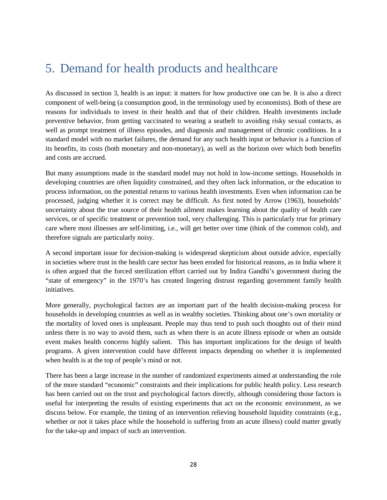# <span id="page-28-0"></span>5. Demand for health products and healthcare

As discussed in section 3, health is an input: it matters for how productive one can be. It is also a direct component of well-being (a consumption good, in the terminology used by economists). Both of these are reasons for individuals to invest in their health and that of their children. Health investments include preventive behavior, from getting vaccinated to wearing a seatbelt to avoiding risky sexual contacts, as well as prompt treatment of illness episodes, and diagnosis and management of chronic conditions. In a standard model with no market failures, the demand for any such health input or behavior is a function of its benefits, its costs (both monetary and non-monetary), as well as the horizon over which both benefits and costs are accrued.

But many assumptions made in the standard model may not hold in low-income settings. Households in developing countries are often liquidity constrained, and they often lack information, or the education to process information, on the potential returns to various health investments. Even when information can be processed, judging whether it is correct may be difficult. As first noted by Arrow (1963), households' uncertainty about the true source of their health ailment makes learning about the quality of health care services, or of specific treatment or prevention tool, very challenging. This is particularly true for primary care where most illnesses are self-limiting, i.e., will get better over time (think of the common cold), and therefore signals are particularly noisy.

A second important issue for decision-making is widespread skepticism about outside advice, especially in societies where trust in the health care sector has been eroded for historical reasons, as in India where it is often argued that the forced sterilization effort carried out by Indira Gandhi's government during the "state of emergency" in the 1970's has created lingering distrust regarding government family health initiatives.

More generally, psychological factors are an important part of the health decision-making process for households in developing countries as well as in wealthy societies. Thinking about one's own mortality or the mortality of loved ones is unpleasant. People may thus tend to push such thoughts out of their mind unless there is no way to avoid them, such as when there is an acute illness episode or when an outside event makes health concerns highly salient. This has important implications for the design of health programs. A given intervention could have different impacts depending on whether it is implemented when health is at the top of people's mind or not.

There has been a large increase in the number of randomized experiments aimed at understanding the role of the more standard "economic" constraints and their implications for public health policy. Less research has been carried out on the trust and psychological factors directly, although considering those factors is useful for interpreting the results of existing experiments that act on the economic environment, as we discuss below. For example, the timing of an intervention relieving household liquidity constraints (e.g., whether or not it takes place while the household is suffering from an acute illness) could matter greatly for the take-up and impact of such an intervention.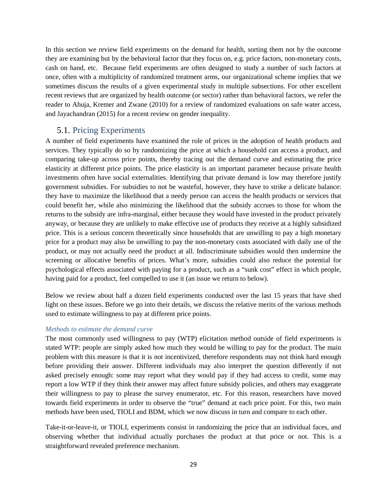In this section we review field experiments on the demand for health, sorting them not by the outcome they are examining but by the behavioral factor that they focus on, e.g. price factors, non-monetary costs, cash on hand, etc. Because field experiments are often designed to study a number of such factors at once, often with a multiplicity of randomized treatment arms, our organizational scheme implies that we sometimes discuss the results of a given experimental study in multiple subsections. For other excellent recent reviews that are organized by health outcome (or sector) rather than behavioral factors, we refer the reader to Ahuja, Kremer and Zwane (2010) for a review of randomized evaluations on safe water access, and Jayachandran (2015) for a recent review on gender inequality.

### <span id="page-29-0"></span>5.1. Pricing Experiments

A number of field experiments have examined the role of prices in the adoption of health products and services. They typically do so by randomizing the price at which a household can access a product, and comparing take-up across price points, thereby tracing out the demand curve and estimating the price elasticity at different price points. The price elasticity is an important parameter because private health investments often have social externalities. Identifying that private demand is low may therefore justify government subsidies. For subsidies to not be wasteful, however, they have to strike a delicate balance: they have to maximize the likelihood that a needy person can access the health products or services that could benefit her, while also minimizing the likelihood that the subsidy accrues to those for whom the returns to the subsidy are infra-marginal, either because they would have invested in the product privately anyway, or because they are unlikely to make effective use of products they receive at a highly subsidized price. This is a serious concern theoretically since households that are unwilling to pay a high monetary price for a product may also be unwilling to pay the non-monetary costs associated with daily use of the product, or may not actually need the product at all. Indiscriminate subsidies would then undermine the screening or allocative benefits of prices. What's more, subsidies could also reduce the potential for psychological effects associated with paying for a product, such as a "sunk cost" effect in which people, having paid for a product, feel compelled to use it (an issue we return to below).

Below we review about half a dozen field experiments conducted over the last 15 years that have shed light on these issues. Before we go into their details, we discuss the relative merits of the various methods used to estimate willingness to pay at different price points.

### *Methods to estimate the demand curve*

The most commonly used willingness to pay (WTP) elicitation method outside of field experiments is stated WTP: people are simply asked how much they would be willing to pay for the product. The main problem with this measure is that it is not incentivized, therefore respondents may not think hard enough before providing their answer. Different individuals may also interpret the question differently if not asked precisely enough: some may report what they would pay if they had access to credit, some may report a low WTP if they think their answer may affect future subsidy policies, and others may exaggerate their willingness to pay to please the survey enumerator, etc. For this reason, researchers have moved towards field experiments in order to observe the "true" demand at each price point. For this, two main methods have been used, TIOLI and BDM, which we now discuss in turn and compare to each other.

Take-it-or-leave-it, or TIOLI, experiments consist in randomizing the price that an individual faces, and observing whether that individual actually purchases the product at that price or not. This is a straightforward revealed preference mechanism.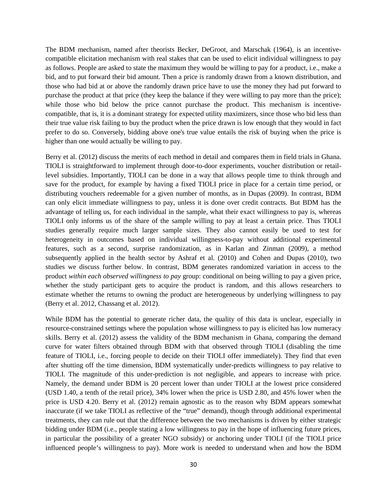The BDM mechanism, named after theorists Becker, DeGroot, and Marschak (1964), is an incentivecompatible elicitation mechanism with real stakes that can be used to elicit individual willingness to pay as follows. People are asked to state the maximum they would be willing to pay for a product, i.e., make a bid, and to put forward their bid amount. Then a price is randomly drawn from a known distribution, and those who had bid at or above the randomly drawn price have to use the money they had put forward to purchase the product at that price (they keep the balance if they were willing to pay more than the price); while those who bid below the price cannot purchase the product. This mechanism is incentivecompatible, that is, it is a dominant strategy for expected utility maximizers, since those who bid less than their true value risk failing to buy the product when the price drawn is low enough that they would in fact prefer to do so. Conversely, bidding above one's true value entails the risk of buying when the price is higher than one would actually be willing to pay.

Berry et al. (2012) discuss the merits of each method in detail and compares them in field trials in Ghana. TIOLI is straightforward to implement through door-to-door experiments, voucher distribution or retaillevel subsidies. Importantly, TIOLI can be done in a way that allows people time to think through and save for the product, for example by having a fixed TIOLI price in place for a certain time period, or distributing vouchers redeemable for a given number of months, as in Dupas (2009). In contrast, BDM can only elicit immediate willingness to pay, unless it is done over credit contracts. But BDM has the advantage of telling us, for each individual in the sample, what their exact willingness to pay is, whereas TIOLI only informs us of the share of the sample willing to pay at least a certain price. Thus TIOLI studies generally require much larger sample sizes. They also cannot easily be used to test for heterogeneity in outcomes based on individual willingness-to-pay without additional experimental features, such as a second, surprise randomization, as in Karlan and Zinman (2009), a method subsequently applied in the health sector by Ashraf et al. (2010) and Cohen and Dupas (2010), two studies we discuss further below. In contrast, BDM generates randomized variation in access to the product *within each observed willingness to pay* group: conditional on being willing to pay a given price, whether the study participant gets to acquire the product is random, and this allows researchers to estimate whether the returns to owning the product are heterogeneous by underlying willingness to pay (Berry et al. 2012, Chassang et al. 2012).

While BDM has the potential to generate richer data, the quality of this data is unclear, especially in resource-constrained settings where the population whose willingness to pay is elicited has low numeracy skills. Berry et al. (2012) assess the validity of the BDM mechanism in Ghana, comparing the demand curve for water filters obtained through BDM with that observed through TIOLI (disabling the time feature of TIOLI, i.e., forcing people to decide on their TIOLI offer immediately). They find that even after shutting off the time dimension, BDM systematically under-predicts willingness to pay relative to TIOLI. The magnitude of this under-prediction is not negligible, and appears to increase with price. Namely, the demand under BDM is 20 percent lower than under TIOLI at the lowest price considered (USD 1.40, a tenth of the retail price), 34% lower when the price is USD 2.80, and 45% lower when the price is USD 4.20. Berry et al. (2012) remain agnostic as to the reason why BDM appears somewhat inaccurate (if we take TIOLI as reflective of the "true" demand), though through additional experimental treatments, they can rule out that the difference between the two mechanisms is driven by either strategic bidding under BDM (i.e., people stating a low willingness to pay in the hope of influencing future prices, in particular the possibility of a greater NGO subsidy) or anchoring under TIOLI (if the TIOLI price influenced people's willingness to pay). More work is needed to understand when and how the BDM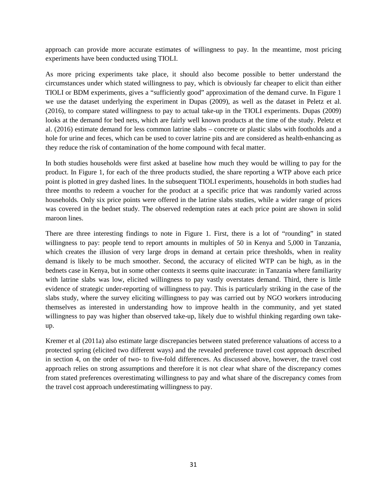approach can provide more accurate estimates of willingness to pay. In the meantime, most pricing experiments have been conducted using TIOLI.

As more pricing experiments take place, it should also become possible to better understand the circumstances under which stated willingness to pay, which is obviously far cheaper to elicit than either TIOLI or BDM experiments, gives a "sufficiently good" approximation of the demand curve. In Figure 1 we use the dataset underlying the experiment in Dupas (2009), as well as the dataset in Peletz et al. (2016), to compare stated willingness to pay to actual take-up in the TIOLI experiments. Dupas (2009) looks at the demand for bed nets, which are fairly well known products at the time of the study. Peletz et al. (2016) estimate demand for less common latrine slabs – concrete or plastic slabs with footholds and a hole for urine and feces, which can be used to cover latrine pits and are considered as health-enhancing as they reduce the risk of contamination of the home compound with fecal matter.

In both studies households were first asked at baseline how much they would be willing to pay for the product. In Figure 1, for each of the three products studied, the share reporting a WTP above each price point is plotted in grey dashed lines. In the subsequent TIOLI experiments, households in both studies had three months to redeem a voucher for the product at a specific price that was randomly varied across households. Only six price points were offered in the latrine slabs studies, while a wider range of prices was covered in the bednet study. The observed redemption rates at each price point are shown in solid maroon lines.

There are three interesting findings to note in Figure 1. First, there is a lot of "rounding" in stated willingness to pay: people tend to report amounts in multiples of 50 in Kenya and 5,000 in Tanzania, which creates the illusion of very large drops in demand at certain price thresholds, when in reality demand is likely to be much smoother. Second, the accuracy of elicited WTP can be high, as in the bednets case in Kenya, but in some other contexts it seems quite inaccurate: in Tanzania where familiarity with latrine slabs was low, elicited willingness to pay vastly overstates demand. Third, there is little evidence of strategic under-reporting of willingness to pay. This is particularly striking in the case of the slabs study, where the survey eliciting willingness to pay was carried out by NGO workers introducing themselves as interested in understanding how to improve health in the community, and yet stated willingness to pay was higher than observed take-up, likely due to wishful thinking regarding own takeup.

Kremer et al (2011a) also estimate large discrepancies between stated preference valuations of access to a protected spring (elicited two different ways) and the revealed preference travel cost approach described in section 4, on the order of two- to five-fold differences. As discussed above, however, the travel cost approach relies on strong assumptions and therefore it is not clear what share of the discrepancy comes from stated preferences overestimating willingness to pay and what share of the discrepancy comes from the travel cost approach underestimating willingness to pay.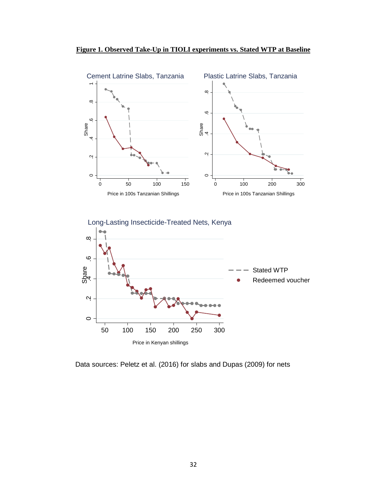

**Figure 1. Observed Take-Up in TIOLI experiments vs. Stated WTP at Baseline**

Data sources: Peletz et al. (2016) for slabs and Dupas (2009) for nets

Price in Kenyan shillings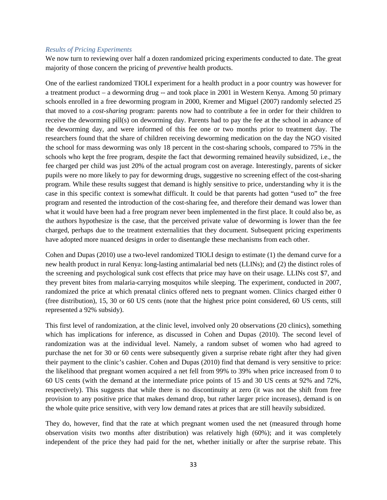#### *Results of Pricing Experiments*

We now turn to reviewing over half a dozen randomized pricing experiments conducted to date. The great majority of those concern the pricing of *preventive* health products.

One of the earliest randomized TIOLI experiment for a health product in a poor country was however for a treatment product – a deworming drug -- and took place in 2001 in Western Kenya. Among 50 primary schools enrolled in a free deworming program in 2000, Kremer and Miguel (2007) randomly selected 25 that moved to a *cost-sharing* program: parents now had to contribute a fee in order for their children to receive the deworming pill(s) on deworming day. Parents had to pay the fee at the school in advance of the deworming day, and were informed of this fee one or two months prior to treatment day. The researchers found that the share of children receiving deworming medication on the day the NGO visited the school for mass deworming was only 18 percent in the cost-sharing schools, compared to 75% in the schools who kept the free program, despite the fact that deworming remained heavily subsidized, i.e., the fee charged per child was just 20% of the actual program cost on average. Interestingly, parents of sicker pupils were no more likely to pay for deworming drugs, suggestive no screening effect of the cost-sharing program. While these results suggest that demand is highly sensitive to price, understanding why it is the case in this specific context is somewhat difficult. It could be that parents had gotten "used to" the free program and resented the introduction of the cost-sharing fee, and therefore their demand was lower than what it would have been had a free program never been implemented in the first place. It could also be, as the authors hypothesize is the case, that the perceived private value of deworming is lower than the fee charged, perhaps due to the treatment externalities that they document. Subsequent pricing experiments have adopted more nuanced designs in order to disentangle these mechanisms from each other.

Cohen and Dupas (2010) use a two-level randomized TIOLI design to estimate (1) the demand curve for a new health product in rural Kenya: long-lasting antimalarial bed nets (LLINs); and (2) the distinct roles of the screening and psychological sunk cost effects that price may have on their usage. LLINs cost \$7, and they prevent bites from malaria-carrying mosquitos while sleeping. The experiment, conducted in 2007, randomized the price at which prenatal clinics offered nets to pregnant women. Clinics charged either 0 (free distribution), 15, 30 or 60 US cents (note that the highest price point considered, 60 US cents, still represented a 92% subsidy).

This first level of randomization, at the clinic level, involved only 20 observations (20 clinics), something which has implications for inference, as discussed in Cohen and Dupas (2010). The second level of randomization was at the individual level. Namely, a random subset of women who had agreed to purchase the net for 30 or 60 cents were subsequently given a surprise rebate right after they had given their payment to the clinic's cashier. Cohen and Dupas (2010) find that demand is very sensitive to price: the likelihood that pregnant women acquired a net fell from 99% to 39% when price increased from 0 to 60 US cents (with the demand at the intermediate price points of 15 and 30 US cents at 92% and 72%, respectively). This suggests that while there is no discontinuity at zero (it was not the shift from free provision to any positive price that makes demand drop, but rather larger price increases), demand is on the whole quite price sensitive, with very low demand rates at prices that are still heavily subsidized.

They do, however, find that the rate at which pregnant women used the net (measured through home observation visits two months after distribution) was relatively high (60%); and it was completely independent of the price they had paid for the net, whether initially or after the surprise rebate. This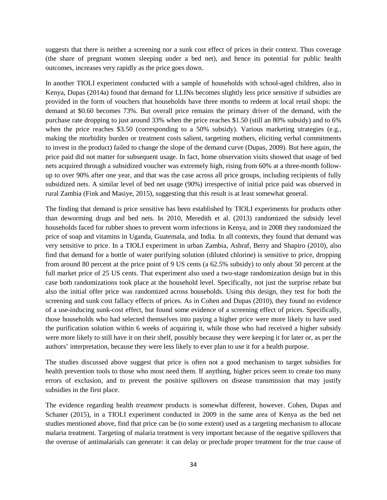suggests that there is neither a screening nor a sunk cost effect of prices in their context. Thus coverage (the share of pregnant women sleeping under a bed net), and hence its potential for public health outcomes, increases very rapidly as the price goes down.

In another TIOLI experiment conducted with a sample of households with school-aged children, also in Kenya, Dupas (2014a) found that demand for LLINs becomes slightly less price sensitive if subsidies are provided in the form of vouchers that households have three months to redeem at local retail shops: the demand at \$0.60 becomes 73%. But overall price remains the primary driver of the demand, with the purchase rate dropping to just around 33% when the price reaches \$1.50 (still an 80% subsidy) and to 6% when the price reaches \$3.50 (corresponding to a 50% subsidy). Various marketing strategies (e.g., making the morbidity burden or treatment costs salient, targeting mothers, eliciting verbal commitments to invest in the product) failed to change the slope of the demand curve (Dupas, 2009). But here again, the price paid did not matter for subsequent usage. In fact, home observation visits showed that usage of bed nets acquired through a subsidized voucher was extremely high, rising from 60% at a three-month followup to over 90% after one year, and that was the case across all price groups, including recipients of fully subsidized nets. A similar level of bed net usage (90%) irrespective of initial price paid was observed in rural Zambia (Fink and Masiye, 2015), suggesting that this result is at least somewhat general.

The finding that demand is price sensitive has been established by TIOLI experiments for products other than deworming drugs and bed nets. In 2010, Meredith et al. (2013) randomized the subsidy level households faced for rubber shoes to prevent worm infections in Kenya, and in 2008 they randomized the price of soap and vitamins in Uganda, Guatemala, and India. In all contexts, they found that demand was very sensitive to price. In a TIOLI experiment in urban Zambia, Ashraf, Berry and Shapiro (2010), also find that demand for a bottle of water purifying solution (diluted chlorine) is sensitive to price, dropping from around 80 percent at the price point of 9 US cents (a 62.5% subsidy) to only about 50 percent at the full market price of 25 US cents. That experiment also used a two-stage randomization design but in this case both randomizations took place at the household level. Specifically, not just the surprise rebate but also the initial offer price was randomized across households. Using this design, they test for both the screening and sunk cost fallacy effects of prices. As in Cohen and Dupas (2010), they found no evidence of a use-inducing sunk-cost effect, but found some evidence of a screening effect of prices. Specifically, those households who had selected themselves into paying a higher price were more likely to have used the purification solution within 6 weeks of acquiring it, while those who had received a higher subsidy were more likely to still have it on their shelf, possibly because they were keeping it for later or, as per the authors' interpretation, because they were less likely to ever plan to use it for a health purpose.

The studies discussed above suggest that price is often not a good mechanism to target subsidies for health prevention tools to those who most need them. If anything, higher prices seem to create too many errors of exclusion, and to prevent the positive spillovers on disease transmission that may justify subsidies in the first place.

The evidence regarding health *treatment* products is somewhat different, however. Cohen, Dupas and Schaner (2015), in a TIOLI experiment conducted in 2009 in the same area of Kenya as the bed net studies mentioned above, find that price can be (to some extent) used as a targeting mechanism to allocate malaria treatment. Targeting of malaria treatment is very important because of the negative spillovers that the overuse of antimalarials can generate: it can delay or preclude proper treatment for the true cause of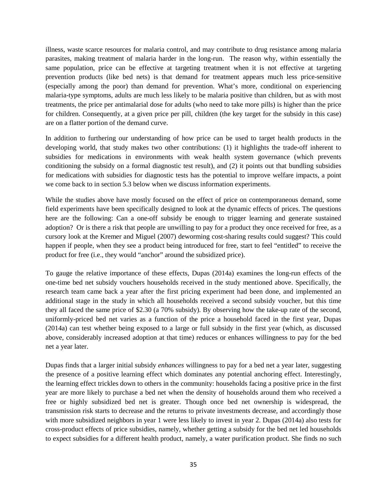illness, waste scarce resources for malaria control, and may contribute to drug resistance among malaria parasites, making treatment of malaria harder in the long-run. The reason why, within essentially the same population, price can be effective at targeting treatment when it is not effective at targeting prevention products (like bed nets) is that demand for treatment appears much less price-sensitive (especially among the poor) than demand for prevention. What's more, conditional on experiencing malaria-type symptoms, adults are much less likely to be malaria positive than children, but as with most treatments, the price per antimalarial dose for adults (who need to take more pills) is higher than the price for children. Consequently, at a given price per pill, children (the key target for the subsidy in this case) are on a flatter portion of the demand curve.

In addition to furthering our understanding of how price can be used to target health products in the developing world, that study makes two other contributions: (1) it highlights the trade-off inherent to subsidies for medications in environments with weak health system governance (which prevents conditioning the subsidy on a formal diagnostic test result), and (2) it points out that bundling subsidies for medications with subsidies for diagnostic tests has the potential to improve welfare impacts, a point we come back to in section 5.3 below when we discuss information experiments.

While the studies above have mostly focused on the effect of price on contemporaneous demand, some field experiments have been specifically designed to look at the dynamic effects of prices. The questions here are the following: Can a one-off subsidy be enough to trigger learning and generate sustained adoption? Or is there a risk that people are unwilling to pay for a product they once received for free, as a cursory look at the Kremer and Miguel (2007) deworming cost-sharing results could suggest? This could happen if people, when they see a product being introduced for free, start to feel "entitled" to receive the product for free (i.e., they would "anchor" around the subsidized price).

To gauge the relative importance of these effects, Dupas (2014a) examines the long-run effects of the one-time bed net subsidy vouchers households received in the study mentioned above. Specifically, the research team came back a year after the first pricing experiment had been done, and implemented an additional stage in the study in which all households received a second subsidy voucher, but this time they all faced the same price of \$2.30 (a 70% subsidy). By observing how the take-up rate of the second, uniformly-priced bed net varies as a function of the price a household faced in the first year, Dupas (2014a) can test whether being exposed to a large or full subsidy in the first year (which, as discussed above, considerably increased adoption at that time) reduces or enhances willingness to pay for the bed net a year later.

Dupas finds that a larger initial subsidy *enhances* willingness to pay for a bed net a year later, suggesting the presence of a positive learning effect which dominates any potential anchoring effect. Interestingly, the learning effect trickles down to others in the community: households facing a positive price in the first year are more likely to purchase a bed net when the density of households around them who received a free or highly subsidized bed net is greater. Though once bed net ownership is widespread, the transmission risk starts to decrease and the returns to private investments decrease, and accordingly those with more subsidized neighbors in year 1 were less likely to invest in year 2. Dupas (2014a) also tests for cross-product effects of price subsidies, namely, whether getting a subsidy for the bed net led households to expect subsidies for a different health product, namely, a water purification product. She finds no such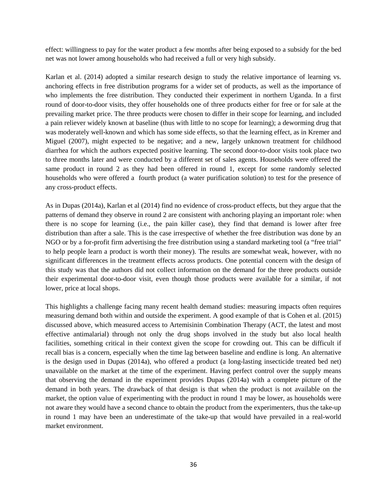effect: willingness to pay for the water product a few months after being exposed to a subsidy for the bed net was not lower among households who had received a full or very high subsidy.

Karlan et al. (2014) adopted a similar research design to study the relative importance of learning vs. anchoring effects in free distribution programs for a wider set of products, as well as the importance of who implements the free distribution. They conducted their experiment in northern Uganda. In a first round of door-to-door visits, they offer households one of three products either for free or for sale at the prevailing market price. The three products were chosen to differ in their scope for learning, and included a pain reliever widely known at baseline (thus with little to no scope for learning); a deworming drug that was moderately well-known and which has some side effects, so that the learning effect, as in Kremer and Miguel (2007), might expected to be negative; and a new, largely unknown treatment for childhood diarrhea for which the authors expected positive learning. The second door-to-door visits took place two to three months later and were conducted by a different set of sales agents. Households were offered the same product in round 2 as they had been offered in round 1, except for some randomly selected households who were offered a fourth product (a water purification solution) to test for the presence of any cross-product effects.

As in Dupas (2014a), Karlan et al (2014) find no evidence of cross-product effects, but they argue that the patterns of demand they observe in round 2 are consistent with anchoring playing an important role: when there is no scope for learning (i.e., the pain killer case), they find that demand is lower after free distribution than after a sale. This is the case irrespective of whether the free distribution was done by an NGO or by a for-profit firm advertising the free distribution using a standard marketing tool (a "free trial" to help people learn a product is worth their money). The results are somewhat weak, however, with no significant differences in the treatment effects across products. One potential concern with the design of this study was that the authors did not collect information on the demand for the three products outside their experimental door-to-door visit, even though those products were available for a similar, if not lower, price at local shops.

This highlights a challenge facing many recent health demand studies: measuring impacts often requires measuring demand both within and outside the experiment. A good example of that is Cohen et al. (2015) discussed above, which measured access to Artemisinin Combination Therapy (ACT, the latest and most effective antimalarial) through not only the drug shops involved in the study but also local health facilities, something critical in their context given the scope for crowding out. This can be difficult if recall bias is a concern, especially when the time lag between baseline and endline is long. An alternative is the design used in Dupas (2014a), who offered a product (a long-lasting insecticide treated bed net) unavailable on the market at the time of the experiment. Having perfect control over the supply means that observing the demand in the experiment provides Dupas (2014a) with a complete picture of the demand in both years. The drawback of that design is that when the product is not available on the market, the option value of experimenting with the product in round 1 may be lower, as households were not aware they would have a second chance to obtain the product from the experimenters, thus the take-up in round 1 may have been an underestimate of the take-up that would have prevailed in a real-world market environment.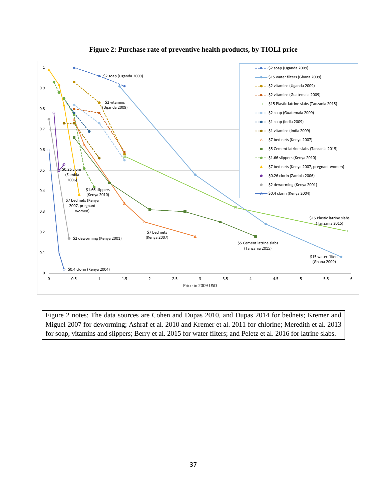

**Figure 2: Purchase rate of preventive health products, by TIOLI price**

Figure 2 notes: The data sources are Cohen and Dupas 2010, and Dupas 2014 for bednets; Kremer and Miguel 2007 for deworming; Ashraf et al. 2010 and Kremer et al. 2011 for chlorine; Meredith et al. 2013 for soap, vitamins and slippers; Berry et al. 2015 for water filters; and Peletz et al. 2016 for latrine slabs.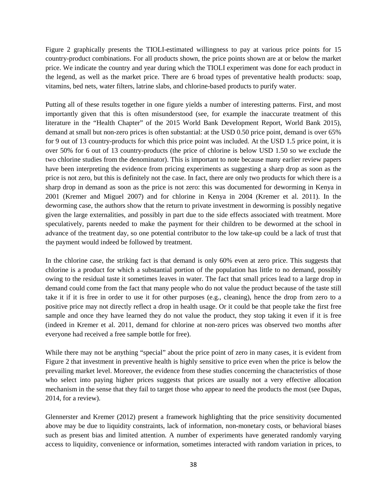Figure 2 graphically presents the TIOLI-estimated willingness to pay at various price points for 15 country-product combinations. For all products shown, the price points shown are at or below the market price. We indicate the country and year during which the TIOLI experiment was done for each product in the legend, as well as the market price. There are 6 broad types of preventative health products: soap, vitamins, bed nets, water filters, latrine slabs, and chlorine-based products to purify water.

Putting all of these results together in one figure yields a number of interesting patterns. First, and most importantly given that this is often misunderstood (see, for example the inaccurate treatment of this literature in the "Health Chapter" of the 2015 World Bank Development Report, World Bank 2015), demand at small but non-zero prices is often substantial: at the USD 0.50 price point, demand is over 65% for 9 out of 13 country-products for which this price point was included. At the USD 1.5 price point, it is over 50% for 6 out of 13 country-products (the price of chlorine is below USD 1.50 so we exclude the two chlorine studies from the denominator). This is important to note because many earlier review papers have been interpreting the evidence from pricing experiments as suggesting a sharp drop as soon as the price is not zero, but this is definitely not the case. In fact, there are only two products for which there is a sharp drop in demand as soon as the price is not zero: this was documented for deworming in Kenya in 2001 (Kremer and Miguel 2007) and for chlorine in Kenya in 2004 (Kremer et al. 2011). In the deworming case, the authors show that the return to private investment in deworming is possibly negative given the large externalities, and possibly in part due to the side effects associated with treatment. More speculatively, parents needed to make the payment for their children to be dewormed at the school in advance of the treatment day, so one potential contributor to the low take-up could be a lack of trust that the payment would indeed be followed by treatment.

In the chlorine case, the striking fact is that demand is only 60% even at zero price. This suggests that chlorine is a product for which a substantial portion of the population has little to no demand, possibly owing to the residual taste it sometimes leaves in water. The fact that small prices lead to a large drop in demand could come from the fact that many people who do not value the product because of the taste still take it if it is free in order to use it for other purposes (e.g., cleaning), hence the drop from zero to a positive price may not directly reflect a drop in health usage. Or it could be that people take the first free sample and once they have learned they do not value the product, they stop taking it even if it is free (indeed in Kremer et al. 2011, demand for chlorine at non-zero prices was observed two months after everyone had received a free sample bottle for free).

While there may not be anything "special" about the price point of zero in many cases, it is evident from Figure 2 that investment in preventive health is highly sensitive to price even when the price is below the prevailing market level. Moreover, the evidence from these studies concerning the characteristics of those who select into paying higher prices suggests that prices are usually not a very effective allocation mechanism in the sense that they fail to target those who appear to need the products the most (see Dupas, 2014, for a review).

Glennerster and Kremer (2012) present a framework highlighting that the price sensitivity documented above may be due to liquidity constraints, lack of information, non-monetary costs, or behavioral biases such as present bias and limited attention. A number of experiments have generated randomly varying access to liquidity, convenience or information, sometimes interacted with random variation in prices, to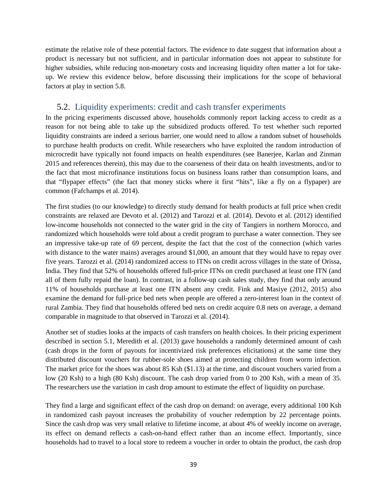estimate the relative role of these potential factors. The evidence to date suggest that information about a product is necessary but not sufficient, and in particular information does not appear to substitute for higher subsidies, while reducing non-monetary costs and increasing liquidity often matter a lot for takeup. We review this evidence below, before discussing their implications for the scope of behavioral factors at play in section 5.8.

## 5.2. Liquidity experiments: credit and cash transfer experiments

In the pricing experiments discussed above, households commonly report lacking access to credit as a reason for not being able to take up the subsidized products offered. To test whether such reported liquidity constraints are indeed a serious barrier, one would need to allow a random subset of households to purchase health products on credit. While researchers who have exploited the random introduction of microcredit have typically not found impacts on health expenditures (see Banerjee, Karlan and Zinman 2015 and references therein), this may due to the coarseness of their data on health investments, and/or to the fact that most microfinance institutions focus on business loans rather than consumption loans, and that "flypaper effects" (the fact that money sticks where it first "hits", like a fly on a flypaper) are common (Fafchamps et al. 2014).

The first studies (to our knowledge) to directly study demand for health products at full price when credit constraints are relaxed are Devoto et al. (2012) and Tarozzi et al. (2014). Devoto et al. (2012) identified low-income households not connected to the water grid in the city of Tangiers in northern Morocco, and randomized which households were told about a credit program to purchase a water connection. They see an impressive take-up rate of 69 percent, despite the fact that the cost of the connection (which varies with distance to the water mains) averages around \$1,000, an amount that they would have to repay over five years. Tarozzi et al. (2014) randomized access to ITNs on credit across villages in the state of Orissa, India. They find that 52% of households offered full-price ITNs on credit purchased at least one ITN (and all of them fully repaid the loan). In contrast, in a follow-up cash sales study, they find that only around 11% of households purchase at least one ITN absent any credit. Fink and Masiye (2012, 2015) also examine the demand for full-price bed nets when people are offered a zero-interest loan in the context of rural Zambia. They find that households offered bed nets on credit acquire 0.8 nets on average, a demand comparable in magnitude to that observed in Tarozzi et al. (2014).

Another set of studies looks at the impacts of cash transfers on health choices. In their pricing experiment described in section 5.1, Meredith et al. (2013) gave households a randomly determined amount of cash (cash drops in the form of payouts for incentivized risk preferences elicitations) at the same time they distributed discount vouchers for rubber-sole shoes aimed at protecting children from worm infection. The market price for the shoes was about 85 Ksh (\$1.13) at the time, and discount vouchers varied from a low (20 Ksh) to a high (80 Ksh) discount. The cash drop varied from 0 to 200 Ksh, with a mean of 35. The researchers use the variation in cash drop amount to estimate the effect of liquidity on purchase.

They find a large and significant effect of the cash drop on demand: on average, every additional 100 Ksh in randomized cash payout increases the probability of voucher redemption by 22 percentage points. Since the cash drop was very small relative to lifetime income, at about 4% of weekly income on average, its effect on demand reflects a cash-on-hand effect rather than an income effect. Importantly, since households had to travel to a local store to redeem a voucher in order to obtain the product, the cash drop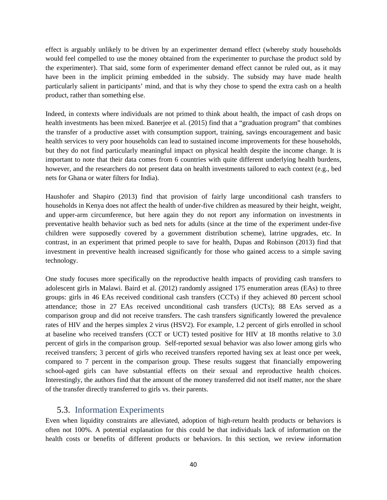effect is arguably unlikely to be driven by an experimenter demand effect (whereby study households would feel compelled to use the money obtained from the experimenter to purchase the product sold by the experimenter). That said, some form of experimenter demand effect cannot be ruled out, as it may have been in the implicit priming embedded in the subsidy. The subsidy may have made health particularly salient in participants' mind, and that is why they chose to spend the extra cash on a health product, rather than something else.

Indeed, in contexts where individuals are not primed to think about health, the impact of cash drops on health investments has been mixed. Banerjee et al. (2015) find that a "graduation program" that combines the transfer of a productive asset with consumption support, training, savings encouragement and basic health services to very poor households can lead to sustained income improvements for these households, but they do not find particularly meaningful impact on physical health despite the income change. It is important to note that their data comes from 6 countries with quite different underlying health burdens, however, and the researchers do not present data on health investments tailored to each context (e.g., bed nets for Ghana or water filters for India).

Haushofer and Shapiro (2013) find that provision of fairly large unconditional cash transfers to households in Kenya does not affect the health of under-five children as measured by their height, weight, and upper-arm circumference, but here again they do not report any information on investments in preventative health behavior such as bed nets for adults (since at the time of the experiment under-five children were supposedly covered by a government distribution scheme), latrine upgrades, etc. In contrast, in an experiment that primed people to save for health, Dupas and Robinson (2013) find that investment in preventive health increased significantly for those who gained access to a simple saving technology.

One study focuses more specifically on the reproductive health impacts of providing cash transfers to adolescent girls in Malawi. [Baird et al. \(2012\)](http://www.povertyactionlab.org/node/7821) randomly assigned 175 enumeration areas (EAs) to three groups: girls in 46 EAs received conditional cash transfers (CCTs) if they achieved 80 percent school attendance; those in 27 EAs received unconditional cash transfers (UCTs); 88 EAs served as a comparison group and did not receive transfers. The cash transfers significantly lowered the prevalence rates of HIV and the herpes simplex 2 virus (HSV2). For example, 1.2 percent of girls enrolled in school at baseline who received transfers (CCT or UCT) tested positive for HIV at 18 months relative to 3.0 percent of girls in the comparison group. Self-reported sexual behavior was also lower among girls who received transfers; 3 percent of girls who received transfers reported having sex at least once per week, compared to 7 percent in the comparison group. These results suggest that financially empowering school-aged girls can have substantial effects on their sexual and reproductive health choices. Interestingly, the authors find that the amount of the money transferred did not itself matter, nor the share of the transfer directly transferred to girls vs. their parents.

### 5.3. Information Experiments

Even when liquidity constraints are alleviated, adoption of high-return health products or behaviors is often not 100%. A potential explanation for this could be that individuals lack of information on the health costs or benefits of different products or behaviors. In this section, we review information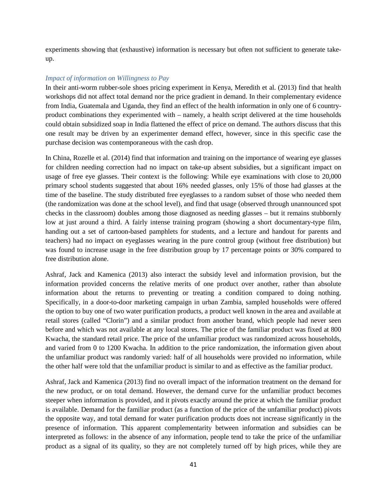experiments showing that (exhaustive) information is necessary but often not sufficient to generate takeup.

### *Impact of information on Willingness to Pay*

In their anti-worm rubber-sole shoes pricing experiment in Kenya, Meredith et al. (2013) find that health workshops did not affect total demand nor the price gradient in demand. In their complementary evidence from India, Guatemala and Uganda, they find an effect of the health information in only one of 6 countryproduct combinations they experimented with – namely, a health script delivered at the time households could obtain subsidized soap in India flattened the effect of price on demand. The authors discuss that this one result may be driven by an experimenter demand effect, however, since in this specific case the purchase decision was contemporaneous with the cash drop.

In China, Rozelle et al. (2014) find that information and training on the importance of wearing eye glasses for children needing correction had no impact on take-up absent subsidies, but a significant impact on usage of free eye glasses. Their context is the following: While eye examinations with close to 20,000 primary school students suggested that about 16% needed glasses, only 15% of those had glasses at the time of the baseline. The study distributed free eyeglasses to a random subset of those who needed them (the randomization was done at the school level), and find that usage (observed through unannounced spot checks in the classroom) doubles among those diagnosed as needing glasses – but it remains stubbornly low at just around a third. A fairly intense training program (showing a short documentary-type film, handing out a set of cartoon-based pamphlets for students, and a lecture and handout for parents and teachers) had no impact on eyeglasses wearing in the pure control group (without free distribution) but was found to increase usage in the free distribution group by 17 percentage points or 30% compared to free distribution alone.

Ashraf, Jack and Kamenica (2013) also interact the subsidy level and information provision, but the information provided concerns the relative merits of one product over another, rather than absolute information about the returns to preventing or treating a condition compared to doing nothing. Specifically, in a door-to-door marketing campaign in urban Zambia, sampled households were offered the option to buy one of two water purification products, a product well known in the area and available at retail stores (called "Clorin") and a similar product from another brand, which people had never seen before and which was not available at any local stores. The price of the familiar product was fixed at 800 Kwacha, the standard retail price. The price of the unfamiliar product was randomized across households, and varied from 0 to 1200 Kwacha. In addition to the price randomization, the information given about the unfamiliar product was randomly varied: half of all households were provided no information, while the other half were told that the unfamiliar product is similar to and as effective as the familiar product.

Ashraf, Jack and Kamenica (2013) find no overall impact of the information treatment on the demand for the new product, or on total demand. However, the demand curve for the unfamiliar product becomes steeper when information is provided, and it pivots exactly around the price at which the familiar product is available. Demand for the familiar product (as a function of the price of the unfamiliar product) pivots the opposite way, and total demand for water purification products does not increase significantly in the presence of information. This apparent complementarity between information and subsidies can be interpreted as follows: in the absence of any information, people tend to take the price of the unfamiliar product as a signal of its quality, so they are not completely turned off by high prices, while they are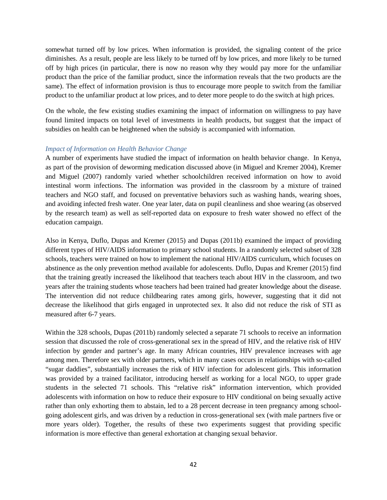somewhat turned off by low prices. When information is provided, the signaling content of the price diminishes. As a result, people are less likely to be turned off by low prices, and more likely to be turned off by high prices (in particular, there is now no reason why they would pay more for the unfamiliar product than the price of the familiar product, since the information reveals that the two products are the same). The effect of information provision is thus to encourage more people to switch from the familiar product to the unfamiliar product at low prices, and to deter more people to do the switch at high prices.

On the whole, the few existing studies examining the impact of information on willingness to pay have found limited impacts on total level of investments in health products, but suggest that the impact of subsidies on health can be heightened when the subsidy is accompanied with information.

### *Impact of Information on Health Behavior Change*

A number of experiments have studied the impact of information on health behavior change. In Kenya, as part of the provision of deworming medication discussed above (in Miguel and Kremer 2004), Kremer and Miguel (2007) randomly varied whether schoolchildren received information on how to avoid intestinal worm infections. The information was provided in the classroom by a mixture of trained teachers and NGO staff, and focused on preventative behaviors such as washing hands, wearing shoes, and avoiding infected fresh water. One year later, data on pupil cleanliness and shoe wearing (as observed by the research team) as well as self-reported data on exposure to fresh water showed no effect of the education campaign.

Also in Kenya, Duflo, Dupas and Kremer (2015) and Dupas (2011b) examined the impact of providing different types of HIV/AIDS information to primary school students. In a randomly selected subset of 328 schools, teachers were trained on how to implement the national HIV/AIDS curriculum, which focuses on abstinence as the only prevention method available for adolescents. Duflo, Dupas and Kremer (2015) find that the training greatly increased the likelihood that teachers teach about HIV in the classroom, and two years after the training students whose teachers had been trained had greater knowledge about the disease. The intervention did not reduce childbearing rates among girls, however, suggesting that it did not decrease the likelihood that girls engaged in unprotected sex. It also did not reduce the risk of STI as measured after 6-7 years.

Within the 328 schools, Dupas (2011b) randomly selected a separate 71 schools to receive an information session that discussed the role of cross-generational sex in the spread of HIV, and the relative risk of HIV infection by gender and partner's age. In many African countries, HIV prevalence increases with age among men. Therefore sex with older partners, which in many cases occurs in relationships with so-called "sugar daddies", substantially increases the risk of HIV infection for adolescent girls. This information was provided by a trained facilitator, introducing herself as working for a local NGO, to upper grade students in the selected 71 schools. This "relative risk" information intervention, which provided adolescents with information on how to reduce their exposure to HIV conditional on being sexually active rather than only exhorting them to abstain, led to a 28 percent decrease in teen pregnancy among schoolgoing adolescent girls, and was driven by a reduction in cross-generational sex (with male partners five or more years older). Together, the results of these two experiments suggest that providing specific information is more effective than general exhortation at changing sexual behavior.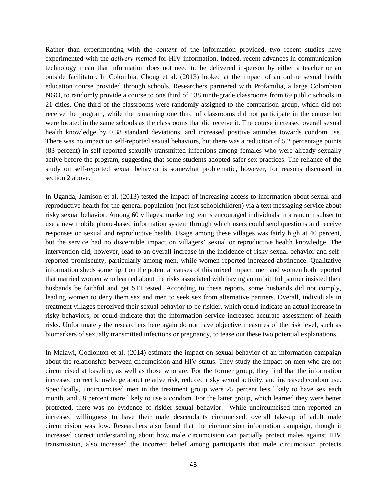Rather than experimenting with the *content* of the information provided, two recent studies have experimented with the *delivery method* for HIV information. Indeed, recent advances in communication technology mean that information does not need to be delivered in-person by either a teacher or an outside facilitator. In Colombia, Chong et al. (2013) looked at the impact of an online sexual health education course provided through schools. Researchers partnered with Profamilia, a large Colombian NGO, to randomly provide a course to one third of 138 ninth-grade classrooms from 69 public schools in 21 cities. One third of the classrooms were randomly assigned to the comparison group, which did not receive the program, while the remaining one third of classrooms did not participate in the course but were located in the same schools as the classrooms that did receive it. The course increased overall sexual health knowledge by 0.38 standard deviations, and increased positive attitudes towards condom use. There was no impact on self-reported sexual behaviors, but there was a reduction of 5.2 percentage points (83 percent) in self-reported sexually transmitted infections among females who were already sexually active before the program, suggesting that some students adopted safer sex practices. The reliance of the study on self-reported sexual behavior is somewhat problematic, however, for reasons discussed in section 2 above.

In Uganda, Jamison et al. (2013) tested the impact of increasing access to information about sexual and reproductive health for the general population (not just schoolchildren) via a text messaging service about risky sexual behavior. Among 60 villages, marketing teams encouraged individuals in a random subset to use a new mobile phone-based information system through which users could send questions and receive responses on sexual and reproductive health. Usage among these villages was fairly high at 40 percent, but the service had no discernible impact on villagers' sexual or reproductive health knowledge. The intervention did, however, lead to an overall increase in the incidence of risky sexual behavior and selfreported promiscuity, particularly among men, while women reported increased abstinence. Qualitative information sheds some light on the potential causes of this mixed impact: men and women both reported that married women who learned about the risks associated with having an unfaithful partner insisted their husbands be faithful and get STI tested. According to these reports, some husbands did not comply, leading women to deny them sex and men to seek sex from alternative partners. Overall, individuals in treatment villages perceived their sexual behavior to be riskier, which could indicate an actual increase in risky behaviors, or could indicate that the information service increased accurate assessment of health risks. Unfortunately the researchers here again do not have objective measures of the risk level, such as biomarkers of sexually transmitted infections or pregnancy, to tease out these two potential explanations.

In Malawi, Godlonton et al. (2014) estimate the impact on sexual behavior of an information campaign about the relationship between circumcision and HIV status. They study the impact on men who are not circumcised at baseline, as well as those who are. For the former group, they find that the information increased correct knowledge about relative risk, reduced risky sexual activity, and increased condom use. Specifically, uncircumcised men in the treatment group were 25 percent less likely to have sex each month, and 58 percent more likely to use a condom. For the latter group, which learned they were better protected, there was no evidence of riskier sexual behavior. While uncircumcised men reported an increased willingness to have their male descendants circumcised, overall take-up of adult male circumcision was low. Researchers also found that the circumcision information campaign, though it increased correct understanding about how male circumcision can partially protect males against HIV transmission, also increased the incorrect belief among participants that male circumcision protects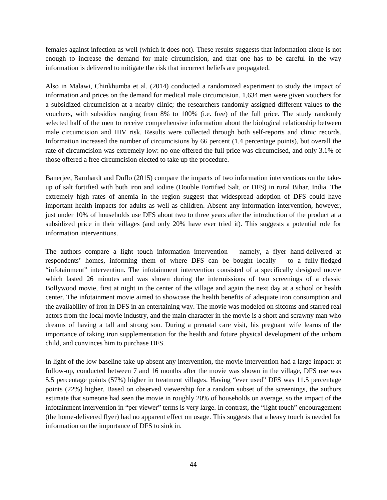females against infection as well (which it does not). These results suggests that information alone is not enough to increase the demand for male circumcision, and that one has to be careful in the way information is delivered to mitigate the risk that incorrect beliefs are propagated.

Also in Malawi, Chinkhumba et al. (2014) conducted a randomized experiment to study the impact of information and prices on the demand for medical male circumcision. 1,634 men were given vouchers for a subsidized circumcision at a nearby clinic; the researchers randomly assigned different values to the vouchers, with subsidies ranging from 8% to 100% (i.e. free) of the full price. The study randomly selected half of the men to receive comprehensive information about the biological relationship between male circumcision and HIV risk. Results were collected through both self-reports and clinic records. Information increased the number of circumcisions by 66 percent (1.4 percentage points), but overall the rate of circumcision was extremely low: no one offered the full price was circumcised, and only 3.1% of those offered a free circumcision elected to take up the procedure.

Banerjee, Barnhardt and Duflo (2015) compare the impacts of two information interventions on the takeup of salt fortified with both iron and iodine (Double Fortified Salt, or DFS) in rural Bihar, India. The extremely high rates of anemia in the region suggest that widespread adoption of DFS could have important health impacts for adults as well as children. Absent any information intervention, however, just under 10% of households use DFS about two to three years after the introduction of the product at a subsidized price in their villages (and only 20% have ever tried it). This suggests a potential role for information interventions.

The authors compare a light touch information intervention – namely, a flyer hand-delivered at respondents' homes, informing them of where DFS can be bought locally – to a fully-fledged "infotainment" intervention. The infotainment intervention consisted of a specifically designed movie which lasted 26 minutes and was shown during the intermissions of two screenings of a classic Bollywood movie, first at night in the center of the village and again the next day at a school or health center. The infotainment movie aimed to showcase the health benefits of adequate iron consumption and the availability of iron in DFS in an entertaining way. The movie was modeled on sitcoms and starred real actors from the local movie industry, and the main character in the movie is a short and scrawny man who dreams of having a tall and strong son. During a prenatal care visit, his pregnant wife learns of the importance of taking iron supplementation for the health and future physical development of the unborn child, and convinces him to purchase DFS.

In light of the low baseline take-up absent any intervention, the movie intervention had a large impact: at follow-up, conducted between 7 and 16 months after the movie was shown in the village, DFS use was 5.5 percentage points (57%) higher in treatment villages. Having "ever used" DFS was 11.5 percentage points (22%) higher. Based on observed viewership for a random subset of the screenings, the authors estimate that someone had seen the movie in roughly 20% of households on average, so the impact of the infotainment intervention in "per viewer" terms is very large. In contrast, the "light touch" encouragement (the home-delivered flyer) had no apparent effect on usage. This suggests that a heavy touch is needed for information on the importance of DFS to sink in.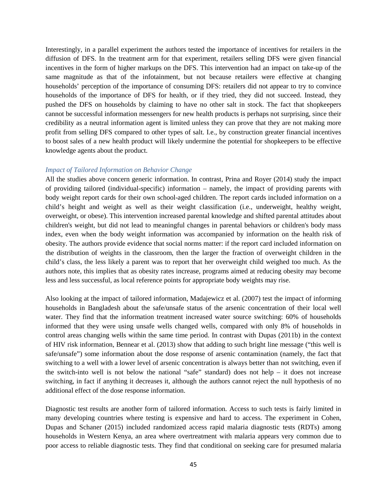Interestingly, in a parallel experiment the authors tested the importance of incentives for retailers in the diffusion of DFS. In the treatment arm for that experiment, retailers selling DFS were given financial incentives in the form of higher markups on the DFS. This intervention had an impact on take-up of the same magnitude as that of the infotainment, but not because retailers were effective at changing households' perception of the importance of consuming DFS: retailers did not appear to try to convince households of the importance of DFS for health, or if they tried, they did not succeed. Instead, they pushed the DFS on households by claiming to have no other salt in stock. The fact that shopkeepers cannot be successful information messengers for new health products is perhaps not surprising, since their credibility as a neutral information agent is limited unless they can prove that they are not making more profit from selling DFS compared to other types of salt. I.e., by construction greater financial incentives to boost sales of a new health product will likely undermine the potential for shopkeepers to be effective knowledge agents about the product.

### *Impact of Tailored Information on Behavior Change*

All the studies above concern generic information. In contrast, Prina and Royer (2014) study the impact of providing tailored (individual-specific) information – namely, the impact of providing parents with body weight report cards for their own school-aged children. The report cards included information on a child's height and weight as well as their weight classification (i.e., underweight, healthy weight, overweight, or obese). This intervention increased parental knowledge and shifted parental attitudes about children's weight, but did not lead to meaningful changes in parental behaviors or children's body mass index, even when the body weight information was accompanied by information on the health risk of obesity. The authors provide evidence that social norms matter: if the report card included information on the distribution of weights in the classroom, then the larger the fraction of overweight children in the child's class, the less likely a parent was to report that her overweight child weighed too much. As the authors note, this implies that as obesity rates increase, programs aimed at reducing obesity may become less and less successful, as local reference points for appropriate body weights may rise.

Also looking at the impact of tailored information, Madajewicz et al. (2007) test the impact of informing households in Bangladesh about the safe/unsafe status of the arsenic concentration of their local well water. They find that the information treatment increased water source switching: 60% of households informed that they were using unsafe wells changed wells, compared with only 8% of households in control areas changing wells within the same time period. In contrast with Dupas (2011b) in the context of HIV risk information, Bennear et al. (2013) show that adding to such bright line message ("this well is safe/unsafe") some information about the dose response of arsenic contamination (namely, the fact that switching to a well with a lower level of arsenic concentration is always better than not switching, even if the switch-into well is not below the national "safe" standard) does not help – it does not increase switching, in fact if anything it decreases it, although the authors cannot reject the null hypothesis of no additional effect of the dose response information.

Diagnostic test results are another form of tailored information. Access to such tests is fairly limited in many developing countries where testing is expensive and hard to access. The experiment in Cohen, Dupas and Schaner (2015) included randomized access rapid malaria diagnostic tests (RDTs) among households in Western Kenya, an area where overtreatment with malaria appears very common due to poor access to reliable diagnostic tests. They find that conditional on seeking care for presumed malaria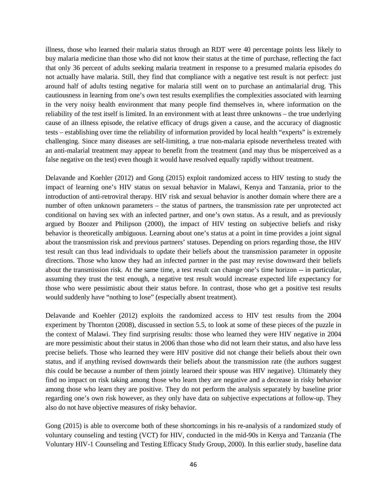illness, those who learned their malaria status through an RDT were 40 percentage points less likely to buy malaria medicine than those who did not know their status at the time of purchase, reflecting the fact that only 36 percent of adults seeking malaria treatment in response to a presumed malaria episodes do not actually have malaria. Still, they find that compliance with a negative test result is not perfect: just around half of adults testing negative for malaria still went on to purchase an antimalarial drug. This cautiousness in learning from one's own test results exemplifies the complexities associated with learning in the very noisy health environment that many people find themselves in, where information on the reliability of the test itself is limited. In an environment with at least three unknowns – the true underlying cause of an illness episode, the relative efficacy of drugs given a cause, and the accuracy of diagnostic tests – establishing over time the reliability of information provided by local health "experts" is extremely challenging. Since many diseases are self-limiting, a true non-malaria episode nevertheless treated with an anti-malarial treatment may appear to benefit from the treatment (and may thus be misperceived as a false negative on the test) even though it would have resolved equally rapidly without treatment.

Delavande and Koehler (2012) and Gong (2015) exploit randomized access to HIV testing to study the impact of learning one's HIV status on sexual behavior in Malawi, Kenya and Tanzania, prior to the introduction of anti-retroviral therapy. HIV risk and sexual behavior is another domain where there are a number of often unknown parameters – the status of partners, the transmission rate per unprotected act conditional on having sex with an infected partner, and one's own status. As a result, and as previously argued by Boozer and Philipson (2000), the impact of HIV testing on subjective beliefs and risky behavior is theoretically ambiguous. Learning about one's status at a point in time provides a joint signal about the transmission risk and previous partners' statuses. Depending on priors regarding those, the HIV test result can thus lead individuals to update their beliefs about the transmission parameter in opposite directions. Those who know they had an infected partner in the past may revise downward their beliefs about the transmission risk. At the same time, a test result can change one's time horizon -- in particular, assuming they trust the test enough, a negative test result would increase expected life expectancy for those who were pessimistic about their status before. In contrast, those who get a positive test results would suddenly have "nothing to lose" (especially absent treatment).

Delavande and Koehler (2012) exploits the randomized access to HIV test results from the 2004 experiment by Thornton (2008), discussed in section 5.5, to look at some of these pieces of the puzzle in the context of Malawi. They find surprising results: those who learned they were HIV negative in 2004 are more pessimistic about their status in 2006 than those who did not learn their status, and also have less precise beliefs. Those who learned they were HIV positive did not change their beliefs about their own status, and if anything revised downwards their beliefs about the transmission rate (the authors suggest this could be because a number of them jointly learned their spouse was HIV negative). Ultimately they find no impact on risk taking among those who learn they are negative and a decrease in risky behavior among those who learn they are positive. They do not perform the analysis separately by baseline prior regarding one's own risk however, as they only have data on subjective expectations at follow-up. They also do not have objective measures of risky behavior.

Gong (2015) is able to overcome both of these shortcomings in his re-analysis of a randomized study of voluntary counseling and testing (VCT) for HIV, conducted in the mid-90s in Kenya and Tanzania (The Voluntary HIV-1 Counseling and Testing Efficacy Study Group, 2000). In this earlier study, baseline data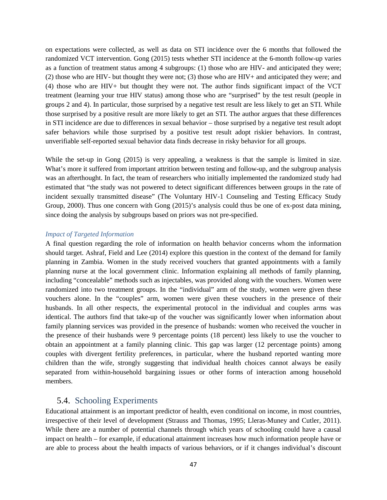on expectations were collected, as well as data on STI incidence over the 6 months that followed the randomized VCT intervention. Gong (2015) tests whether STI incidence at the 6-month follow-up varies as a function of treatment status among 4 subgroups: (1) those who are HIV- and anticipated they were; (2) those who are HIV- but thought they were not; (3) those who are HIV+ and anticipated they were; and (4) those who are HIV+ but thought they were not. The author finds significant impact of the VCT treatment (learning your true HIV status) among those who are "surprised" by the test result (people in groups 2 and 4). In particular, those surprised by a negative test result are less likely to get an STI. While those surprised by a positive result are more likely to get an STI. The author argues that these differences in STI incidence are due to differences in sexual behavior – those surprised by a negative test result adopt safer behaviors while those surprised by a positive test result adopt riskier behaviors. In contrast, unverifiable self-reported sexual behavior data finds decrease in risky behavior for all groups.

While the set-up in Gong (2015) is very appealing, a weakness is that the sample is limited in size. What's more it suffered from important attrition between testing and follow-up, and the subgroup analysis was an afterthought. In fact, the team of researchers who initially implemented the randomized study had estimated that "the study was not powered to detect significant differences between groups in the rate of incident sexually transmitted disease" (The Voluntary HIV-1 Counseling and Testing Efficacy Study Group, 2000). Thus one concern with Gong (2015)'s analysis could thus be one of ex-post data mining, since doing the analysis by subgroups based on priors was not pre-specified.

#### *Impact of Targeted Information*

A final question regarding the role of information on health behavior concerns whom the information should target. Ashraf, Field and Lee (2014) explore this question in the context of the demand for family planning in Zambia. Women in the study received vouchers that granted appointments with a family planning nurse at the local government clinic. Information explaining all methods of family planning, including "concealable" methods such as injectables, was provided along with the vouchers. Women were randomized into two treatment groups. In the "individual" arm of the study, women were given these vouchers alone. In the "couples" arm, women were given these vouchers in the presence of their husbands. In all other respects, the experimental protocol in the individual and couples arms was identical. The authors find that take-up of the voucher was significantly lower when information about family planning services was provided in the presence of husbands: women who received the voucher in the presence of their husbands were 9 percentage points (18 percent) less likely to use the voucher to obtain an appointment at a family planning clinic. This gap was larger (12 percentage points) among couples with divergent fertility preferences, in particular, where the husband reported wanting more children than the wife, strongly suggesting that individual health choices cannot always be easily separated from within-household bargaining issues or other forms of interaction among household members.

### 5.4. Schooling Experiments

Educational attainment is an important predictor of health, even conditional on income, in most countries, irrespective of their level of development (Strauss and Thomas, 1995; Lleras-Muney and Cutler, 2011). While there are a number of potential channels through which years of schooling could have a causal impact on health – for example, if educational attainment increases how much information people have or are able to process about the health impacts of various behaviors, or if it changes individual's discount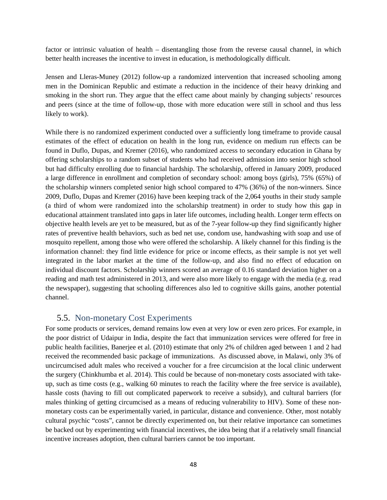factor or intrinsic valuation of health – disentangling those from the reverse causal channel, in which better health increases the incentive to invest in education, is methodologically difficult.

Jensen and Lleras-Muney (2012) follow-up a randomized intervention that increased schooling among men in the Dominican Republic and estimate a reduction in the incidence of their heavy drinking and smoking in the short run. They argue that the effect came about mainly by changing subjects' resources and peers (since at the time of follow-up, those with more education were still in school and thus less likely to work).

While there is no randomized experiment conducted over a sufficiently long timeframe to provide causal estimates of the effect of education on health in the long run, evidence on medium run effects can be found in Duflo, Dupas, and Kremer (2016), who randomized access to secondary education in Ghana by offering scholarships to a random subset of students who had received admission into senior high school but had difficulty enrolling due to financial hardship. The scholarship, offered in January 2009, produced a large difference in enrollment and completion of secondary school: among boys (girls), 75% (65%) of the scholarship winners completed senior high school compared to 47% (36%) of the non-winners. Since 2009, Duflo, Dupas and Kremer (2016) have been keeping track of the 2,064 youths in their study sample (a third of whom were randomized into the scholarship treatment) in order to study how this gap in educational attainment translated into gaps in later life outcomes, including health. Longer term effects on objective health levels are yet to be measured, but as of the 7-year follow-up they find significantly higher rates of preventive health behaviors, such as bed net use, condom use, handwashing with soap and use of mosquito repellent, among those who were offered the scholarship. A likely channel for this finding is the information channel: they find little evidence for price or income effects, as their sample is not yet well integrated in the labor market at the time of the follow-up, and also find no effect of education on individual discount factors. Scholarship winners scored an average of 0.16 standard deviation higher on a reading and math test administered in 2013, and were also more likely to engage with the media (e.g. read the newspaper), suggesting that schooling differences also led to cognitive skills gains, another potential channel.

### 5.5. Non-monetary Cost Experiments

For some products or services, demand remains low even at very low or even zero prices. For example, in the poor district of Udaipur in India, despite the fact that immunization services were offered for free in public health facilities, Banerjee et al. (2010) estimate that only 2% of children aged between 1 and 2 had received the recommended basic package of immunizations. As discussed above, in Malawi, only 3% of uncircumcised adult males who received a voucher for a free circumcision at the local clinic underwent the surgery (Chinkhumba et al. 2014). This could be because of non-monetary costs associated with takeup, such as time costs (e.g., walking 60 minutes to reach the facility where the free service is available), hassle costs (having to fill out complicated paperwork to receive a subsidy), and cultural barriers (for males thinking of getting circumcised as a means of reducing vulnerability to HIV). Some of these nonmonetary costs can be experimentally varied, in particular, distance and convenience. Other, most notably cultural psychic "costs", cannot be directly experimented on, but their relative importance can sometimes be backed out by experimenting with financial incentives, the idea being that if a relatively small financial incentive increases adoption, then cultural barriers cannot be too important.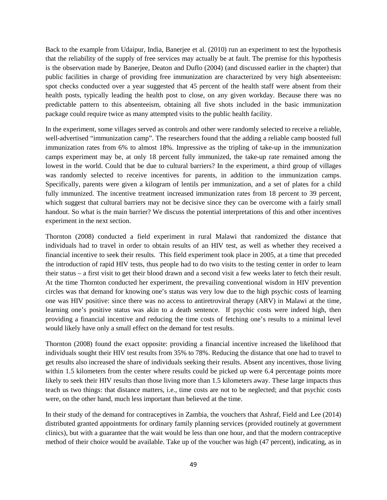Back to the example from Udaipur, India, Banerjee et al. (2010) run an experiment to test the hypothesis that the reliability of the supply of free services may actually be at fault. The premise for this hypothesis is the observation made by Banerjee, Deaton and Duflo (2004) (and discussed earlier in the chapter) that public facilities in charge of providing free immunization are characterized by very high absenteeism: spot checks conducted over a year suggested that 45 percent of the health staff were absent from their health posts, typically leading the health post to close, on any given workday. Because there was no predictable pattern to this absenteeism, obtaining all five shots included in the basic immunization package could require twice as many attempted visits to the public health facility.

In the experiment, some villages served as controls and other were randomly selected to receive a reliable, well-advertised "immunization camp". The researchers found that the adding a reliable camp boosted full immunization rates from 6% to almost 18%. Impressive as the tripling of take-up in the immunization camps experiment may be, at only 18 percent fully immunized, the take-up rate remained among the lowest in the world. Could that be due to cultural barriers? In the experiment, a third group of villages was randomly selected to receive incentives for parents, in addition to the immunization camps. Specifically, parents were given a kilogram of lentils per immunization, and a set of plates for a child fully immunized. The incentive treatment increased immunization rates from 18 percent to 39 percent, which suggest that cultural barriers may not be decisive since they can be overcome with a fairly small handout. So what is the main barrier? We discuss the potential interpretations of this and other incentives experiment in the next section.

Thornton (2008) conducted a field experiment in rural Malawi that randomized the distance that individuals had to travel in order to obtain results of an HIV test, as well as whether they received a financial incentive to seek their results. This field experiment took place in 2005, at a time that preceded the introduction of rapid HIV tests, thus people had to do two visits to the testing center in order to learn their status – a first visit to get their blood drawn and a second visit a few weeks later to fetch their result. At the time Thornton conducted her experiment, the prevailing conventional wisdom in HIV prevention circles was that demand for knowing one's status was very low due to the high psychic costs of learning one was HIV positive: since there was no access to antiretroviral therapy (ARV) in Malawi at the time, learning one's positive status was akin to a death sentence. If psychic costs were indeed high, then providing a financial incentive and reducing the time costs of fetching one's results to a minimal level would likely have only a small effect on the demand for test results.

Thornton (2008) found the exact opposite: providing a financial incentive increased the likelihood that individuals sought their HIV test results from 35% to 78%. Reducing the distance that one had to travel to get results also increased the share of individuals seeking their results. Absent any incentives, those living within 1.5 kilometers from the center where results could be picked up were 6.4 percentage points more likely to seek their HIV results than those living more than 1.5 kilometers away. These large impacts thus teach us two things: that distance matters, i.e., time costs are not to be neglected; and that psychic costs were, on the other hand, much less important than believed at the time.

In their study of the demand for contraceptives in Zambia, the vouchers that Ashraf, Field and Lee (2014) distributed granted appointments for ordinary family planning services (provided routinely at government clinics), but with a guarantee that the wait would be less than one hour, and that the modern contraceptive method of their choice would be available. Take up of the voucher was high (47 percent), indicating, as in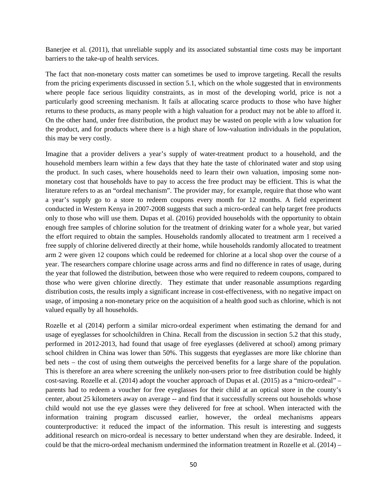Banerjee et al. (2011), that unreliable supply and its associated substantial time costs may be important barriers to the take-up of health services.

The fact that non-monetary costs matter can sometimes be used to improve targeting. Recall the results from the pricing experiments discussed in section [5.1,](#page-29-0) which on the whole suggested that in environments where people face serious liquidity constraints, as in most of the developing world, price is not a particularly good screening mechanism. It fails at allocating scarce products to those who have higher returns to these products, as many people with a high valuation for a product may not be able to afford it. On the other hand, under free distribution, the product may be wasted on people with a low valuation for the product, and for products where there is a high share of low-valuation individuals in the population, this may be very costly.

Imagine that a provider delivers a year's supply of water-treatment product to a household, and the household members learn within a few days that they hate the taste of chlorinated water and stop using the product. In such cases, where households need to learn their own valuation, imposing some nonmonetary cost that households have to pay to access the free product may be efficient. This is what the literature refers to as an "ordeal mechanism". The provider may, for example, require that those who want a year's supply go to a store to redeem coupons every month for 12 months. A field experiment conducted in Western Kenya in 2007-2008 suggests that such a micro-ordeal can help target free products only to those who will use them. Dupas et al. (2016) provided households with the opportunity to obtain enough free samples of chlorine solution for the treatment of drinking water for a whole year, but varied the effort required to obtain the samples. Households randomly allocated to treatment arm 1 received a free supply of chlorine delivered directly at their home, while households randomly allocated to treatment arm 2 were given 12 coupons which could be redeemed for chlorine at a local shop over the course of a year. The researchers compare chlorine usage across arms and find no difference in rates of usage, during the year that followed the distribution, between those who were required to redeem coupons, compared to those who were given chlorine directly. They estimate that under reasonable assumptions regarding distribution costs, the results imply a significant increase in cost-effectiveness, with no negative impact on usage, of imposing a non-monetary price on the acquisition of a health good such as chlorine, which is not valued equally by all households.

Rozelle et al (2014) perform a similar micro-ordeal experiment when estimating the demand for and usage of eyeglasses for schoolchildren in China. Recall from the discussion in section 5.2 that this study, performed in 2012-2013, had found that usage of free eyeglasses (delivered at school) among primary school children in China was lower than 50%. This suggests that eyeglasses are more like chlorine than bed nets – the cost of using them outweighs the perceived benefits for a large share of the population. This is therefore an area where screening the unlikely non-users prior to free distribution could be highly cost-saving. Rozelle et al. (2014) adopt the voucher approach of Dupas et al. (2015) as a "micro-ordeal" – parents had to redeem a voucher for free eyeglasses for their child at an optical store in the county's center, about 25 kilometers away on average -- and find that it successfully screens out households whose child would not use the eye glasses were they delivered for free at school. When interacted with the information training program discussed earlier, however, the ordeal mechanisms appears counterproductive: it reduced the impact of the information. This result is interesting and suggests additional research on micro-ordeal is necessary to better understand when they are desirable. Indeed, it could be that the micro-ordeal mechanism undermined the information treatment in Rozelle et al. (2014) –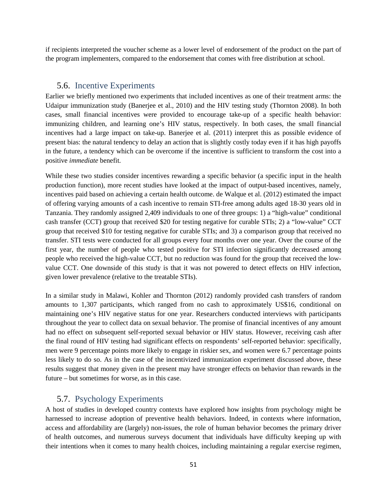if recipients interpreted the voucher scheme as a lower level of endorsement of the product on the part of the program implementers, compared to the endorsement that comes with free distribution at school.

## 5.6. Incentive Experiments

Earlier we briefly mentioned two experiments that included incentives as one of their treatment arms: the Udaipur immunization study (Banerjee et al., 2010) and the HIV testing study (Thornton 2008). In both cases, small financial incentives were provided to encourage take-up of a specific health behavior: immunizing children, and learning one's HIV status, respectively. In both cases, the small financial incentives had a large impact on take-up. Banerjee et al. (2011) interpret this as possible evidence of present bias: the natural tendency to delay an action that is slightly costly today even if it has high payoffs in the future, a tendency which can be overcome if the incentive is sufficient to transform the cost into a positive *immediate* benefit.

While these two studies consider incentives rewarding a specific behavior (a specific input in the health production function), more recent studies have looked at the impact of output-based incentives, namely, incentives paid based on achieving a certain health outcome. de Walque et al. (2012) estimated the impact of offering varying amounts of a cash incentive to remain STI-free among adults aged 18-30 years old in Tanzania. They randomly assigned 2,409 individuals to one of three groups: 1) a "high-value" conditional cash transfer (CCT) group that received \$20 for testing negative for curable STIs; 2) a "low-value" CCT group that received \$10 for testing negative for curable STIs; and 3) a comparison group that received no transfer. STI tests were conducted for all groups every four months over one year. Over the course of the first year, the number of people who tested positive for STI infection significantly decreased among people who received the high-value CCT, but no reduction was found for the group that received the lowvalue CCT. One downside of this study is that it was not powered to detect effects on HIV infection, given lower prevalence (relative to the treatable STIs).

In a similar study in Malawi, Kohler and Thornton (2012) randomly provided cash transfers of random amounts to 1,307 participants, which ranged from no cash to approximately US\$16, conditional on maintaining one's HIV negative status for one year. Researchers conducted interviews with participants throughout the year to collect data on sexual behavior. The promise of financial incentives of any amount had no effect on subsequent self-reported sexual behavior or HIV status. However, receiving cash after the final round of HIV testing had significant effects on respondents' self-reported behavior: specifically, men were 9 percentage points more likely to engage in riskier sex, and women were 6.7 percentage points less likely to do so. As in the case of the incentivized immunization experiment discussed above, these results suggest that money given in the present may have stronger effects on behavior than rewards in the future – but sometimes for worse, as in this case.

## 5.7. Psychology Experiments

A host of studies in developed country contexts have explored how insights from psychology might be harnessed to increase adoption of preventive health behaviors. Indeed, in contexts where information, access and affordability are (largely) non-issues, the role of human behavior becomes the primary driver of health outcomes, and numerous surveys document that individuals have difficulty keeping up with their intentions when it comes to many health choices, including maintaining a regular exercise regimen,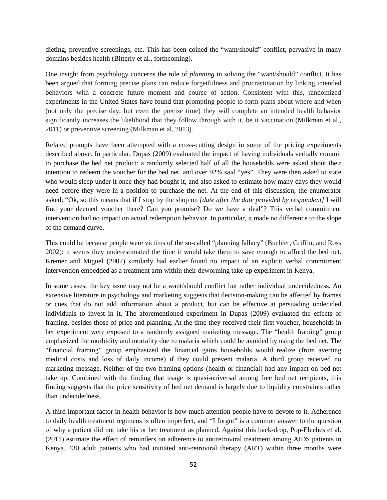dieting, preventive screenings, etc. This has been coined the "want/should" conflict, pervasive in many domains besides health (Bitterly et al., forthcoming).

One insight from psychology concerns the role of *planning* in solving the "want/should" conflict. It has been argued that forming precise plans can reduce forgetfulness and procrastination by linking intended behaviors with a concrete future moment and course of action. Consistent with this, randomized experiments in the United States have found that prompting people to form plans about where and when (not only the precise day, but even the precise time) they will complete an intended health behavior significantly increases the likelihood that they follow through with it, be it vaccination (Milkman et al., 2011) or preventive screening (Milkman et al, 2013).

Related prompts have been attempted with a cross-cutting design in some of the pricing experiments described above. In particular, Dupas (2009) evaluated the impact of having individuals verbally commit to purchase the bed net product: a randomly selected half of all the households were asked about their intention to redeem the voucher for the bed net, and over 92% said "yes". They were then asked to state who would sleep under it once they had bought it, and also asked to estimate how many days they would need before they were in a position to purchase the net. At the end of this discussion, the enumerator asked: "Ok, so this means that if I stop by the shop on *[date after the date provided by respondent]* I will find your deemed voucher there? Can you promise? Do we have a deal"? This verbal commitment intervention had no impact on actual redemption behavior. In particular, it made no difference to the slope of the demand curve.

This could be because people were victims of the so-called "planning fallacy" (Buehler, Griffin, and Ross 2002): it seems they underestimated the time it would take them to save enough to afford the bed net. Kremer and Miguel (2007) similarly had earlier found no impact of an explicit verbal commitment intervention embedded as a treatment arm within their deworming take-up experiment in Kenya.

In some cases, the key issue may not be a want/should conflict but rather individual undecidedness. An extensive literature in psychology and marketing suggests that decision-making can be affected by frames or cues that do not add information about a product, but can be effective at persuading undecided individuals to invest in it. The aforementioned experiment in Dupas (2009) evaluated the effects of framing, besides those of price and planning. At the time they received their first voucher, households in her experiment were exposed to a randomly assigned marketing message. The "health framing" group emphasized the morbidity and mortality due to malaria which could be avoided by using the bed net. The "financial framing" group emphasized the financial gains households would realize (from averting medical costs and loss of daily income) if they could prevent malaria. A third group received no marketing message. Neither of the two framing options (health or financial) had any impact on bed net take up. Combined with the finding that usage is quasi-universal among free bed net recipients, this finding suggests that the price sensitivity of bed net demand is largely due to liquidity constraints rather than undecidedness.

A third important factor in health behavior is how much attention people have to devote to it. Adherence to daily health treatment regimens is often imperfect, and "I forgot" is a common answer to the question of why a patient did not take his or her treatment as planned. Against this back-drop, Pop-Eleches et al. (2011) estimate the effect of reminders on adherence to antiretroviral treatment among AIDS patients in Kenya. 430 adult patients who had initiated anti-retroviral therapy (ART) within three months were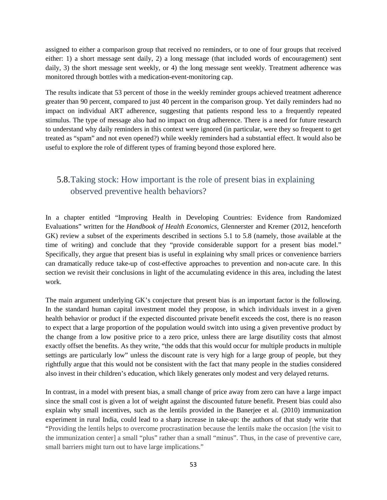assigned to either a comparison group that received no reminders, or to one of four groups that received either: 1) a short message sent daily, 2) a long message (that included words of encouragement) sent daily, 3) the short message sent weekly, or 4) the long message sent weekly. Treatment adherence was monitored through bottles with a medication-event-monitoring cap.

The results indicate that 53 percent of those in the weekly reminder groups achieved treatment adherence greater than 90 percent, compared to just 40 percent in the comparison group. Yet daily reminders had no impact on individual ART adherence, suggesting that patients respond less to a frequently repeated stimulus. The type of message also had no impact on drug adherence. There is a need for future research to understand why daily reminders in this context were ignored (in particular, were they so frequent to get treated as "spam" and not even opened?) while weekly reminders had a substantial effect. It would also be useful to explore the role of different types of framing beyond those explored here.

## 5.8.Taking stock: How important is the role of present bias in explaining observed preventive health behaviors?

In a chapter entitled "Improving Health in Developing Countries: Evidence from Randomized Evaluations" written for the *Handbook of Health Economics*, Glennerster and Kremer (2012, henceforth GK) review a subset of the experiments described in sections 5.1 to 5.8 (namely, those available at the time of writing) and conclude that they "provide considerable support for a present bias model." Specifically, they argue that present bias is useful in explaining why small prices or convenience barriers can dramatically reduce take-up of cost-effective approaches to prevention and non-acute care. In this section we revisit their conclusions in light of the accumulating evidence in this area, including the latest work.

The main argument underlying GK's conjecture that present bias is an important factor is the following. In the standard human capital investment model they propose, in which individuals invest in a given health behavior or product if the expected discounted private benefit exceeds the cost, there is no reason to expect that a large proportion of the population would switch into using a given preventive product by the change from a low positive price to a zero price, unless there are large disutility costs that almost exactly offset the benefits. As they write, "the odds that this would occur for multiple products in multiple settings are particularly low" unless the discount rate is very high for a large group of people, but they rightfully argue that this would not be consistent with the fact that many people in the studies considered also invest in their children's education, which likely generates only modest and very delayed returns.

In contrast, in a model with present bias, a small change of price away from zero can have a large impact since the small cost is given a lot of weight against the discounted future benefit. Present bias could also explain why small incentives, such as the lentils provided in the Banerjee et al. (2010) immunization experiment in rural India, could lead to a sharp increase in take-up: the authors of that study write that "Providing the lentils helps to overcome procrastination because the lentils make the occasion [the visit to the immunization center] a small "plus" rather than a small "minus". Thus, in the case of preventive care, small barriers might turn out to have large implications."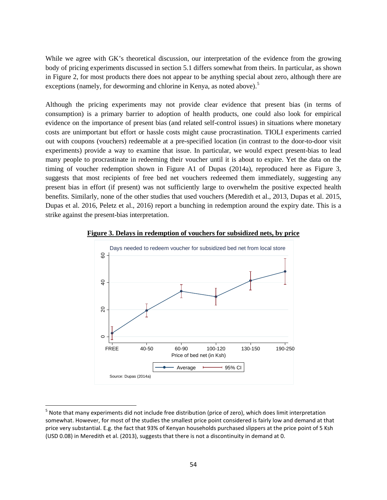While we agree with GK's theoretical discussion, our interpretation of the evidence from the growing body of pricing experiments discussed in section 5.1 differs somewhat from theirs. In particular, as shown in Figure 2, for most products there does not appear to be anything special about zero, although there are exceptions (namely, for deworming and chlorine in Kenya, as noted above).<sup>[5](#page-54-0)</sup>

Although the pricing experiments may not provide clear evidence that present bias (in terms of consumption) is a primary barrier to adoption of health products, one could also look for empirical evidence on the importance of present bias (and related self-control issues) in situations where monetary costs are unimportant but effort or hassle costs might cause procrastination. TIOLI experiments carried out with coupons (vouchers) redeemable at a pre-specified location (in contrast to the door-to-door visit experiments) provide a way to examine that issue. In particular, we would expect present-bias to lead many people to procrastinate in redeeming their voucher until it is about to expire. Yet the data on the timing of voucher redemption shown in Figure A1 of Dupas (2014a), reproduced here as Figure 3, suggests that most recipients of free bed net vouchers redeemed them immediately, suggesting any present bias in effort (if present) was not sufficiently large to overwhelm the positive expected health benefits. Similarly, none of the other studies that used vouchers (Meredith et al., 2013, Dupas et al. 2015, Dupas et al. 2016, Peletz et al., 2016) report a bunching in redemption around the expiry date. This is a strike against the present-bias interpretation.



**Figure 3. Delays in redemption of vouchers for subsidized nets, by price**

 $\overline{a}$ 

<span id="page-54-0"></span><sup>&</sup>lt;sup>5</sup> Note that many experiments did not include free distribution (price of zero), which does limit interpretation somewhat. However, for most of the studies the smallest price point considered is fairly low and demand at that price very substantial. E.g. the fact that 93% of Kenyan households purchased slippers at the price point of 5 Ksh (USD 0.08) in Meredith et al. (2013), suggests that there is not a discontinuity in demand at 0.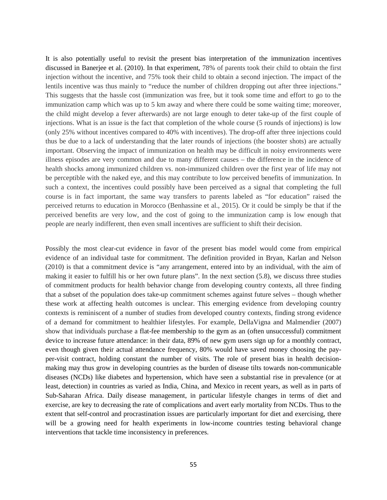It is also potentially useful to revisit the present bias interpretation of the immunization incentives discussed in Banerjee et al. (2010). In that experiment, 78% of parents took their child to obtain the first injection without the incentive, and 75% took their child to obtain a second injection. The impact of the lentils incentive was thus mainly to "reduce the number of children dropping out after three injections." This suggests that the hassle cost (immunization was free, but it took some time and effort to go to the immunization camp which was up to 5 km away and where there could be some waiting time; moreover, the child might develop a fever afterwards) are not large enough to deter take-up of the first couple of injections. What is an issue is the fact that completion of the whole course (5 rounds of injections) is low (only 25% without incentives compared to 40% with incentives). The drop-off after three injections could thus be due to a lack of understanding that the later rounds of injections (the booster shots) are actually important. Observing the impact of immunization on health may be difficult in noisy environments were illness episodes are very common and due to many different causes – the difference in the incidence of health shocks among immunized children vs. non-immunized children over the first year of life may not be perceptible with the naked eye, and this may contribute to low perceived benefits of immunization. In such a context, the incentives could possibly have been perceived as a signal that completing the full course is in fact important, the same way transfers to parents labeled as "for education" raised the perceived returns to education in Morocco (Benhassine et al., 2015). Or it could be simply be that if the perceived benefits are very low, and the cost of going to the immunization camp is low enough that people are nearly indifferent, then even small incentives are sufficient to shift their decision.

Possibly the most clear-cut evidence in favor of the present bias model would come from empirical evidence of an individual taste for commitment. The definition provided in Bryan, Karlan and Nelson (2010) is that a commitment device is "any arrangement, entered into by an individual, with the aim of making it easier to fulfill his or her own future plans". In the next section (5.8), we discuss three studies of commitment products for health behavior change from developing country contexts, all three finding that a subset of the population does take-up commitment schemes against future selves – though whether these work at affecting health outcomes is unclear. This emerging evidence from developing country contexts is reminiscent of a number of studies from developed country contexts, finding strong evidence of a demand for commitment to healthier lifestyles. For example, DellaVigna and Malmendier (2007) show that individuals purchase a flat-fee membership to the gym as an (often unsuccessful) commitment device to increase future attendance: in their data, 89% of new gym users sign up for a monthly contract, even though given their actual attendance frequency, 80% would have saved money choosing the payper-visit contract, holding constant the number of visits. The role of present bias in health decisionmaking may thus grow in developing countries as the burden of disease tilts towards non-communicable diseases (NCDs) like diabetes and hypertension, which have seen a substantial rise in prevalence (or at least, detection) in countries as varied as India, China, and Mexico in recent years, as well as in parts of Sub-Saharan Africa. Daily disease management, in particular lifestyle changes in terms of diet and exercise, are key to decreasing the rate of complications and avert early mortality from NCDs. Thus to the extent that self-control and procrastination issues are particularly important for diet and exercising, there will be a growing need for health experiments in low-income countries testing behavioral change interventions that tackle time inconsistency in preferences.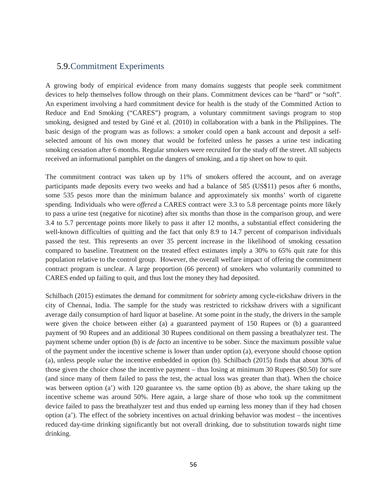### 5.9.Commitment Experiments

A growing body of empirical evidence from many domains suggests that people seek commitment devices to help themselves follow through on their plans. Commitment devices can be "hard" or "soft". An experiment involving a hard commitment device for health is the study of the Committed Action to Reduce and End Smoking ("CARES") program, a voluntary commitment savings program to stop smoking, designed and tested by Giné et al. (2010) in collaboration with a bank in the Philippines. The basic design of the program was as follows: a smoker could open a bank account and deposit a selfselected amount of his own money that would be forfeited unless he passes a urine test indicating smoking cessation after 6 months. Regular smokers were recruited for the study off the street. All subjects received an informational pamphlet on the dangers of smoking, and a tip sheet on how to quit.

The commitment contract was taken up by 11% of smokers offered the account, and on average participants made deposits every two weeks and had a balance of 585 (US\$11) pesos after 6 months, some 535 pesos more than the minimum balance and approximately six months' worth of cigarette spending. Individuals who were *offered* a CARES contract were 3.3 to 5.8 percentage points more likely to pass a urine test (negative for nicotine) after six months than those in the comparison group, and were 3.4 to 5.7 percentage points more likely to pass it after 12 months, a substantial effect considering the well-known difficulties of quitting and the fact that only 8.9 to 14.7 percent of comparison individuals passed the test. This represents an over 35 percent increase in the likelihood of smoking cessation compared to baseline. Treatment on the treated effect estimates imply a 30% to 65% quit rate for this population relative to the control group. However, the overall welfare impact of offering the commitment contract program is unclear. A large proportion (66 percent) of smokers who voluntarily committed to CARES ended up failing to quit, and thus lost the money they had deposited.

Schilbach (2015) estimates the demand for commitment for *sobriety* among cycle-rickshaw drivers in the city of Chennai, India. The sample for the study was restricted to rickshaw drivers with a significant average daily consumption of hard liquor at baseline. At some point in the study, the drivers in the sample were given the choice between either (a) a guaranteed payment of 150 Rupees or (b) a guaranteed payment of 90 Rupees and an additional 30 Rupees conditional on them passing a breathalyzer test. The payment scheme under option (b) is *de facto* an incentive to be sober. Since the maximum possible value of the payment under the incentive scheme is lower than under option (a), everyone should choose option (a), unless people *value* the incentive embedded in option (b). Schilbach (2015) finds that about 30% of those given the choice chose the incentive payment – thus losing at minimum 30 Rupees (\$0.50) for sure (and since many of them failed to pass the test, the actual loss was greater than that). When the choice was between option (a') with 120 guarantee vs. the same option (b) as above, the share taking up the incentive scheme was around 50%. Here again, a large share of those who took up the commitment device failed to pass the breathalyzer test and thus ended up earning less money than if they had chosen option (a'). The effect of the sobriety incentives on actual drinking behavior was modest – the incentives reduced day-time drinking significantly but not overall drinking, due to substitution towards night time drinking.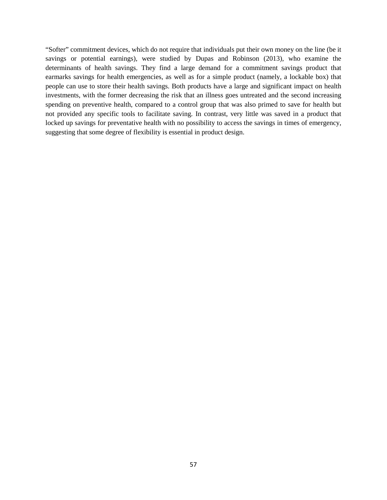"Softer" commitment devices, which do not require that individuals put their own money on the line (be it savings or potential earnings), were studied by Dupas and Robinson (2013), who examine the determinants of health savings. They find a large demand for a commitment savings product that earmarks savings for health emergencies, as well as for a simple product (namely, a lockable box) that people can use to store their health savings. Both products have a large and significant impact on health investments, with the former decreasing the risk that an illness goes untreated and the second increasing spending on preventive health, compared to a control group that was also primed to save for health but not provided any specific tools to facilitate saving. In contrast, very little was saved in a product that locked up savings for preventative health with no possibility to access the savings in times of emergency, suggesting that some degree of flexibility is essential in product design.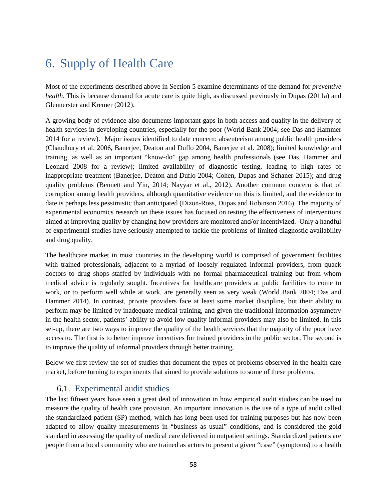# 6. Supply of Health Care

Most of the experiments described above in Section 5 examine determinants of the demand for *preventive health*. This is because demand for acute care is quite high, as discussed previously in Dupas (2011a) and Glennerster and Kremer (2012).

A growing body of evidence also documents important gaps in both access and quality in the delivery of health services in developing countries, especially for the poor (World Bank 2004; see Das and Hammer 2014 for a review). Major issues identified to date concern: absenteeism among public health providers (Chaudhury et al. 2006, Banerjee, Deaton and Duflo 2004, Banerjee et al. 2008); limited knowledge and training, as well as an important "know-do" gap among health professionals (see Das, Hammer and Leonard 2008 for a review); limited availability of diagnostic testing, leading to high rates of inappropriate treatment (Banerjee, Deaton and Duflo 2004; Cohen, Dupas and Schaner 2015); and drug quality problems (Bennett and Yin, 2014; Nayyar et al., 2012). Another common concern is that of corruption among health providers, although quantitative evidence on this is limited, and the evidence to date is perhaps less pessimistic than anticipated (Dizon-Ross, Dupas and Robinson 2016). The majority of experimental economics research on these issues has focused on testing the effectiveness of interventions aimed at improving quality by changing how providers are monitored and/or incentivized. Only a handful of experimental studies have seriously attempted to tackle the problems of limited diagnostic availability and drug quality.

The healthcare market in most countries in the developing world is comprised of government facilities with trained professionals, adjacent to a myriad of loosely regulated informal providers, from quack doctors to drug shops staffed by individuals with no formal pharmaceutical training but from whom medical advice is regularly sought. Incentives for healthcare providers at public facilities to come to work, or to perform well while at work, are generally seen as very weak (World Bank 2004; Das and Hammer 2014). In contrast, private providers face at least some market discipline, but their ability to perform may be limited by inadequate medical training, and given the traditional information asymmetry in the health sector, patients' ability to avoid low quality informal providers may also be limited. In this set-up, there are two ways to improve the quality of the health services that the majority of the poor have access to. The first is to better improve incentives for trained providers in the public sector. The second is to improve the quality of informal providers through better training.

Below we first review the set of studies that document the types of problems observed in the health care market, before turning to experiments that aimed to provide solutions to some of these problems.

## 6.1. Experimental audit studies

The last fifteen years have seen a great deal of innovation in how empirical audit studies can be used to measure the quality of health care provision. An important innovation is the use of a type of audit called the standardized patient (SP) method, which has long been used for training purposes but has now been adapted to allow quality measurements in "business as usual" conditions, and is considered the gold standard in assessing the quality of medical care delivered in outpatient settings. Standardized patients are people from a local community who are trained as actors to present a given "case" (symptoms) to a health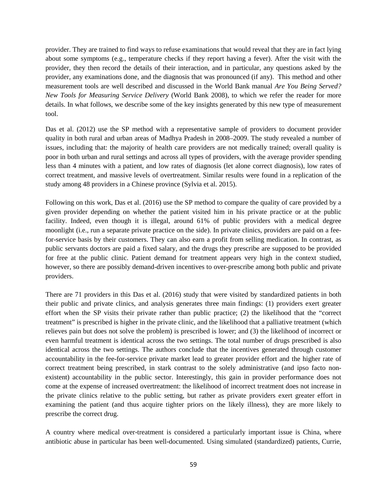provider. They are trained to find ways to refuse examinations that would reveal that they are in fact lying about some symptoms (e.g., temperature checks if they report having a fever). After the visit with the provider, they then record the details of their interaction, and in particular, any questions asked by the provider, any examinations done, and the diagnosis that was pronounced (if any). This method and other measurement tools are well described and discussed in the World Bank manual *Are You Being Served? New Tools for Measuring Service Delivery* (World Bank 2008), to which we refer the reader for more details. In what follows, we describe some of the key insights generated by this new type of measurement tool.

Das et al. (2012) use the SP method with a representative sample of providers to document provider quality in both rural and urban areas of Madhya Pradesh in 2008–2009. The study revealed a number of issues, including that: the majority of health care providers are not medically trained; overall quality is poor in both urban and rural settings and across all types of providers, with the average provider spending less than 4 minutes with a patient, and low rates of diagnosis (let alone correct diagnosis), low rates of correct treatment, and massive levels of overtreatment. Similar results were found in a replication of the study among 48 providers in a Chinese province (Sylvia et al. 2015).

Following on this work, Das et al. (2016) use the SP method to compare the quality of care provided by a given provider depending on whether the patient visited him in his private practice or at the public facility. Indeed, even though it is illegal, around 61% of public providers with a medical degree moonlight (i.e., run a separate private practice on the side). In private clinics, providers are paid on a feefor-service basis by their customers. They can also earn a profit from selling medication. In contrast, as public servants doctors are paid a fixed salary, and the drugs they prescribe are supposed to be provided for free at the public clinic. Patient demand for treatment appears very high in the context studied, however, so there are possibly demand-driven incentives to over-prescribe among both public and private providers.

There are 71 providers in this Das et al. (2016) study that were visited by standardized patients in both their public and private clinics, and analysis generates three main findings: (1) providers exert greater effort when the SP visits their private rather than public practice; (2) the likelihood that the "correct treatment" is prescribed is higher in the private clinic, and the likelihood that a palliative treatment (which relieves pain but does not solve the problem) is prescribed is lower; and (3) the likelihood of incorrect or even harmful treatment is identical across the two settings. The total number of drugs prescribed is also identical across the two settings. The authors conclude that the incentives generated through customer accountability in the fee-for-service private market lead to greater provider effort and the higher rate of correct treatment being prescribed, in stark contrast to the solely administrative (and ipso facto nonexistent) accountability in the public sector. Interestingly, this gain in provider performance does not come at the expense of increased overtreatment: the likelihood of incorrect treatment does not increase in the private clinics relative to the public setting, but rather as private providers exert greater effort in examining the patient (and thus acquire tighter priors on the likely illness), they are more likely to prescribe the correct drug.

A country where medical over-treatment is considered a particularly important issue is China, where antibiotic abuse in particular has been well-documented. Using simulated (standardized) patients, Currie,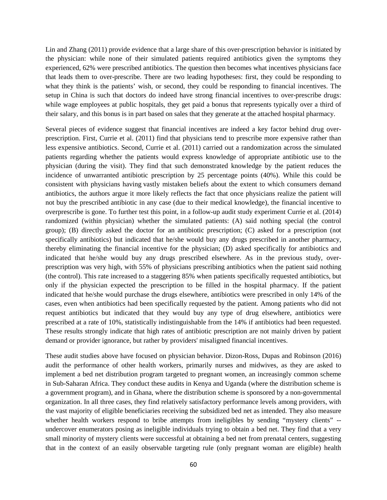Lin and Zhang (2011) provide evidence that a large share of this over-prescription behavior is initiated by the physician: while none of their simulated patients required antibiotics given the symptoms they experienced, 62% were prescribed antibiotics. The question then becomes what incentives physicians face that leads them to over-prescribe. There are two leading hypotheses: first, they could be responding to what they think is the patients' wish, or second, they could be responding to financial incentives. The setup in China is such that doctors do indeed have strong financial incentives to over-prescribe drugs: while wage employees at public hospitals, they get paid a bonus that represents typically over a third of their salary, and this bonus is in part based on sales that they generate at the attached hospital pharmacy.

Several pieces of evidence suggest that financial incentives are indeed a key factor behind drug overprescription. First, Currie et al. (2011) find that physicians tend to prescribe more expensive rather than less expensive antibiotics. Second, Currie et al. (2011) carried out a randomization across the simulated patients regarding whether the patients would express knowledge of appropriate antibiotic use to the physician (during the visit). They find that such demonstrated knowledge by the patient reduces the incidence of unwarranted antibiotic prescription by 25 percentage points (40%). While this could be consistent with physicians having vastly mistaken beliefs about the extent to which consumers demand antibiotics, the authors argue it more likely reflects the fact that once physicians realize the patient will not buy the prescribed antibiotic in any case (due to their medical knowledge), the financial incentive to overprescribe is gone. To further test this point, in a follow-up audit study experiment Currie et al. (2014) randomized (within physician) whether the simulated patients: (A) said nothing special (the control group); (B) directly asked the doctor for an antibiotic prescription; (C) asked for a prescription (not specifically antibiotics) but indicated that he/she would buy any drugs prescribed in another pharmacy, thereby eliminating the financial incentive for the physician; (D) asked specifically for antibiotics and indicated that he/she would buy any drugs prescribed elsewhere. As in the previous study, overprescription was very high, with 55% of physicians prescribing antibiotics when the patient said nothing (the control). This rate increased to a staggering 85% when patients specifically requested antibiotics, but only if the physician expected the prescription to be filled in the hospital pharmacy. If the patient indicated that he/she would purchase the drugs elsewhere, antibiotics were prescribed in only 14% of the cases, even when antibiotics had been specifically requested by the patient. Among patients who did not request antibiotics but indicated that they would buy any type of drug elsewhere, antibiotics were prescribed at a rate of 10%, statistically indistinguishable from the 14% if antibiotics had been requested. These results strongly indicate that high rates of antibiotic prescription are not mainly driven by patient demand or provider ignorance, but rather by providers' misaligned financial incentives.

These audit studies above have focused on physician behavior. Dizon-Ross, Dupas and Robinson (2016) audit the performance of other health workers, primarily nurses and midwives, as they are asked to implement a bed net distribution program targeted to pregnant women, an increasingly common scheme in Sub-Saharan Africa. They conduct these audits in Kenya and Uganda (where the distribution scheme is a government program), and in Ghana, where the distribution scheme is sponsored by a non-governmental organization. In all three cases, they find relatively satisfactory performance levels among providers, with the vast majority of eligible beneficiaries receiving the subsidized bed net as intended. They also measure whether health workers respond to bribe attempts from ineligibles by sending "mystery clients" - undercover enumerators posing as ineligible individuals trying to obtain a bed net. They find that a very small minority of mystery clients were successful at obtaining a bed net from prenatal centers, suggesting that in the context of an easily observable targeting rule (only pregnant woman are eligible) health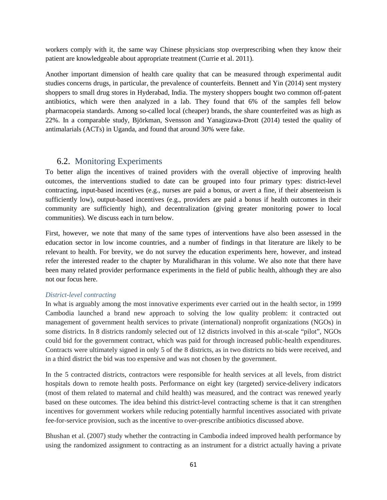workers comply with it, the same way Chinese physicians stop overprescribing when they know their patient are knowledgeable about appropriate treatment (Currie et al. 2011).

Another important dimension of health care quality that can be measured through experimental audit studies concerns drugs, in particular, the prevalence of counterfeits. Bennett and Yin (2014) sent mystery shoppers to small drug stores in Hyderabad, India. The mystery shoppers bought two common off-patent antibiotics, which were then analyzed in a lab. They found that 6% of the samples fell below pharmacopeia standards. Among so-called local (cheaper) brands, the share counterfeited was as high as 22%. In a comparable study, Björkman, Svensson and Yanagizawa-Drott (2014) tested the quality of antimalarials (ACTs) in Uganda, and found that around 30% were fake.

### 6.2. Monitoring Experiments

To better align the incentives of trained providers with the overall objective of improving health outcomes, the interventions studied to date can be grouped into four primary types: district-level contracting, input-based incentives (e.g., nurses are paid a bonus, or avert a fine, if their absenteeism is sufficiently low), output-based incentives (e.g., providers are paid a bonus if health outcomes in their community are sufficiently high), and decentralization (giving greater monitoring power to local communities). We discuss each in turn below.

First, however, we note that many of the same types of interventions have also been assessed in the education sector in low income countries, and a number of findings in that literature are likely to be relevant to health. For brevity, we do not survey the education experiments here, however, and instead refer the interested reader to the chapter by Muralidharan in this volume. We also note that there have been many related provider performance experiments in the field of public health, although they are also not our focus here.

### *District-level contracting*

In what is arguably among the most innovative experiments ever carried out in the health sector, in 1999 Cambodia launched a brand new approach to solving the low quality problem: it contracted out management of government health services to private (international) nonprofit organizations (NGOs) in some districts. In 8 districts randomly selected out of 12 districts involved in this at-scale "pilot", NGOs could bid for the government contract, which was paid for through increased public-health expenditures. Contracts were ultimately signed in only 5 of the 8 districts, as in two districts no bids were received, and in a third district the bid was too expensive and was not chosen by the government.

In the 5 contracted districts, contractors were responsible for health services at all levels, from district hospitals down to remote health posts. Performance on eight key (targeted) service-delivery indicators (most of them related to maternal and child health) was measured, and the contract was renewed yearly based on these outcomes. The idea behind this district-level contracting scheme is that it can strengthen incentives for government workers while reducing potentially harmful incentives associated with private fee-for-service provision, such as the incentive to over-prescribe antibiotics discussed above.

Bhushan et al. (2007) study whether the contracting in Cambodia indeed improved health performance by using the randomized assignment to contracting as an instrument for a district actually having a private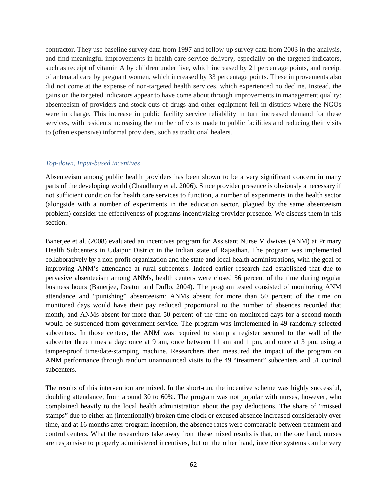contractor. They use baseline survey data from 1997 and follow-up survey data from 2003 in the analysis, and find meaningful improvements in health-care service delivery, especially on the targeted indicators, such as receipt of vitamin A by children under five, which increased by 21 percentage points, and receipt of antenatal care by pregnant women, which increased by 33 percentage points. These improvements also did not come at the expense of non-targeted health services, which experienced no decline. Instead, the gains on the targeted indicators appear to have come about through improvements in management quality: absenteeism of providers and stock outs of drugs and other equipment fell in districts where the NGOs were in charge. This increase in public facility service reliability in turn increased demand for these services, with residents increasing the number of visits made to public facilities and reducing their visits to (often expensive) informal providers, such as traditional healers.

### *Top-down, Input-based incentives*

Absenteeism among public health providers has been shown to be a very significant concern in many parts of the developing world (Chaudhury et al. 2006). Since provider presence is obviously a necessary if not sufficient condition for health care services to function, a number of experiments in the health sector (alongside with a number of experiments in the education sector, plagued by the same absenteeism problem) consider the effectiveness of programs incentivizing provider presence. We discuss them in this section.

Banerjee et al. (2008) evaluated an incentives program for Assistant Nurse Midwives (ANM) at Primary Health Subcenters in Udaipur District in the Indian state of Rajasthan. The program was implemented collaboratively by a non-profit organization and the state and local health administrations, with the goal of improving ANM's attendance at rural subcenters. Indeed earlier research had established that due to pervasive absenteeism among ANMs, health centers were closed 56 percent of the time during regular business hours (Banerjee, Deaton and Duflo, 2004). The program tested consisted of monitoring ANM attendance and "punishing" absenteeism: ANMs absent for more than 50 percent of the time on monitored days would have their pay reduced proportional to the number of absences recorded that month, and ANMs absent for more than 50 percent of the time on monitored days for a second month would be suspended from government service. The program was implemented in 49 randomly selected subcenters. In those centers, the ANM was required to stamp a register secured to the wall of the subcenter three times a day: once at 9 am, once between 11 am and 1 pm, and once at 3 pm, using a tamper-proof time/date-stamping machine. Researchers then measured the impact of the program on ANM performance through random unannounced visits to the 49 "treatment" subcenters and 51 control subcenters.

The results of this intervention are mixed. In the short-run, the incentive scheme was highly successful, doubling attendance, from around 30 to 60%. The program was not popular with nurses, however, who complained heavily to the local health administration about the pay deductions. The share of "missed stamps" due to either an (intentionally) broken time clock or excused absence increased considerably over time, and at 16 months after program inception, the absence rates were comparable between treatment and control centers. What the researchers take away from these mixed results is that, on the one hand, nurses are responsive to properly administered incentives, but on the other hand, incentive systems can be very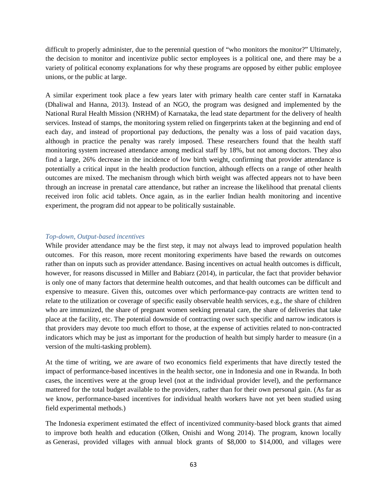difficult to properly administer, due to the perennial question of "who monitors the monitor?" Ultimately, the decision to monitor and incentivize public sector employees is a political one, and there may be a variety of political economy explanations for why these programs are opposed by either public employee unions, or the public at large.

A similar experiment took place a few years later with primary health care center staff in Karnataka (Dhaliwal and Hanna, 2013). Instead of an NGO, the program was designed and implemented by the National Rural Health Mission (NRHM) of Karnataka, the lead state department for the delivery of health services. Instead of stamps, the monitoring system relied on fingerprints taken at the beginning and end of each day, and instead of proportional pay deductions, the penalty was a loss of paid vacation days, although in practice the penalty was rarely imposed. These researchers found that the health staff monitoring system increased attendance among medical staff by 18%, but not among doctors. They also find a large, 26% decrease in the incidence of low birth weight, confirming that provider attendance is potentially a critical input in the health production function, although effects on a range of other health outcomes are mixed. The mechanism through which birth weight was affected appears not to have been through an increase in prenatal care attendance, but rather an increase the likelihood that prenatal clients received iron folic acid tablets. Once again, as in the earlier Indian health monitoring and incentive experiment, the program did not appear to be politically sustainable.

#### *Top-down, Output-based incentives*

While provider attendance may be the first step, it may not always lead to improved population health outcomes. For this reason, more recent monitoring experiments have based the rewards on outcomes rather than on inputs such as provider attendance. Basing incentives on actual health outcomes is difficult, however, for reasons discussed in Miller and Babiarz (2014), in particular, the fact that provider behavior is only one of many factors that determine health outcomes, and that health outcomes can be difficult and expensive to measure. Given this, outcomes over which performance-pay contracts are written tend to relate to the utilization or coverage of specific easily observable health services, e.g., the share of children who are immunized, the share of pregnant women seeking prenatal care, the share of deliveries that take place at the facility, etc. The potential downside of contracting over such specific and narrow indicators is that providers may devote too much effort to those, at the expense of activities related to non-contracted indicators which may be just as important for the production of health but simply harder to measure (in a version of the multi-tasking problem).

At the time of writing, we are aware of two economics field experiments that have directly tested the impact of performance-based incentives in the health sector, one in Indonesia and one in Rwanda. In both cases, the incentives were at the group level (not at the individual provider level), and the performance mattered for the total budget available to the providers, rather than for their own personal gain. (As far as we know, performance-based incentives for individual health workers have not yet been studied using field experimental methods.)

The Indonesia experiment estimated the effect of incentivized community-based block grants that aimed to improve both health and education (Olken, Onishi and Wong 2014). The program, known locally as Generasi, provided villages with annual block grants of \$8,000 to \$14,000, and villages were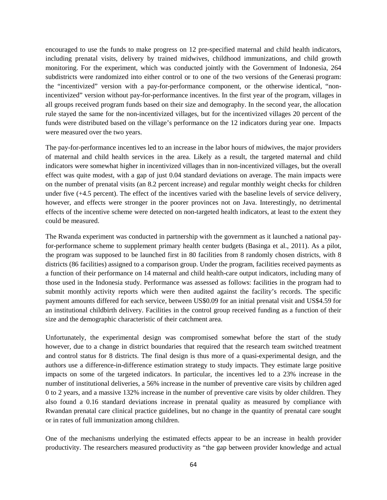encouraged to use the funds to make progress on 12 pre-specified maternal and child health indicators, including prenatal visits, delivery by trained midwives, childhood immunizations, and child growth monitoring. For the experiment, which was conducted jointly with the Government of Indonesia, 264 subdistricts were randomized into either control or to one of the two versions of the Generasi program: the "incentivized" version with a pay-for-performance component, or the otherwise identical, "nonincentivized" version without pay-for-performance incentives. In the first year of the program, villages in all groups received program funds based on their size and demography. In the second year, the allocation rule stayed the same for the non-incentivized villages, but for the incentivized villages 20 percent of the funds were distributed based on the village's performance on the 12 indicators during year one. Impacts were measured over the two years.

The pay-for-performance incentives led to an increase in the labor hours of midwives, the major providers of maternal and child health services in the area. Likely as a result, the targeted maternal and child indicators were somewhat higher in incentivized villages than in non-incentivized villages, but the overall effect was quite modest, with a gap of just 0.04 standard deviations on average. The main impacts were on the number of prenatal visits (an 8.2 percent increase) and regular monthly weight checks for children under five (+4.5 percent). The effect of the incentives varied with the baseline levels of service delivery, however, and effects were stronger in the poorer provinces not on Java. Interestingly, no detrimental effects of the incentive scheme were detected on non-targeted health indicators, at least to the extent they could be measured.

The Rwanda experiment was conducted in partnership with the government as it launched a national payfor-performance scheme to supplement primary health center budgets (Basinga et al., 2011). As a pilot, the program was supposed to be launched first in 80 facilities from 8 randomly chosen districts, with 8 districts (86 facilities) assigned to a comparison group. Under the program, facilities received payments as a function of their performance on 14 maternal and child health-care output indicators, including many of those used in the Indonesia study. Performance was assessed as follows: facilities in the program had to submit monthly activity reports which were then audited against the facility's records. The specific payment amounts differed for each service, between US\$0.09 for an initial prenatal visit and US\$4.59 for an institutional childbirth delivery. Facilities in the control group received funding as a function of their size and the demographic characteristic of their catchment area.

Unfortunately, the experimental design was compromised somewhat before the start of the study however, due to a change in district boundaries that required that the research team switched treatment and control status for 8 districts. The final design is thus more of a quasi-experimental design, and the authors use a difference-in-difference estimation strategy to study impacts. They estimate large positive impacts on some of the targeted indicators. In particular, the incentives led to a 23% increase in the number of institutional deliveries, a 56% increase in the number of preventive care visits by children aged 0 to 2 years, and a massive 132% increase in the number of preventive care visits by older children. They also found a 0.16 standard deviations increase in prenatal quality as measured by compliance with Rwandan prenatal care clinical practice guidelines, but no change in the quantity of prenatal care sought or in rates of full immunization among children.

One of the mechanisms underlying the estimated effects appear to be an increase in health provider productivity. The researchers measured productivity as "the gap between provider knowledge and actual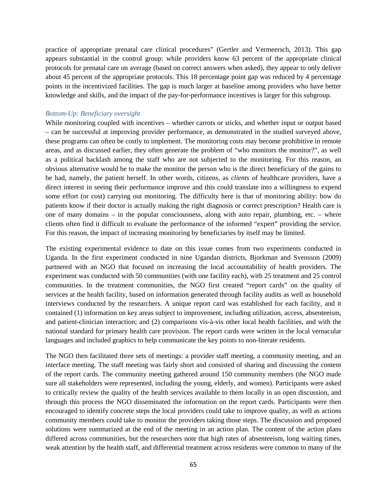practice of appropriate prenatal care clinical procedures" (Gertler and Vermeersch, 2013). This gap appears substantial in the control group: while providers know 63 percent of the appropriate clinical protocols for prenatal care on average (based on correct answers when asked), they appear to only deliver about 45 percent of the appropriate protocols. This 18 percentage point gap was reduced by 4 percentage points in the incentivized facilities. The gap is much larger at baseline among providers who have better knowledge and skills, and the impact of the pay-for-performance incentives is larger for this subgroup.

#### *Bottom-Up: Beneficiary oversight*

While monitoring coupled with incentives – whether carrots or sticks, and whether input or output based – can be successful at improving provider performance, as demonstrated in the studied surveyed above, these programs can often be costly to implement. The monitoring costs may become prohibitive in remote areas, and as discussed earlier, they often generate the problem of "who monitors the monitor?", as well as a political backlash among the staff who are not subjected to the monitoring. For this reason, an obvious alternative would be to make the monitor the person who is the direct beneficiary of the gains to be had, namely, the patient herself. In other words, citizens, as *clients* of healthcare providers, have a direct interest in seeing their performance improve and this could translate into a willingness to expend some effort (or cost) carrying out monitoring. The difficulty here is that of monitoring ability: how do patients know if their doctor is actually making the right diagnosis or correct prescription? Health care is one of many domains – in the popular consciousness, along with auto repair, plumbing, etc. – where clients often find it difficult to evaluate the performance of the informed "expert" providing the service. For this reason, the impact of increasing monitoring by beneficiaries by itself may be limited.

The existing experimental evidence to date on this issue comes from two experiments conducted in Uganda. In the first experiment conducted in nine Ugandan districts, Bjorkman and Svensson (2009) partnered with an NGO that focused on increasing the local accountability of health providers. The experiment was conducted with 50 communities (with one facility each), with 25 treatment and 25 control communities. In the treatment communities, the NGO first created "report cards" on the quality of services at the health facility, based on information generated through facility audits as well as household interviews conducted by the researchers. A unique report card was established for each facility, and it contained (1) information on key areas subject to improvement, including utilization, access, absenteeism, and patient-clinician interaction; and (2) comparisons vis-à-vis other local health facilities, and with the national standard for primary health care provision. The report cards were written in the local vernacular languages and included graphics to help communicate the key points to non-literate residents.

The NGO then facilitated three sets of meetings: a provider staff meeting, a community meeting, and an interface meeting. The staff meeting was fairly short and consisted of sharing and discussing the content of the report cards. The community meeting gathered around 150 community members (the NGO made sure all stakeholders were represented, including the young, elderly, and women). Participants were asked to critically review the quality of the health services available to them locally in an open discussion, and through this process the NGO disseminated the information on the report cards. Participants were then encouraged to identify concrete steps the local providers could take to improve quality, as well as actions community members could take to monitor the providers taking those steps. The discussion and proposed solutions were summarized at the end of the meeting in an action plan. The content of the action plans differed across communities, but the researchers note that high rates of absenteeism, long waiting times, weak attention by the health staff, and differential treatment across residents were common to many of the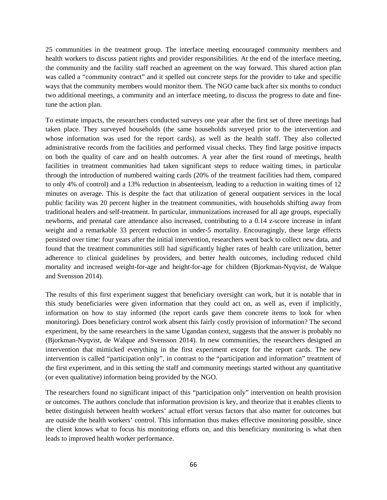25 communities in the treatment group. The interface meeting encouraged community members and health workers to discuss patient rights and provider responsibilities. At the end of the interface meeting, the community and the facility staff reached an agreement on the way forward. This shared action plan was called a "community contract" and it spelled out concrete steps for the provider to take and specific ways that the community members would monitor them. The NGO came back after six months to conduct two additional meetings, a community and an interface meeting, to discuss the progress to date and finetune the action plan.

To estimate impacts, the researchers conducted surveys one year after the first set of three meetings had taken place. They surveyed households (the same households surveyed prior to the intervention and whose information was used for the report cards), as well as the health staff. They also collected administrative records from the facilities and performed visual checks. They find large positive impacts on both the quality of care and on health outcomes. A year after the first round of meetings, health facilities in treatment communities had taken significant steps to reduce waiting times, in particular through the introduction of numbered waiting cards (20% of the treatment facilities had them, compared to only 4% of control) and a 13% reduction in absenteeism, leading to a reduction in waiting times of 12 minutes on average. This is despite the fact that utilization of general outpatient services in the local public facility was 20 percent higher in the treatment communities, with households shifting away from traditional healers and self-treatment. In particular, immunizations increased for all age groups, especially newborns, and prenatal care attendance also increased, contributing to a 0.14 z-score increase in infant weight and a remarkable 33 percent reduction in under-5 mortality. Encouragingly, these large effects persisted over time: four years after the initial intervention, researchers went back to collect new data, and found that the treatment communities still had significantly higher rates of health care utilization, better adherence to clinical guidelines by providers, and better health outcomes, including reduced child mortality and increased weight-for-age and height-for-age for children (Bjorkman-Nyqvist, de Walque and Svensson 2014).

The results of this first experiment suggest that beneficiary oversight can work, but it is notable that in this study beneficiaries were given information that they could act on, as well as, even if implicitly, information on how to stay informed (the report cards gave them concrete items to look for when monitoring). Does beneficiary control work absent this fairly costly provision of information? The second experiment, by the same researchers in the same Ugandan context, suggests that the answer is probably no (Bjorkman-Nyqvist, de Walque and Svensson 2014). In new communities, the researchers designed an intervention that mimicked everything in the first experiment except for the report cards. The new intervention is called "participation only", in contrast to the "participation and information" treatment of the first experiment, and in this setting the staff and community meetings started without any quantitative (or even qualitative) information being provided by the NGO.

The researchers found no significant impact of this "participation only" intervention on health provision or outcomes. The authors conclude that information provision is key, and theorize that it enables clients to better distinguish between health workers' actual effort versus factors that also matter for outcomes but are outside the health workers' control. This information thus makes effective monitoring possible, since the client knows what to focus his monitoring efforts on, and this beneficiary monitoring is what then leads to improved health worker performance.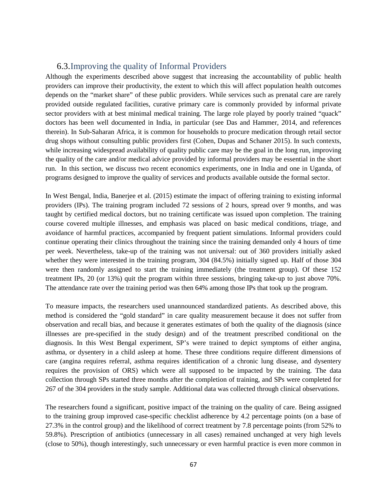## 6.3.Improving the quality of Informal Providers

Although the experiments described above suggest that increasing the accountability of public health providers can improve their productivity, the extent to which this will affect population health outcomes depends on the "market share" of these public providers. While services such as prenatal care are rarely provided outside regulated facilities, curative primary care is commonly provided by informal private sector providers with at best minimal medical training. The large role played by poorly trained "quack" doctors has been well documented in India, in particular (see Das and Hammer, 2014, and references therein). In Sub-Saharan Africa, it is common for households to procure medication through retail sector drug shops without consulting public providers first (Cohen, Dupas and Schaner 2015). In such contexts, while increasing widespread availability of quality public care may be the goal in the long run, improving the quality of the care and/or medical advice provided by informal providers may be essential in the short run. In this section, we discuss two recent economics experiments, one in India and one in Uganda, of programs designed to improve the quality of services and products available outside the formal sector.

In West Bengal, India, Banerjee et al. (2015) estimate the impact of offering training to existing informal providers (IPs). The training program included 72 sessions of 2 hours, spread over 9 months, and was taught by certified medical doctors, but no training certificate was issued upon completion. The training course covered multiple illnesses, and emphasis was placed on basic medical conditions, triage, and avoidance of harmful practices, accompanied by frequent patient simulations. Informal providers could continue operating their clinics throughout the training since the training demanded only 4 hours of time per week. Nevertheless, take-up of the training was not universal: out of 360 providers initially asked whether they were interested in the training program, 304 (84.5%) initially signed up. Half of those 304 were then randomly assigned to start the training immediately (the treatment group). Of these 152 treatment IPs, 20 (or 13%) quit the program within three sessions, bringing take-up to just above 70%. The attendance rate over the training period was then 64% among those IPs that took up the program.

To measure impacts, the researchers used unannounced standardized patients. As described above, this method is considered the "gold standard" in care quality measurement because it does not suffer from observation and recall bias, and because it generates estimates of both the quality of the diagnosis (since illnesses are pre-specified in the study design) and of the treatment prescribed conditional on the diagnosis. In this West Bengal experiment, SP's were trained to depict symptoms of either angina, asthma, or dysentery in a child asleep at home. These three conditions require different dimensions of care (angina requires referral, asthma requires identification of a chronic lung disease, and dysentery requires the provision of ORS) which were all supposed to be impacted by the training. The data collection through SPs started three months after the completion of training, and SPs were completed for 267 of the 304 providers in the study sample. Additional data was collected through clinical observations.

The researchers found a significant, positive impact of the training on the quality of care. Being assigned to the training group improved case-specific checklist adherence by 4.2 percentage points (on a base of 27.3% in the control group) and the likelihood of correct treatment by 7.8 percentage points (from 52% to 59.8%). Prescription of antibiotics (unnecessary in all cases) remained unchanged at very high levels (close to 50%), though interestingly, such unnecessary or even harmful practice is even more common in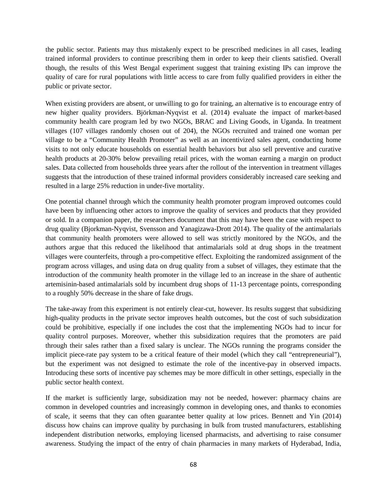the public sector. Patients may thus mistakenly expect to be prescribed medicines in all cases, leading trained informal providers to continue prescribing them in order to keep their clients satisfied. Overall though, the results of this West Bengal experiment suggest that training existing IPs can improve the quality of care for rural populations with little access to care from fully qualified providers in either the public or private sector.

When existing providers are absent, or unwilling to go for training, an alternative is to encourage entry of new higher quality providers. Björkman-Nyqvist et al. (2014) evaluate the impact of market-based community health care program led by two NGOs, BRAC and Living Goods, in Uganda. In treatment villages (107 villages randomly chosen out of 204), the NGOs recruited and trained one woman per village to be a "Community Health Promoter" as well as an incentivized sales agent, conducting home visits to not only educate households on essential health behaviors but also sell preventive and curative health products at 20-30% below prevailing retail prices, with the woman earning a margin on product sales. Data collected from households three years after the rollout of the intervention in treatment villages suggests that the introduction of these trained informal providers considerably increased care seeking and resulted in a large 25% reduction in under-five mortality.

One potential channel through which the community health promoter program improved outcomes could have been by influencing other actors to improve the quality of services and products that they provided or sold. In a companion paper, the researchers document that this may have been the case with respect to drug quality (Bjorkman-Nyqvist, Svensson and Yanagizawa-Drott 2014). The quality of the antimalarials that community health promoters were allowed to sell was strictly monitored by the NGOs, and the authors argue that this reduced the likelihood that antimalarials sold at drug shops in the treatment villages were counterfeits, through a pro-competitive effect. Exploiting the randomized assignment of the program across villages, and using data on drug quality from a subset of villages, they estimate that the introduction of the community health promoter in the village led to an increase in the share of authentic artemisinin-based antimalarials sold by incumbent drug shops of 11-13 percentage points, corresponding to a roughly 50% decrease in the share of fake drugs.

The take-away from this experiment is not entirely clear-cut, however. Its results suggest that subsidizing high-quality products in the private sector improves health outcomes, but the cost of such subsidization could be prohibitive, especially if one includes the cost that the implementing NGOs had to incur for quality control purposes. Moreover, whether this subsidization requires that the promoters are paid through their sales rather than a fixed salary is unclear. The NGOs running the programs consider the implicit piece-rate pay system to be a critical feature of their model (which they call "entrepreneurial"), but the experiment was not designed to estimate the role of the incentive-pay in observed impacts. Introducing these sorts of incentive pay schemes may be more difficult in other settings, especially in the public sector health context.

If the market is sufficiently large, subsidization may not be needed, however: pharmacy chains are common in developed countries and increasingly common in developing ones, and thanks to economies of scale, it seems that they can often guarantee better quality at low prices. Bennett and Yin (2014) discuss how chains can improve quality by purchasing in bulk from trusted manufacturers, establishing independent distribution networks, employing licensed pharmacists, and advertising to raise consumer awareness. Studying the impact of the entry of chain pharmacies in many markets of Hyderabad, India,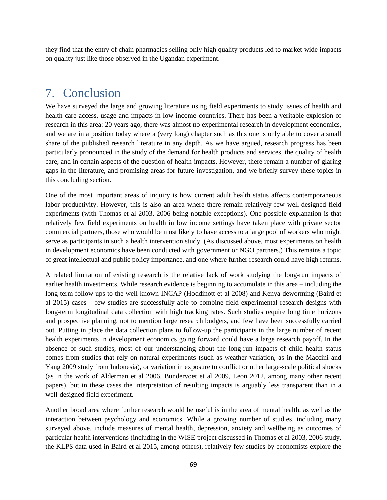they find that the entry of chain pharmacies selling only high quality products led to market-wide impacts on quality just like those observed in the Ugandan experiment.

# 7. Conclusion

We have surveyed the large and growing literature using field experiments to study issues of health and health care access, usage and impacts in low income countries. There has been a veritable explosion of research in this area: 20 years ago, there was almost no experimental research in development economics, and we are in a position today where a (very long) chapter such as this one is only able to cover a small share of the published research literature in any depth. As we have argued, research progress has been particularly pronounced in the study of the demand for health products and services, the quality of health care, and in certain aspects of the question of health impacts. However, there remain a number of glaring gaps in the literature, and promising areas for future investigation, and we briefly survey these topics in this concluding section.

One of the most important areas of inquiry is how current adult health status affects contemporaneous labor productivity. However, this is also an area where there remain relatively few well-designed field experiments (with Thomas et al 2003, 2006 being notable exceptions). One possible explanation is that relatively few field experiments on health in low income settings have taken place with private sector commercial partners, those who would be most likely to have access to a large pool of workers who might serve as participants in such a health intervention study. (As discussed above, most experiments on health in development economics have been conducted with government or NGO partners.) This remains a topic of great intellectual and public policy importance, and one where further research could have high returns.

A related limitation of existing research is the relative lack of work studying the long-run impacts of earlier health investments. While research evidence is beginning to accumulate in this area – including the long-term follow-ups to the well-known INCAP (Hoddinott et al 2008) and Kenya deworming (Baird et al 2015) cases – few studies are successfully able to combine field experimental research designs with long-term longitudinal data collection with high tracking rates. Such studies require long time horizons and prospective planning, not to mention large research budgets, and few have been successfully carried out. Putting in place the data collection plans to follow-up the participants in the large number of recent health experiments in development economics going forward could have a large research payoff. In the absence of such studies, most of our understanding about the long-run impacts of child health status comes from studies that rely on natural experiments (such as weather variation, as in the Maccini and Yang 2009 study from Indonesia), or variation in exposure to conflict or other large-scale political shocks (as in the work of Alderman et al 2006, Bundervoet et al 2009, Leon 2012, among many other recent papers), but in these cases the interpretation of resulting impacts is arguably less transparent than in a well-designed field experiment.

Another broad area where further research would be useful is in the area of mental health, as well as the interaction between psychology and economics. While a growing number of studies, including many surveyed above, include measures of mental health, depression, anxiety and wellbeing as outcomes of particular health interventions (including in the WISE project discussed in Thomas et al 2003, 2006 study, the KLPS data used in Baird et al 2015, among others), relatively few studies by economists explore the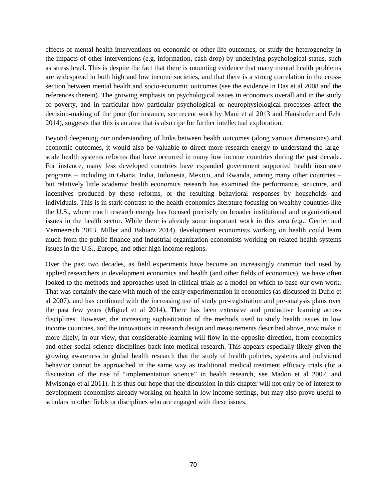effects of mental health interventions on economic or other life outcomes, or study the heterogeneity in the impacts of other interventions (e.g. information, cash drop) by underlying psychological status, such as stress level. This is despite the fact that there is mounting evidence that many mental health problems are widespread in both high and low income societies, and that there is a strong correlation in the crosssection between mental health and socio-economic outcomes (see the evidence in Das et al 2008 and the references therein). The growing emphasis on psychological issues in economics overall and in the study of poverty, and in particular how particular psychological or neurophysiological processes affect the decision-making of the poor (for instance, see recent work by Mani et al 2013 and Haushofer and Fehr 2014), suggests that this is an area that is also ripe for further intellectual exploration.

Beyond deepening our understanding of links between health outcomes (along various dimensions) and economic outcomes, it would also be valuable to direct more research energy to understand the largescale health systems reforms that have occurred in many low income countries during the past decade. For instance, many less developed countries have expanded government supported health insurance programs – including in Ghana, India, Indonesia, Mexico, and Rwanda, among many other countries – but relatively little academic health economics research has examined the performance, structure, and incentives produced by these reforms, or the resulting behavioral responses by households and individuals. This is in stark contrast to the health economics literature focusing on wealthy countries like the U.S., where much research energy has focused precisely on broader institutional and organizational issues in the health sector. While there is already some important work in this area (e.g., Gertler and Vermeersch 2013, Miller and Babiarz 2014), development economists working on health could learn much from the public finance and industrial organization economists working on related health systems issues in the U.S., Europe, and other high income regions.

Over the past two decades, as field experiments have become an increasingly common tool used by applied researchers in development economics and health (and other fields of economics), we have often looked to the methods and approaches used in clinical trials as a model on which to base our own work. That was certainly the case with much of the early experimentation in economics (as discussed in Duflo et al 2007), and has continued with the increasing use of study pre-registration and pre-analysis plans over the past few years (Miguel et al 2014). There has been extensive and productive learning across disciplines. However, the increasing sophistication of the methods used to study health issues in low income countries, and the innovations in research design and measurements described above, now make it more likely, in our view, that considerable learning will flow in the opposite direction, from economics and other social science disciplines back into medical research. This appears especially likely given the growing awareness in global health research that the study of health policies, systems and individual behavior cannot be approached in the same way as traditional medical treatment efficacy trials (for a discussion of the rise of "implementation science" in health research, see Madon et al 2007, and Mwisongo et al 2011). It is thus our hope that the discussion in this chapter will not only be of interest to development economists already working on health in low income settings, but may also prove useful to scholars in other fields or disciplines who are engaged with these issues.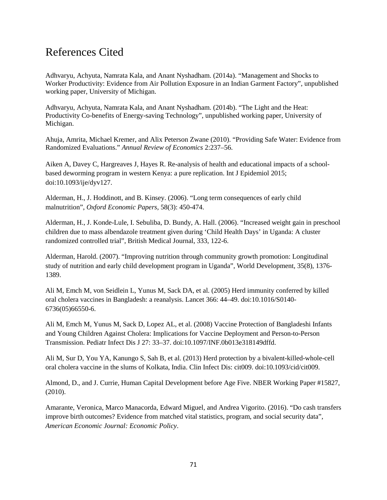## References Cited

Adhvaryu, Achyuta, Namrata Kala, and Anant Nyshadham. (2014a). "Management and Shocks to Worker Productivity: Evidence from Air Pollution Exposure in an Indian Garment Factory", unpublished working paper, University of Michigan.

Adhvaryu, Achyuta, Namrata Kala, and Anant Nyshadham. (2014b). "The Light and the Heat: Productivity Co-benefits of Energy-saving Technology", unpublished working paper, University of Michigan.

Ahuja, Amrita, Michael Kremer, and Alix Peterson Zwane (2010). "Providing Safe Water: Evidence from Randomized Evaluations." *Annual Review of Economics* 2:237–56.

Aiken A, Davey C, Hargreaves J, Hayes R. Re-analysis of health and educational impacts of a schoolbased deworming program in western Kenya: a pure replication. Int J Epidemiol 2015; doi:10.1093/ije/dyv127.

Alderman, H., J. Hoddinott, and B. Kinsey. (2006). "Long term consequences of early child malnutrition", *Oxford Economic Papers*, 58(3): 450-474.

Alderman, H., J. Konde-Lule, I. Sebuliba, D. Bundy, A. Hall. (2006). "Increased weight gain in preschool children due to mass albendazole treatment given during 'Child Health Days' in Uganda: A cluster randomized controlled trial", British Medical Journal, 333, 122-6.

Alderman, Harold. (2007). "Improving nutrition through community growth promotion: Longitudinal study of nutrition and early child development program in Uganda", World Development, 35(8), 1376- 1389.

Ali M, Emch M, von Seidlein L, Yunus M, Sack DA, et al. (2005) Herd immunity conferred by killed oral cholera vaccines in Bangladesh: a reanalysis. Lancet 366: 44–49. doi:10.1016/S0140- 6736(05)66550-6.

Ali M, Emch M, Yunus M, Sack D, Lopez AL, et al. (2008) Vaccine Protection of Bangladeshi Infants and Young Children Against Cholera: Implications for Vaccine Deployment and Person-to-Person Transmission. Pediatr Infect Dis J 27: 33–37. doi:10.1097/INF.0b013e318149dffd.

Ali M, Sur D, You YA, Kanungo S, Sah B, et al. (2013) Herd protection by a bivalent-killed-whole-cell oral cholera vaccine in the slums of Kolkata, India. Clin Infect Dis: cit009. doi:10.1093/cid/cit009.

Almond, D., and J. Currie, Human Capital Development before Age Five. NBER Working Paper #15827, (2010).

Amarante, Veronica, Marco Manacorda, Edward Miguel, and Andrea Vigorito. (2016). "Do cash transfers improve birth outcomes? Evidence from matched vital statistics, program, and social security data", *American Economic Journal: Economic Policy*.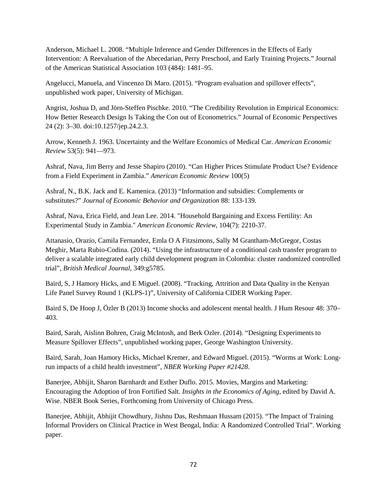Anderson, Michael L. 2008. "Multiple Inference and Gender Differences in the Effects of Early Intervention: A Reevaluation of the Abecedarian, Perry Preschool, and Early Training Projects." Journal of the American Statistical Association 103 (484): 1481–95.

Angelucci, Manuela, and Vincenzo Di Maro. (2015). "Program evaluation and spillover effects", unpublished work paper, University of Michigan.

Angrist, Joshua D, and Jörn-Steffen Pischke. 2010. "The Credibility Revolution in Empirical Economics: How Better Research Design Is Taking the Con out of Econometrics." Journal of Economic Perspectives 24 (2): 3–30. doi:10.1257/jep.24.2.3.

Arrow, Kenneth J. 1963. Uncertainty and the Welfare Economics of Medical Car. *American Economic Review* 53(5): 941—973.

Ashraf, Nava, Jim Berry and Jesse Shapiro (2010). "Can Higher Prices Stimulate Product Use? Evidence from a Field Experiment in Zambia." *American Economic Review* 100(5)

Ashraf, N., B.K. Jack and E. Kamenica. (2013) ["Information and subsidies: Complements or](http://sites.tufts.edu/kjack/files/2013/08/Jack_JEBO.pdf)  [substitutes?"](http://sites.tufts.edu/kjack/files/2013/08/Jack_JEBO.pdf) *Journal of Economic Behavior and Organization* 88: 133-139*.*

Ashraf, Nava, Erica Field, and Jean Lee. 2014. "Household Bargaining and Excess Fertility: An Experimental Study in Zambia." *American Economic Review*, 104(7): 2210-37.

Attanasio, Orazio, Camila Fernandez, Emla O A Fitzsimons, Sally M Grantham-McGregor, Costas Meghir, Marta Rubio-Codina. (2014). "Using the infrastructure of a conditional cash transfer program to deliver a scalable integrated early child development program in Colombia: cluster randomized controlled trial", *British Medical Journal*, 349:g5785.

Baird, S, J Hamory Hicks, and E Miguel. (2008). "Tracking, Attrition and Data Quality in the Kenyan Life Panel Survey Round 1 (KLPS-1)", University of California CIDER Working Paper.

Baird S, De Hoop J, Özler B (2013) Income shocks and adolescent mental health. J Hum Resour 48: 370– 403.

Baird, Sarah, Aislinn Bohren, Craig McIntosh, and Berk Ozler. (2014). "Designing Experiments to Measure Spillover Effects", unpublished working paper, George Washington University.

Baird, Sarah, Joan Hamory Hicks, Michael Kremer, and Edward Miguel. (2015). "Worms at Work: Longrun impacts of a child health investment", *NBER Working Paper #21428*.

Banerjee, Abhijit, Sharon Barnhardt and Esther Duflo. 2015. Movies, Margins and Marketing: Encouraging the Adoption of Iron Fortified Salt. *Insights in the Economics of Aging*, edited by David A. Wise. NBER Book Series, Forthcoming from University of Chicago Press.

Banerjee, Abhijit, Abhijit Chowdhury, Jishnu Das, Reshmaan Hussam (2015). "The Impact of Training Informal Providers on Clinical Practice in West Bengal, India: A Randomized Controlled Trial". Working paper.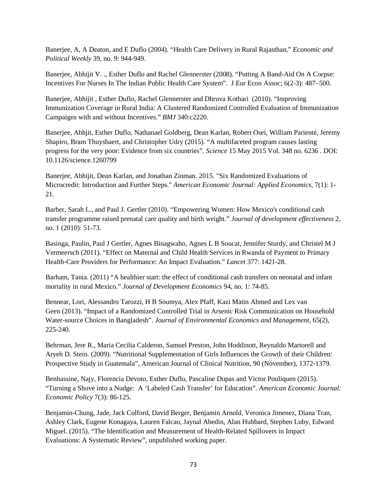Banerjee, A, A Deaton, and E Duflo (2004). "Health Care Delivery in Rural Rajasthan," *Economic and Political Weekly* 39, no. 9: 944-949.

Banerjee, Abhijit V. ., Esther Duflo and Rachel Glennerster (2008). "Putting A Band-Aid On A Corpse: Incentives For Nurses In The Indian Public Health Care System". J Eur Econ Assoc; 6(2-3): 487–500.

Banerjee, Abhijit , Esther Duflo, Rachel Glennerster and Dhruva Kothari (2010). "Improving Immunization Coverage in Rural India: A Clustered Randomized Controlled Evaluation of Immunization Campaigns with and without Incentives." *BMJ* 340:c2220.

Banerjee, Abhjit, Esther Duflo, Nathanael Goldberg, Dean Karlan, Robert Osei, William Parienté, Jeremy Shapiro, Bram Thuysbaert, and Christopher Udry (2015). "A multifaceted program causes lasting progress for the very poor: Evidence from six countries". *Science* 15 May 2015 Vol. 348 no. 6236 . DOI: 10.1126/science.1260799

Banerjee, Abhijit, Dean Karlan, and Jonathan Zinman. 2015. "Six Randomized Evaluations of Microcredit: Introduction and Further Steps." *American Economic Journal: Applied Economics*, 7(1): 1- 21.

Barber, Sarah L., and Paul J. Gertler (2010). "Empowering Women: How Mexico's conditional cash transfer programme raised prenatal care quality and birth weight." *Journal of development effectiveness* 2, no. 1 (2010): 51-73.

Basinga, Paulin, Paul J Gertler, Agnes Binagwaho, Agnes L B Soucat, Jennifer Sturdy, and Christel M J Vermeersch (2011). "Effect on Maternal and Child Health Services in Rwanda of Payment to Primary Health-Care Providers for Performance: An Impact Evaluation." *Lancet* 377: 1421-28.

Barham, Tania. (2011) "A healthier start: the effect of conditional cash transfers on neonatal and infant mortality in rural Mexico." *Journal of Development Economics* 94, no. 1: 74-85.

[Bennear,](http://www.nicholas.duke.edu/people/faculty/bennear.html) Lori, Alessandro Tarozzi, H B Soumya, [Alex Pfaff,](http://www.duke.edu/%7Easp9/) [Kazi Matin Ahmed](http://www.biomedexperts.com/Profile.bme/1875728/NN) and [Lex van](http://www.ldeo.columbia.edu/%7Eavangeen/)  [Geen](http://www.ldeo.columbia.edu/%7Eavangeen/) (2013). ["Impact of a Randomized Controlled Trial in Arsenic Risk Communication on Household](http://www.econ.upf.edu/%7Etarozzi/BennearTarozziEtAl2012.pdf)  [Water-source Choices in Bangladesh"](http://www.econ.upf.edu/%7Etarozzi/BennearTarozziEtAl2012.pdf). *Journal of Environmental Economics and Management*, 65(2), 225-240.

Behrman, Jere R., Maria Cecilia Calderon, Samuel Preston, John Hoddinott, Reynaldo Martorell and Aryeh D. Stein. (2009). "Nutritional Supplementation of Girls Influences the Growth of their Children: Prospective Study in Guatemala", American Journal of Clinical Nutrition, 90 (November), 1372-1379.

Benhassine, Najy, Florencia Devoto, Esther Duflo, Pascaline Dupas and Victor Pouliquen (2015). "Turning a Shove into a Nudge: A 'Labeled Cash Transfer' for Education". *American Economic Journal: Economic Policy* 7(3): 86-125.

Benjamin-Chung, Jade, Jack Colford, David Berger, Benjamin Arnold, Veronica Jimenez, Diana Tran, Ashley Clark, Eugene Konagaya, Lauren Falcao, Jaynal Abedin, Alan Hubbard, Stephen Luby, Edward Miguel. (2015). "The Identification and Measurement of Health-Related Spillovers in Impact Evaluations: A Systematic Review", unpublished working paper.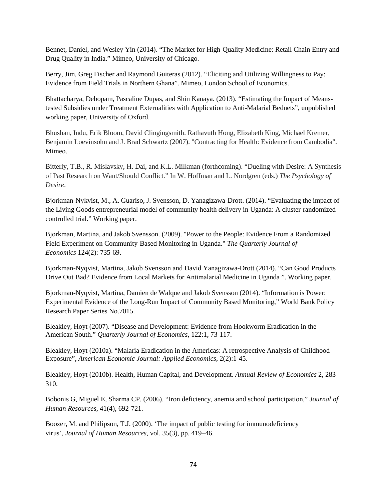Bennet, Daniel, and Wesley Yin (2014). "The Market for High-Quality Medicine: Retail Chain Entry and Drug Quality in India." Mimeo, University of Chicago.

Berry, Jim, Greg Fischer and Raymond Guiteras (2012). "Eliciting and Utilizing Willingness to Pay: Evidence from Field Trials in Northern Ghana". Mimeo, London School of Economics.

Bhattacharya, Debopam, Pascaline Dupas, and Shin Kanaya. (2013). "Estimating the Impact of Meanstested Subsidies under Treatment Externalities with Application to Anti-Malarial Bednets", unpublished working paper, University of Oxford.

Bhushan, Indu, Erik Bloom, David Clingingsmith. Rathavuth Hong, Elizabeth King, Michael Kremer, Benjamin Loevinsohn and J. Brad Schwartz (2007). "Contracting for Health: Evidence from Cambodia". Mimeo.

Bitterly, T.B., R. Mislavsky, H. Dai, and K.L. Milkman (forthcoming). "Dueling with Desire: A Synthesis of Past Research on Want/Should Conflict." In W. Hoffman and L. Nordgren (eds.) *The Psychology of Desire*.

Bjorkman-Nykvist, M., A. Guariso, J. Svensson, D. Yanagizawa-Drott. (2014). "Evaluating the impact of the Living Goods entrepreneurial model of community health delivery in Uganda: A cluster-randomized controlled trial." Working paper.

Bjorkman, Martina, and Jakob Svensson. (2009). "Power to the People: Evidence From a Randomized Field Experiment on Community-Based Monitoring in Uganda." *The Quarterly Journal of Economics* 124(2): 735-69.

Bjorkman-Nyqvist, Martina, Jakob Svensson and David Yanagizawa-Drott (2014). "Can Good Products Drive Out Bad? Evidence from Local Markets for Antimalarial Medicine in Uganda ". Working paper.

Bjorkman-Nyqvist, Martina, Damien de Walque and Jakob Svensson (2014). ["Information is Power:](http://www-wds.worldbank.org/external/default/WDSContentServer/IW3P/IB/2014/08/26/000158349_20140826090814/Rendered/PDF/WPS7015.pdf)  [Experimental Evidence of the Long-Run Impact of Community Based Monitoring,](http://www-wds.worldbank.org/external/default/WDSContentServer/IW3P/IB/2014/08/26/000158349_20140826090814/Rendered/PDF/WPS7015.pdf)" World Bank Policy Research Paper Series No.7015.

Bleakley, Hoyt (2007). "Disease and Development: Evidence from Hookworm Eradication in the American South." *Quarterly Journal of Economics*, 122:1, 73-117.

Bleakley, Hoyt (2010a). "Malaria Eradication in the Americas: A retrospective Analysis of Childhood Exposure", *American Economic Journal: Applied Economics*, 2(2):1-45.

Bleakley, Hoyt (2010b). Health, Human Capital, and Development. *Annual Review of Economics* 2, 283- 310.

Bobonis G, Miguel E, Sharma CP. (2006). "Iron deficiency, anemia and school participation," *Journal of Human Resources*, 41(4), 692-721.

Boozer, M. and Philipson, T.J. (2000). 'The impact of public testing for immunodeficiency virus', *Journal of Human Resources*, vol. 35(3), pp. 419–46.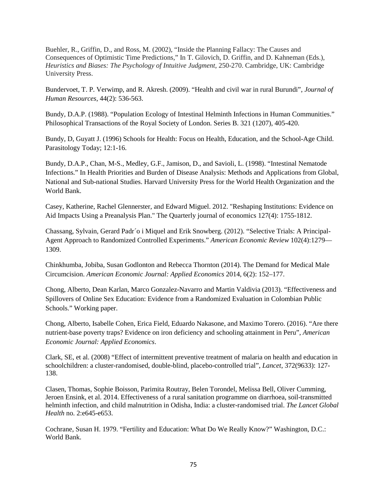Buehler, R., Griffin, D., and Ross, M. (2002), "Inside the Planning Fallacy: The Causes and Consequences of Optimistic Time Predictions," In T. Gilovich, D. Griffin, and D. Kahneman (Eds.), *Heuristics and Biases: The Psychology of Intuitive Judgment*, 250-270. Cambridge, UK: Cambridge University Press.

Bundervoet, T. P. Verwimp, and R. Akresh. (2009). "Health and civil war in rural Burundi", *Journal of Human Resources*, 44(2): 536-563.

Bundy, D.A.P. (1988). "Population Ecology of Intestinal Helminth Infections in Human Communities." Philosophical Transactions of the Royal Society of London. Series B. 321 (1207), 405-420.

Bundy, D, Guyatt J. (1996) Schools for Health: Focus on Health, Education, and the School-Age Child. Parasitology Today; 12:1-16.

Bundy, D.A.P., Chan, M-S., Medley, G.F., Jamison, D., and Savioli, L. (1998). "Intestinal Nematode Infections." In Health Priorities and Burden of Disease Analysis: Methods and Applications from Global, National and Sub-national Studies. Harvard University Press for the World Health Organization and the World Bank.

Casey, Katherine, Rachel Glennerster, and Edward Miguel. 2012. "Reshaping Institutions: Evidence on Aid Impacts Using a Preanalysis Plan." The Quarterly journal of economics 127(4): 1755-1812.

Chassang, Sylvain, Gerard Padr´o i Miquel and Erik Snowberg. (2012). "Selective Trials: A Principal-Agent Approach to Randomized Controlled Experiments." *American Economic Review* 102(4):1279— 1309.

Chinkhumba, Jobiba, Susan Godlonton and Rebecca Thornton (2014). The Demand for Medical Male Circumcision. *American Economic Journal: Applied Economics* 2014, 6(2): 152–177.

Chong, Alberto, Dean Karlan, Marco Gonzalez-Navarro and Martin Valdivia (2013). ["Effectiveness and](http://karlan.yale.edu/p/Online_SexEd.pdf)  [Spillovers of Online Sex Education: Evidence from a Randomized Evaluation in Colombian Public](http://karlan.yale.edu/p/Online_SexEd.pdf)  [Schools.](http://karlan.yale.edu/p/Online_SexEd.pdf)" Working paper.

Chong, Alberto, Isabelle Cohen, Erica Field, Eduardo Nakasone, and Maximo Torero. (2016). "Are there nutrient-base poverty traps? Evidence on iron deficiency and schooling attainment in Peru", *American Economic Journal: Applied Economics*.

Clark, SE, et al. (2008) "Effect of intermittent preventive treatment of malaria on health and education in schoolchildren: a cluster-randomised, double-blind, placebo-controlled trial", *Lancet*, 372(9633): 127- 138.

Clasen, Thomas, Sophie Boisson, Parimita Routray, Belen Torondel, Melissa Bell, Oliver Cumming, Jeroen Ensink, et al. 2014. Effectiveness of a rural sanitation programme on diarrhoea, soil-transmitted helminth infection, and child malnutrition in Odisha, India: a cluster-randomised trial. *The Lancet Global Health* no. 2:e645-e653.

Cochrane, Susan H. 1979. "Fertility and Education: What Do We Really Know?" Washington, D.C.: World Bank.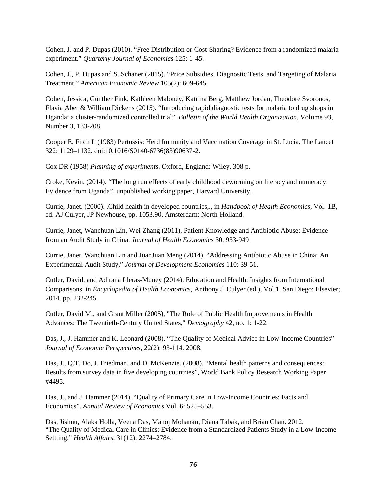Cohen, J. and P. Dupas (2010). "Free Distribution or Cost-Sharing? Evidence from a randomized malaria experiment." *Quarterly Journal of Economics* 125: 1-45.

Cohen, J., P. Dupas and S. Schaner (2015). "Price Subsidies, Diagnostic Tests, and Targeting of Malaria Treatment." *American Economic Review* 105(2): 609-645.

Cohen, Jessica, Günther Fink, Kathleen Maloney, Katrina Berg, Matthew Jordan, Theodore Svoronos, Flavia Aber & William Dickens (2015). "Introducing rapid diagnostic tests for malaria to drug shops in Uganda: a cluster-randomized controlled trial". *Bulletin of the World Health Organization*, Volume 93, Number 3, 133-208.

Cooper E, Fitch L (1983) Pertussis: Herd Immunity and Vaccination Coverage in St. Lucia. The Lancet 322: 1129–1132. doi:10.1016/S0140-6736(83)90637-2.

Cox DR (1958) *Planning of experiments*. Oxford, England: Wiley. 308 p.

Croke, Kevin. (2014). "The long run effects of early childhood deworming on literacy and numeracy: Evidence from Uganda", unpublished working paper, Harvard University.

Currie, Janet. (2000). .Child health in developed countries,., in *Handbook of Health Economics*, Vol. 1B, ed. AJ Culyer, JP Newhouse, pp. 1053.90. Amsterdam: North-Holland.

Currie, Janet, Wanchuan Lin, Wei Zhang (2011). Patient Knowledge and Antibiotic Abuse: Evidence from an Audit Study in China. *Journal of Health Economics* 30, 933-949

Currie, Janet, Wanchuan Lin and JuanJuan Meng (2014). ["Addressing Antibiotic Abuse in China: An](http://www.princeton.edu/%7Ejcurrie/publications/Addressing%20antibiotic%20abuse%20in%20china.pdf)  [Experimental Audit Study,"](http://www.princeton.edu/%7Ejcurrie/publications/Addressing%20antibiotic%20abuse%20in%20china.pdf) *Journal of Development Economics* 110: 39-51.

Cutler, David, and Adirana Lleras-Muney (2014). Education and Health: Insights from International Comparisons. in *Encyclopedia of Health Economics*, Anthony J. Culyer (ed.), Vol 1. San Diego: Elsevier; 2014. pp. 232-245.

Cutler, David M., and Grant Miller (2005), "The Role of Public Health Improvements in Health Advances: The Twentieth-Century United States," *Demography* 42, no. 1: 1-22.

Das, J., J. Hammer and K. Leonard (2008). "The Quality of Medical Advice in Low-Income Countries" *Journal of Economic Perspectives*, 22(2): 93-114. 2008.

Das, J., Q.T. Do, J. Friedman, and D. McKenzie. (2008). "Mental health patterns and consequences: Results from survey data in five developing countries", World Bank Policy Research Working Paper #4495.

Das, J., and J. Hammer (2014). "Quality of Primary Care in Low-Income Countries: Facts and Economics". *Annual Review of Economics* Vol. 6: 525–553.

Das, Jishnu, Alaka Holla, Veena Das, Manoj Mohanan, Diana Tabak, and Brian Chan. 2012. "The Quality of Medical Care in Clinics: Evidence from a Standardized Patients Study in a Low-Income Settting." *Health Affairs*, 31(12): 2274–2784.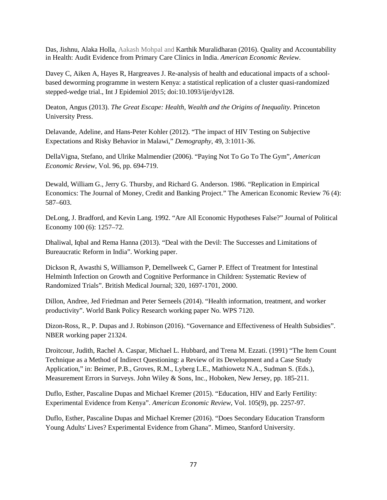Das, Jishnu, Alaka Holla, Aakash Mohpal and Karthik Muralidharan (2016). Quality and Accountability in Health: Audit Evidence from Primary Care Clinics in India. *American Economic Review*.

Davey C, Aiken A, Hayes R, Hargreaves J. Re-analysis of health and educational impacts of a schoolbased deworming programme in western Kenya: a statistical replication of a cluster quasi-randomized stepped-wedge trial., Int J Epidemiol 2015; doi:10.1093/ije/dyv128.

Deaton, Angus (2013). *The Great Escape: Health, Wealth and the Origins of Inequality*. Princeton University Press.

Delavande, Adeline, and Hans-Peter Kohler (2012). "The impact of HIV Testing on Subjective Expectations and Risky Behavior in Malawi," *Demography*, 49, 3:1011-36.

DellaVigna, Stefano, and Ulrike Malmendier (2006). "Paying Not To Go To The Gym", *American Economic Review*, Vol. 96, pp. 694-719.

Dewald, William G., Jerry G. Thursby, and Richard G. Anderson. 1986. "Replication in Empirical Economics: The Journal of Money, Credit and Banking Project." The American Economic Review 76 (4): 587–603.

DeLong, J. Bradford, and Kevin Lang. 1992. "Are All Economic Hypotheses False?" Journal of Political Economy 100 (6): 1257–72.

Dhaliwal, Iqbal and Rema Hanna (2013). "Deal with the Devil: The Successes and Limitations of Bureaucratic Reform in India". Working paper.

Dickson R, Awasthi S, Williamson P, Demellweek C, Garner P. Effect of Treatment for Intestinal Helminth Infection on Growth and Cognitive Performance in Children: Systematic Review of Randomized Trials". British Medical Journal; 320, 1697-1701, 2000.

Dillon, Andree, Jed Friedman and Peter Serneels (2014). "Health information, treatment, and worker productivity". World Bank Policy Research working paper No. WPS 7120.

Dizon-Ross, R., P. Dupas and J. Robinson (2016). "Governance and Effectiveness of Health Subsidies". NBER working paper 21324.

Droitcour, Judith, Rachel A. Caspar, Michael L. Hubbard, and Trena M. Ezzati. (1991) "The Item Count Technique as a Method of Indirect Questioning: a Review of its Development and a Case Study Application," in: Beimer, P.B., Groves, R.M., Lyberg L.E., Mathiowetz N.A., Sudman S. (Eds.), Measurement Errors in Surveys. John Wiley & Sons, Inc., Hoboken, New Jersey, pp. 185-211.

Duflo, Esther, Pascaline Dupas and Michael Kremer (2015). "Education, HIV and Early Fertility: Experimental Evidence from Kenya". *American Economic Review*, Vol. 105(9), pp. 2257-97.

Duflo, Esther, Pascaline Dupas and Michael Kremer (2016). "Does Secondary Education Transform Young Adults' Lives? Experimental Evidence from Ghana". Mimeo, Stanford University.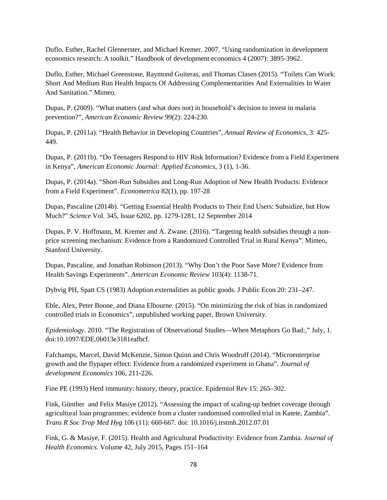Duflo, Esther, Rachel Glennerster, and Michael Kremer. 2007. "Using randomization in development economics research: A toolkit." Handbook of development economics 4 (2007): 3895-3962.

Duflo, Esther, Michael Greenstone, Raymond Guiteras, and Thomas Clasen (2015). "Toilets *Can* Work: Short And Medium Run Health Impacts Of Addressing Complementarities And Externalities In Water And Sanitation." Mimeo.

Dupas, P. (2009). "What matters (and what does not) in household's decision to invest in malaria prevention?", *American Economic Review* 99(2): 224-230.

Dupas, P. (2011a). "Health Behavior in Developing Countries", *Annual Review of Economics*, 3: 425- 449.

Dupas, P. (2011b). "Do Teenagers Respond to HIV Risk Information? Evidence from a Field Experiment in Kenya", *American Economic Journal: Applied Economics*, 3 (1), 1-36.

Dupas, P. (2014a). "Short-Run Subsidies and Long-Run Adoption of New Health Products: Evidence from a Field Experiment". *Econometrica* 82(1), pp. 197-28

Dupas, Pascaline (2014b). "Getting Essential Health Products to Their End Users: Subsidize, but How Much?" *Science* Vol. 345, Issue 6202, pp. 1279-1281, 12 September 2014

Dupas, P. V. Hoffmann, M. Kremer and A. Zwane. (2016). "Targeting health subsidies through a nonprice screening mechanism: Evidence from a Randomized Controlled Trial in Rural Kenya". Mimeo, Stanford University.

Dupas, Pascaline, and Jonathan Robinson (2013). "Why Don't the Poor Save More? Evidence from Health Savings Experiments". *American Economic Review* 103(4): 1138-71.

Dybvig PH, Spatt CS (1983) Adoption externalities as public goods. J Public Econ 20: 231–247.

Eble, Alex, Peter Boone, and Diana Elbourne. (2015). "On minimizing the risk of bias in randomized controlled trials in Economics", unpublished working paper, Brown University.

*Epidemiology*. 2010. "The Registration of Observational Studies—When Metaphors Go Bad:," July, 1. doi:10.1097/EDE.0b013e3181eafbcf.

Fafchamps, Marcel, David McKenzie, Simon Quinn and Chris Woodruff (2014). "Microenterprise growth and the flypaper effect: Evidence from a randomized experiment in Ghana". *Journal of development Economics* 106, 211-226.

Fine PE (1993) Herd immunity: history, theory, practice. Epidemiol Rev 15: 265–302.

Fink, Günther and Felix Masiye (2012). "Assessing the impact of scaling-up bednet coverage through agricultural loan programmes: evidence from a cluster randomised controlled trial in Katete, Zambia". *Trans R Soc Trop Med Hyg* 106 (11): 660-667. doi: 10.1016/j.trstmh.2012.07.01

Fink, G. & Masiye, F. (2015). Health and Agricultural Productivity: Evidence from Zambia. *Journal of Health Economics*. Volume 42, July 2015, Pages 151–164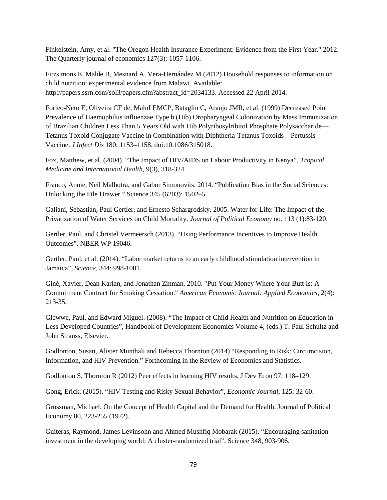Finkelstein, Amy, et al. "The Oregon Health Insurance Experiment: Evidence from the First Year." 2012. The Quarterly journal of economics 127(3): 1057-1106.

Fitzsimons E, Malde B, Mesnard A, Vera-Hernández M (2012) Household responses to information on child nutrition: experimental evidence from Malawi. Available: http://papers.ssrn.com/sol3/papers.cfm?abstract\_id=2034133. Accessed 22 April 2014.

Forleo-Neto E, Oliveira CF de, Maluf EMCP, Bataglin C, Araujo JMR, et al. (1999) Decreased Point Prevalence of Haemophilus influenzae Type b (Hib) Oropharyngeal Colonization by Mass Immunization of Brazilian Children Less Than 5 Years Old with Hib Polyribosylribitol Phosphate Polysaccharide— Tetanus Toxoid Conjugate Vaccine in Combination with Diphtheria-Tetanus Toxoids—Pertussis Vaccine. *J Infect Dis* 180: 1153–1158. doi:10.1086/315018.

Fox, Matthew, et al. (2004). "The Impact of HIV/AIDS on Labour Productivity in Kenya", *Tropical Medicine and International Health*, 9(3), 318-324.

Franco, Annie, Neil Malhotra, and Gabor Simonovits. 2014. "Publication Bias in the Social Sciences: Unlocking the File Drawer." Science 345 (6203): 1502–5.

Galiani, Sebastian, Paul Gertler, and Ernesto Schargrodsky. 2005. Water for Life: The Impact of the Privatization of Water Services on Child Mortality. *Journal of Political Economy* no. 113 (1):83-120.

Gertler, Paul, and Christel Vermeersch (2013). "Using Performance Incentives to Improve Health Outcomes". NBER WP 19046.

Gertler, Paul, et al. (2014). "Labor market returns to an early childhood stimulation intervention in Jamaica", *Science*, 344: 998-1001.

Giné, Xavier, Dean Karlan, and Jonathan Zinman. 2010. "Put Your Money Where Your Butt Is: A Commitment Contract for Smoking Cessation." *American Economic Journal: Applied Economics*, 2(4): 213-35.

Glewwe, Paul, and Edward Miguel. (2008). "The Impact of Child Health and Nutrition on Education in Less Developed Countries", Handbook of Development Economics Volume 4, (eds.) T. Paul Schultz and John Strauss, Elsevier.

Godlonton, Susan, Alister Munthali and Rebecca Thornton (2014) "Responding to Risk: Circumcision, Information, and HIV Prevention." Forthcoming in the Review of Economics and Statistics.

Godlonton S, Thornton R (2012) Peer effects in learning HIV results. J Dev Econ 97: 118–129.

Gong, Erick. (2015). "HIV Testing and Risky Sexual Behavior", *Economic Journal*, 125: 32-60.

Grossman, Michael. On the Concept of Health Capital and the Demand for Health. Journal of Political Economy 80, 223-255 (1972).

Guiteras, Raymond, James Levinsohn and Ahmed Mushfiq Mobarak (2015). "Encouraging sanitation investment in the developing world: A cluster-randomized trial". Science 348, 903-906.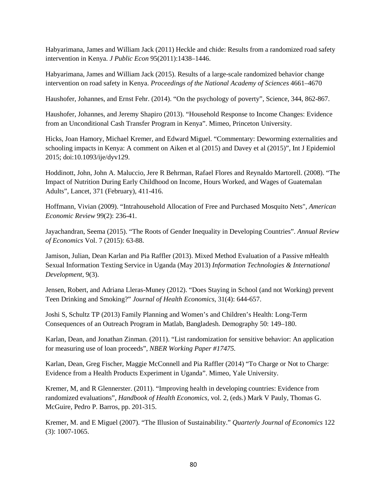Habyarimana, James and William Jack (2011) Heckle and chide: Results from a randomized road safety intervention in Kenya. *J Public Econ* 95(2011):1438–1446.

Habyarimana, James and William Jack (2015). Results of a large-scale randomized behavior change intervention on road safety in Kenya. *Proceedings of the National Academy of Sciences* 4661–4670

Haushofer, Johannes, and Ernst Fehr. (2014). "On the psychology of poverty", Science, 344, 862-867.

Haushofer, Johannes, and Jeremy Shapiro (2013). "Household Response to Income Changes: Evidence from an Unconditional Cash Transfer Program in Kenya". Mimeo, Princeton University.

Hicks, Joan Hamory, Michael Kremer, and Edward Miguel. "Commentary: Deworming externalities and schooling impacts in Kenya: A comment on Aiken et al (2015) and Davey et al (2015)", Int J Epidemiol 2015; doi:10.1093/ije/dyv129.

Hoddinott, John, John A. Maluccio, Jere R Behrman, Rafael Flores and Reynaldo Martorell. (2008). "The Impact of Nutrition During Early Childhood on Income, Hours Worked, and Wages of Guatemalan Adults", Lancet, 371 (February), 411-416.

Hoffmann, Vivian (2009). "Intrahousehold Allocation of Free and Purchased Mosquito Nets", *American Economic Review* 99(2): 236-41.

Jayachandran, Seema (2015). "The Roots of Gender Inequality in Developing Countries". *Annual Review of Economics* Vol. 7 (2015): 63-88.

Jamison, Julian, Dean Karlan and Pia Raffler (2013). [Mixed Method Evaluation of a Passive mHealth](http://karlan.yale.edu/p/Paper_May%2029%202013_v2.pdf)  [Sexual Information Texting Service in Uganda](http://karlan.yale.edu/p/Paper_May%2029%202013_v2.pdf) (May 2013) *Information Technologies & International Development*, 9(3).

Jensen, Robert, and Adriana Lleras-Muney (2012). "Does Staying in School (and not Working) prevent Teen Drinking and Smoking?" *Journal of Health Economics*, 31(4): 644-657.

Joshi S, Schultz TP (2013) Family Planning and Women's and Children's Health: Long-Term Consequences of an Outreach Program in Matlab, Bangladesh. Demography 50: 149–180.

Karlan, Dean, and Jonathan Zinman. (2011). "List randomization for sensitive behavior: An application for measuring use of loan proceeds", *NBER Working Paper #17475.* 

Karlan, Dean, Greg Fischer, Maggie McConnell and Pia Raffler (2014) "To Charge or Not to Charge: Evidence from a Health Products Experiment in Uganda". Mimeo, Yale University.

Kremer, M, and R Glennerster. (2011). "Improving health in developing countries: Evidence from randomized evaluations", *Handbook of Health Economics*, vol. 2, (eds.) Mark V Pauly, Thomas G. McGuire, Pedro P. Barros, pp. 201-315.

Kremer, M. and E Miguel (2007). "The Illusion of Sustainability." *Quarterly Journal of Economics* 122 (3): 1007-1065.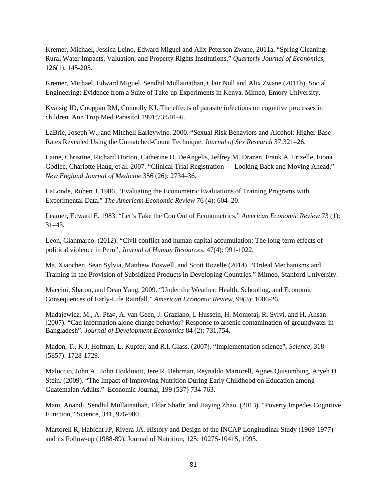Kremer, Michael, Jessica Leino, Edward Miguel and Alix Peterson Zwane, 2011a. "Spring Cleaning: Rural Water Impacts, Valuation, and Property Rights Institutions," *Quarterly Journal of Economics*, 126(1), 145-205.

Kremer, Michael, Edward Miguel, Sendhil Mullainathan, Clair Null and Alix Zwane (2011b). Social Engineering: Evidence from a Suite of Take-up Experiments in Kenya. Mimeo, Emory University.

Kvalsig JD, Cooppan RM, Connolly KJ. The effects of parasite infections on cognitive processes in children. Ann Trop Med Parasitol 1991;73:501–6.

LaBrie, Joseph W., and Mitchell Earleywine. 2000. "Sexual Risk Behaviors and Alcohol: Higher Base Rates Revealed Using the Unmatched-Count Technique. *Journal of Sex Research* 37:321–26.

Laine, Christine, Richard Horton, Catherine D. DeAngelis, Jeffrey M. Drazen, Frank A. Frizelle, Fiona Godlee, Charlotte Haug, et al. 2007. "Clinical Trial Registration — Looking Back and Moving Ahead." *New England Journal of Medicine* 356 (26): 2734–36.

LaLonde, Robert J. 1986. "Evaluating the Econometric Evaluations of Training Programs with Experimental Data." *The American Economic Review* 76 (4): 604–20.

Leamer, Edward E. 1983. "Let's Take the Con Out of Econometrics." *American Economic Review* 73 (1): 31–43.

Leon, Gianmarco. (2012). "Civil conflict and human capital accumulation: The long-term effects of political violence in Peru", *Journal of Human Resources*, 47(4): 991-1022.

Ma, Xiaochen, Sean Sylvia, Matthew Boswell, and Scott Rozelle (2014). "Ordeal Mechanisms and Training in the Provision of Subsidized Products in Developing Countries." Mimeo, Stanford University.

Maccini, Sharon, and Dean Yang. 2009. "Under the Weather: Health, Schooling, and Economic Consequences of Early-Life Rainfall." *American Economic Review*, 99(3): 1006-26.

Madajewicz, M., A. Pfa¤, A. van Geen, J. Graziano, I. Hussein, H. Momotaj, R. Sylvi, and H. Ahsan (2007). "Can information alone change behavior? Response to arsenic contamination of groundwater in Bangladesh". *Journal of Development Economics* 84 (2): 731.754.

Madon, T., K.J. Hofman, L. Kupfer, and R.I. Glass. (2007). "Implementation science", *Science*, 318 (5857): 1728-1729.

Maluccio, John A., John Hoddinott, Jere R. Behrman, Reynaldo Martorell, Agnes Quisumbing, Aryeh D Stein. (2009). "The Impact of Improving Nutrition During Early Childhood on Education among Guatemalan Adults." Economic Journal, 199 (537) 734-763.

Mani, Anandi, Sendhil Mullainathan, Eldar Shafir, and Jiaying Zhao. (2013). "Poverty Impedes Cognitive Function," Science, 341, 976-980.

Martorell R, Habicht JP, Rivera JA. History and Design of the INCAP Longitudinal Study (1969-1977) and its Follow-up (1988-89). Journal of Nutrition; 125: 1027S-1041S, 1995.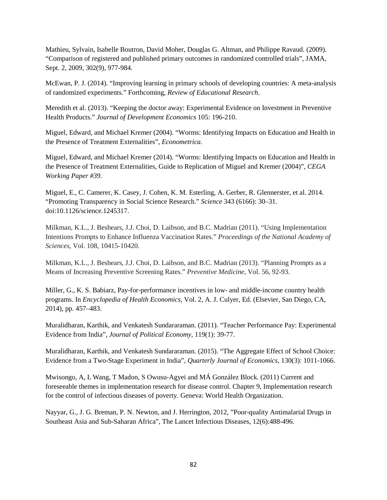Mathieu, Sylvain, Isabelle Boutron, David Moher, Douglas G. Altman, and Philippe Ravaud. (2009). "Comparison of registered and published primary outcomes in randomized controlled trials", JAMA, Sept. 2, 2009, 302(9), 977-984.

McEwan, P. J. (2014). "Improving learning in primary schools of developing countries: A meta-analysis of randomized experiments." Forthcoming, *Review of Educational Research*.

Meredith et al. (2013). "Keeping the doctor away: Experimental Evidence on Investment in Preventive Health Products." *Journal of Development Economics* 105: 196-210.

Miguel, Edward, and Michael Kremer (2004). "Worms: Identifying Impacts on Education and Health in the Presence of Treatment Externalities", *Econometrica.*

Miguel, Edward, and Michael Kremer (2014). "Worms: Identifying Impacts on Education and Health in the Presence of Treatment Externalities, Guide to Replication of Miguel and Kremer (2004)", *CEGA Working Paper #39.*

Miguel, E., C. Camerer, K. Casey, J. Cohen, K. M. Esterling, A. Gerber, R. Glennerster, et al. 2014. "Promoting Transparency in Social Science Research." *Science* 343 (6166): 30–31. doi:10.1126/science.1245317.

Milkman, K.L., J. Beshears, J.J. Choi, D. Laibson, and B.C. Madrian (2011). "Using Implementation Intentions Prompts to Enhance Influenza Vaccination Rates." *Proceedings of the National Academy of Sciences*, Vol. 108, 10415-10420.

Milkman, K.L., J. Beshears, J.J. Choi, D. Laibson, and B.C. Madrian (2013). "Planning Prompts as a Means of Increasing Preventive Screening Rates." *Preventive Medicine*, Vol. 56, 92-93.

Miller, G., K. S. Babiarz, Pay-for-performance incentives in low- and middle-income country health programs. In *Encyclopedia of Health Economics*, Vol. 2, A. J. Culyer, Ed. (Elsevier, San Diego, CA, 2014), pp. 457–483.

Muralidharan, Karthik, and Venkatesh Sundararaman. (2011). "Teacher Performance Pay: Experimental Evidence from India", *Journal of Political Economy*, 119(1): 39-77.

Muralidharan, Karthik, and Venkatesh Sundararaman. (2015). "The Aggregate Effect of School Choice: Evidence from a Two-Stage Experiment in India", *Quarterly Journal of Economics*, 130(3): 1011-1066.

Mwisongo, A, L Wang, T Madon, S Owusu-Agyei and MÁ González Block. (2011) Current and foreseeable themes in implementation research for disease control. Chapter 9, Implementation research for the control of infectious diseases of poverty. Geneva: World Health Organization.

Nayyar, G., J. G. Breman, P. N. Newton, and J. Herrington, 2012, "Poor-quality Antimalarial Drugs in Southeast Asia and Sub-Saharan Africa", The Lancet Infectious Diseases, 12(6):488-496.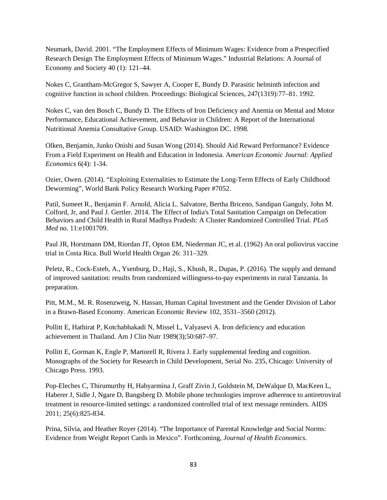Neumark, David. 2001. "The Employment Effects of Minimum Wages: Evidence from a Prespecified Research Design The Employment Effects of Minimum Wages." Industrial Relations: A Journal of Economy and Society 40 (1): 121–44.

Nokes C, Grantham-McGregor S, Sawyer A, Cooper E, Bundy D. Parasitic helminth infection and cognitive function in school children. Proceedings: Biological Sciences, 247(1319):77–81. 1992.

Nokes C, van den Bosch C, Bundy D. The Effects of Iron Deficiency and Anemia on Mental and Motor Performance, Educational Achievement, and Behavior in Children: A Report of the International Nutritional Anemia Consultative Group. USAID: Washington DC. 1998.

Olken, Benjamin, Junko Onishi and Susan Wong (2014). Should Aid Reward Performance? Evidence From a Field Experiment on Health and Education in Indonesia. A*merican Economic Journal: Applied Economics* 6(4): 1-34.

Ozier, Owen. (2014). "Exploiting Externalities to Estimate the Long-Term Effects of Early Childhood Deworming", World Bank Policy Research Working Paper #7052.

Patil, Sumeet R., Benjamin F. Arnold, Alicia L. Salvatore, Bertha Briceno, Sandipan Ganguly, John M. Colford, Jr, and Paul J. Gertler. 2014. The Effect of India's Total Sanitation Campaign on Defecation Behaviors and Child Health in Rural Madhya Pradesh: A Cluster Randomized Controlled Trial. *PLoS Med* no. 11:e1001709.

Paul JR, Horstmann DM, Riordan JT, Opton EM, Niederman JC, et al. (1962) An oral poliovirus vaccine trial in Costa Rica. Bull World Health Organ 26: 311–329.

Peletz, R., Cock-Esteb, A., Ysenburg, D., Haji, S., Khush, R., Dupas, P. (2016). The supply and demand of improved sanitation: results from randomized willingness-to-pay experiments in rural Tanzania. In preparation.

Pitt, M.M., M. R. Rosenzweig, N. Hassan, Human Capital Investment and the Gender Division of Labor in a Brawn-Based Economy. American Economic Review 102, 3531–3560 (2012).

Pollitt E, Hathirat P, Kotchabhakadi N, Missel L, Valyasevi A. Iron deficiency and education achievement in Thailand. Am J Clin Nutr 1989(3);50:687–97.

Pollitt E, Gorman K, Engle P, Martorell R, Rivera J. Early supplemental feeding and cognition. Monographs of the Society for Research in Child Development, Serial No. 235, Chicago: University of Chicago Press. 1993.

Pop-Eleches C, Thirumurthy H, Habyarmina J, Graff Zivin J, Goldstein M, DeWalque D, MacKeen L, Haberer J, Sidle J, Ngare D, Bangsberg D. Mobile phone technologies improve adherence to antiretroviral treatment in resource-limited settings: a randomized controlled trial of text message reminders. AIDS 2011; 25(6):825-834.

Prina, Silvia, and Heather Royer (2014). "The Importance of Parental Knowledge and Social Norms: Evidence from Weight Report Cards in Mexico". Forthcoming, *Journal of Health Economics*.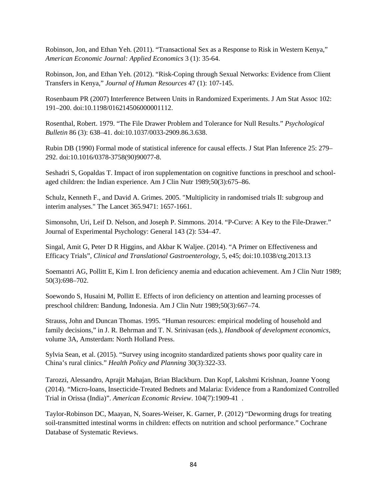Robinson, Jon, and Ethan Yeh. (2011). "Transactional Sex as a Response to Risk in Western Kenya," *American Economic Journal: Applied Economics* 3 (1): 35-64.

Robinson, Jon, and Ethan Yeh. (2012). "Risk-Coping through Sexual Networks: Evidence from Client Transfers in Kenya," *Journal of Human Resources* 47 (1): 107-145.

Rosenbaum PR (2007) Interference Between Units in Randomized Experiments. J Am Stat Assoc 102: 191–200. doi:10.1198/016214506000001112.

Rosenthal, Robert. 1979. "The File Drawer Problem and Tolerance for Null Results." *Psychological Bulletin* 86 (3): 638–41. doi:10.1037/0033-2909.86.3.638.

Rubin DB (1990) Formal mode of statistical inference for causal effects. J Stat Plan Inference 25: 279– 292. doi:10.1016/0378-3758(90)90077-8.

Seshadri S, Gopaldas T. Impact of iron supplementation on cognitive functions in preschool and schoolaged children: the Indian experience. Am J Clin Nutr 1989;50(3):675–86.

Schulz, Kenneth F., and David A. Grimes. 2005. "Multiplicity in randomised trials II: subgroup and interim analyses." The Lancet 365.9471: 1657-1661.

Simonsohn, Uri, Leif D. Nelson, and Joseph P. Simmons. 2014. "P-Curve: A Key to the File-Drawer." Journal of Experimental Psychology: General 143 (2): 534–47.

Singal, Amit G, Peter D R Higgins, and Akbar K Waljee. (2014). "A Primer on Effectiveness and Efficacy Trials", *Clinical and Translational Gastroenterology*, 5, e45; doi:10.1038/ctg.2013.13

Soemantri AG, Pollitt E, Kim I. Iron deficiency anemia and education achievement. Am J Clin Nutr 1989; 50(3):698–702.

Soewondo S, Husaini M, Pollitt E. Effects of iron deficiency on attention and learning processes of preschool children: Bandung, Indonesia. Am J Clin Nutr 1989;50(3):667–74.

Strauss, John and Duncan Thomas. 1995. "Human resources: empirical modeling of household and family decisions," in J. R. Behrman and T. N. Srinivasan (eds.), *Handbook of development economics*, volume 3A, Amsterdam: North Holland Press.

Sylvia Sean, et al. (2015). "Survey using incognito standardized patients shows poor quality care in China's rural clinics." *Health Policy and Planning* 30(3):322-33.

Tarozzi, Alessandro, Aprajit Mahajan, Brian Blackburn. Dan Kopf, Lakshmi Krishnan, Joanne Yoong (2014). "Micro-loans, Insecticide-Treated Bednets and Malaria: Evidence from a Randomized Controlled Trial in Orissa (India)". *American Economic Review*. 104(7):1909-41 .

Taylor-Robinson DC, Maayan, N, Soares-Weiser, K. Garner, P. (2012) "Deworming drugs for treating soil-transmitted intestinal worms in children: effects on nutrition and school performance." Cochrane Database of Systematic Reviews.